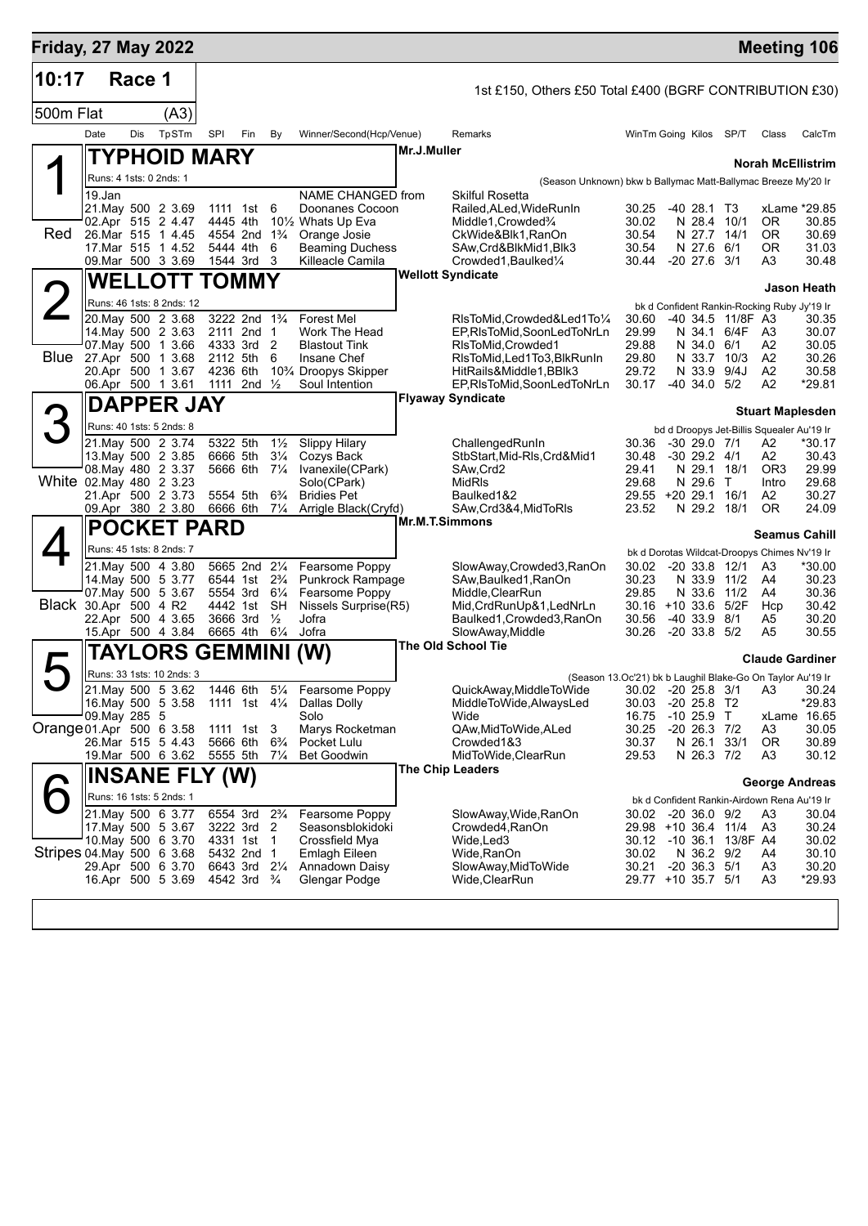| <b>Friday, 27 May 2022</b> |                                                     |        |                           |            |                      |                                        |                                  |                                                |                       |                                                                                      |                              |                                      |                         | <b>Meeting 106</b>                           |                       |
|----------------------------|-----------------------------------------------------|--------|---------------------------|------------|----------------------|----------------------------------------|----------------------------------|------------------------------------------------|-----------------------|--------------------------------------------------------------------------------------|------------------------------|--------------------------------------|-------------------------|----------------------------------------------|-----------------------|
| 10:17                      |                                                     | Race 1 |                           |            |                      |                                        |                                  |                                                |                       | 1st £150, Others £50 Total £400 (BGRF CONTRIBUTION £30)                              |                              |                                      |                         |                                              |                       |
| 500m Flat                  |                                                     |        | (A3)                      |            |                      |                                        |                                  |                                                |                       |                                                                                      |                              |                                      |                         |                                              |                       |
|                            | Date                                                | Dis    | TpSTm                     | <b>SPI</b> |                      | Fin                                    | By                               | Winner/Second(Hcp/Venue)                       |                       | Remarks                                                                              | WinTm Going Kilos            |                                      | SP/T                    | Class                                        | CalcTm                |
|                            |                                                     |        | TYPHOID MARY              |            |                      |                                        |                                  |                                                | Mr.J.Muller           |                                                                                      |                              |                                      |                         |                                              |                       |
|                            |                                                     |        | Runs: 4 1sts: 0 2nds: 1   |            |                      |                                        |                                  |                                                |                       | (Season Unknown) bkw b Ballymac Matt-Ballymac Breeze My'20 Ir                        |                              |                                      |                         | <b>Norah McEllistrim</b>                     |                       |
|                            | 19.Jan                                              |        |                           |            |                      |                                        |                                  | NAME CHANGED from                              |                       | Skilful Rosetta                                                                      |                              |                                      |                         |                                              |                       |
|                            | 21. May 500 2 3.69<br>02.Apr 515 2 4.47             |        |                           |            | 1111 1st<br>4445 4th |                                        | 6                                | Doonanes Cocoon<br>101/2 Whats Up Eva          |                       | Railed, ALed, Wide Run In<br>Middle1, Crowded 3/4                                    | 30.25<br>30.02               | -40 28.1 T3<br>N 28.4                | 10/1                    | 0R                                           | xLame *29.85<br>30.85 |
| Red                        | 26.Mar 515 1 4.45                                   |        |                           |            | 4554 2nd             |                                        | $1\frac{3}{4}$                   | Orange Josie                                   |                       | CkWide&Blk1,RanOn                                                                    | 30.54                        | N 27.7                               | 14/1                    | 0R                                           | 30.69                 |
|                            | 09. Mar 500 3 3.69                                  |        | 17.Mar 515 1 4.52         |            | 5444 4th<br>1544 3rd |                                        | 6<br>3                           | <b>Beaming Duchess</b><br>Killeacle Camila     |                       | SAw,Crd&BlkMid1,Blk3<br>Crowded1, Baulked1/4                                         | 30.54<br>30.44               | N 27.6<br>$-20$ 27.6 $3/1$           | 6/1                     | ΟR<br>A3                                     | 31.03<br>30.48        |
|                            |                                                     |        | <b>WELLOTT TOMMY</b>      |            |                      |                                        |                                  |                                                |                       | <b>Wellott Syndicate</b>                                                             |                              |                                      |                         |                                              |                       |
|                            |                                                     |        |                           |            |                      |                                        |                                  |                                                |                       |                                                                                      |                              |                                      |                         |                                              | Jason Heath           |
|                            | 20. May 500 2 3.68                                  |        | Runs: 46 1sts: 8 2nds: 12 |            |                      | 3222 2nd 1 <sup>3</sup> / <sub>4</sub> |                                  | <b>Forest Mel</b>                              |                       | RIsToMid.Crowded&Led1To1/4                                                           | 30.60                        |                                      | -40 34.5 11/8F A3       | bk d Confident Rankin-Rocking Ruby Jy'19 Ir  | 30.35                 |
|                            |                                                     |        | 14. May 500 2 3.63        |            |                      | 2111 2nd 1                             |                                  | Work The Head                                  |                       | EP,RIsToMid,SoonLedToNrLn                                                            | 29.99                        | N 34.1 6/4F                          |                         | A3                                           | 30.07                 |
| <b>Blue</b>                | 07 May 500 1 3.66<br>27.Apr 500 1 3.68              |        |                           |            | 4333 3rd<br>2112 5th |                                        | 2<br>6                           | <b>Blastout Tink</b><br>Insane Chef            |                       | RIsToMid, Crowded1<br>RIsToMid,Led1To3,BlkRunIn                                      | 29.88<br>29.80               | N 34.0 6/1<br>N 33.7 10/3            |                         | Α2<br>A <sub>2</sub>                         | 30.05<br>30.26        |
|                            | 20.Apr 500 1 3.67                                   |        |                           |            | 4236 6th             |                                        |                                  | 10 <sup>3</sup> / <sub>4</sub> Droopys Skipper |                       | HitRails&Middle1,BBlk3                                                               | 29.72                        | N 33.9                               | 9/4J                    | A2                                           | 30.58                 |
|                            | 06.Apr 500 1 3.61                                   |        |                           |            | 1111                 | 2nd $\frac{1}{2}$                      |                                  | Soul Intention                                 |                       | EP,RIsToMid,SoonLedToNrLn                                                            | 30.17                        | $-40, 34.0, 5/2$                     |                         | A2                                           | *29.81                |
|                            |                                                     |        | <b>DAPPER JAY</b>         |            |                      |                                        |                                  |                                                |                       | <b>Flyaway Syndicate</b>                                                             |                              |                                      |                         | <b>Stuart Maplesden</b>                      |                       |
|                            |                                                     |        | Runs: 40 1sts: 5 2nds: 8  |            |                      |                                        |                                  |                                                |                       |                                                                                      |                              |                                      |                         | bd d Droopys Jet-Billis Squealer Au'19 Ir    |                       |
|                            | 21. May 500 2 3.74                                  |        | 13. May 500 2 3.85        |            | 5322 5th<br>6666 5th |                                        | $1\frac{1}{2}$<br>$3\frac{1}{4}$ | <b>Slippy Hilary</b><br>Cozys Back             |                       | ChallengedRunIn<br>StbStart, Mid-RIs, Crd&Mid1                                       | 30.36<br>30.48               | $-30$ 29.0 $7/1$<br>$-30$ 29.2 $4/1$ |                         | А2<br>А2                                     | *30.17<br>30.43       |
|                            |                                                     |        | 08. May 480 2 3.37        |            | 5666 6th             |                                        | $7\frac{1}{4}$                   | Ivanexile(CPark)                               |                       | SAw,Crd2                                                                             | 29.41                        | N 29.1 18/1                          |                         | OR <sub>3</sub>                              | 29.99                 |
| White 02. May 480 2 3.23   |                                                     |        |                           |            |                      |                                        |                                  | Solo(CPark)                                    |                       | MidRIs                                                                               | 29.68                        | N 29.6 T                             |                         | Intro                                        | 29.68                 |
|                            | 21.Apr 500 2 3.73<br>09.Apr 380 2 3.80              |        |                           |            | 5554 5th<br>6666 6th |                                        | $6\frac{3}{4}$<br>$7\frac{1}{4}$ | <b>Bridies Pet</b><br>Arrigle Black(Cryfd)     |                       | Baulked1&2<br>SAw, Crd3&4, MidToRIs                                                  | 29.55 +20 29.1 16/1<br>23.52 | N 29.2 18/1                          |                         | A2<br>0R                                     | 30.27<br>24.09        |
|                            |                                                     |        | <b>POCKET PARD</b>        |            |                      |                                        |                                  |                                                | <b>Mr.M.T.Simmons</b> |                                                                                      |                              |                                      |                         | <b>Seamus Cahill</b>                         |                       |
|                            |                                                     |        | Runs: 45 1sts: 8 2nds: 7  |            |                      |                                        |                                  |                                                |                       |                                                                                      |                              |                                      |                         | bk d Dorotas Wildcat-Droopys Chimes Nv'19 Ir |                       |
|                            |                                                     |        | 21. May 500 4 3.80        |            |                      | 5665 2nd 21/4                          |                                  | Fearsome Poppy                                 |                       | SlowAway,Crowded3,RanOn                                                              | 30.02                        | $-20$ 33.8 $12/1$                    |                         | A <sub>3</sub>                               | *30.00                |
|                            | 07. May 500 5 3.67                                  |        | 14 May 500 5 3.77         |            | 6544 1st<br>5554 3rd |                                        | $2\frac{3}{4}$<br>$6\frac{1}{4}$ | <b>Punkrock Rampage</b><br>Fearsome Poppy      |                       | SAw, Baulked 1, RanOn<br>Middle, ClearRun                                            | 30.23<br>29.85               | N 33.9<br>N 33.6                     | 11/2<br>11/2            | A4<br>A4                                     | 30.23<br>30.36        |
| Black 30.Apr 500 4 R2      |                                                     |        |                           |            | 4442 1st             |                                        | SH                               | Nissels Surprise(R5)                           |                       | Mid, CrdRunUp&1, LedNrLn                                                             | $30.16 + 10.33.6$            |                                      | 5/2F                    | Hcp                                          | 30.42                 |
|                            | 22.Apr 500 4 3.65                                   |        |                           |            | 3666 3rd             |                                        | $\frac{1}{2}$                    | Jofra                                          |                       | Baulked1, Crowded3, RanOn                                                            | 30.56                        | $-40, 33.9, 8/1$                     |                         | A5                                           | 30.20<br>30.55        |
|                            |                                                     |        | 15.Apr 500 4 3.84         |            | 6665 4th             |                                        | $6\frac{1}{4}$                   | Jofra                                          |                       | SlowAway, Middle<br>The Old School Tie                                               | 30.26                        | $-20$ 33.8 $5/2$                     |                         | A5                                           |                       |
|                            |                                                     |        | TAYLORS GEMMINI           |            |                      |                                        |                                  | (W)                                            |                       |                                                                                      |                              |                                      |                         | <b>Claude Gardiner</b>                       |                       |
|                            | 21. May 500 5 3.62                                  |        | Runs: 33 1sts: 10 2nds: 3 |            |                      |                                        |                                  | 1446 6th 51/4 Fearsome Poppy                   |                       | (Season 13.Oc'21) bk b Laughil Blake-Go On Taylor Au'19 Ir<br>QuickAway,MiddleToWide |                              |                                      |                         | 30.02 -20 25.8 3/1 A3 30.24                  |                       |
|                            |                                                     |        |                           |            |                      |                                        |                                  | 16. May 500 5 3.58 1111 1st 41/4 Dallas Dolly  |                       | MiddleToWide, AlwaysLed                                                              | 30.03 -20 25.8 T2            |                                      |                         |                                              | $*29.83$              |
|                            | 09. May 285 5                                       |        |                           |            |                      |                                        |                                  | Solo                                           |                       | Wide                                                                                 | 16.75                        | -10 25.9 T                           |                         |                                              | xLame 16.65           |
| Orange 01.Apr 500 6 3.58   | 26.Mar 515 5 4.43                                   |        |                           |            | 5666 6th             | 1111 1st 3                             | $6\frac{3}{4}$                   | Marys Rocketman<br>Pocket Lulu                 |                       | QAw,MidToWide,ALed<br>Crowded1&3                                                     | 30.25<br>30.37               | $-20$ 26.3 $7/2$<br>N 26.1 33/1      |                         | A3<br>OR.                                    | 30.05<br>30.89        |
|                            | 19.Mar 500 6 3.62                                   |        |                           |            | 5555 5th             |                                        | $7\frac{1}{4}$                   | <b>Bet Goodwin</b>                             |                       | MidToWide, ClearRun                                                                  | 29.53                        | N 26.3 7/2                           |                         | A3                                           | 30.12                 |
|                            |                                                     |        | <b>INSANE FLY (W)</b>     |            |                      |                                        |                                  |                                                |                       | <b>The Chip Leaders</b>                                                              |                              |                                      |                         | <b>George Andreas</b>                        |                       |
|                            |                                                     |        | Runs: 16 1sts: 5 2nds: 1  |            |                      |                                        |                                  |                                                |                       |                                                                                      |                              |                                      |                         | bk d Confident Rankin-Airdown Rena Au'19 Ir  |                       |
|                            | 21. May 500 6 3.77                                  |        |                           |            |                      | 6554 3rd 2 <sup>3</sup> / <sub>4</sub> |                                  | Fearsome Poppy                                 |                       | SlowAway, Wide, RanOn                                                                | 30.02 -20 36.0 9/2           |                                      |                         | A3                                           | 30.04                 |
|                            | 17. May 500 5 3.67                                  |        | 10. May 500 6 3.70        |            | 4331 1st             | 3222 3rd 2<br>$\overline{1}$           |                                  | Seasonsblokidoki<br>Crossfield Mya             |                       | Crowded4, RanOn<br>Wide,Led3                                                         | 29.98 +10 36.4 11/4          |                                      | 30.12 -10 36.1 13/8F A4 | A3                                           | 30.24<br>30.02        |
| Stripes 04 May 500 6 3.68  |                                                     |        |                           |            |                      | 5432 2nd 1                             |                                  | Emlagh Eileen                                  |                       | Wide,RanOn                                                                           | 30.02                        | N 36.2 9/2                           |                         | A4                                           | 30.10                 |
|                            | 29.Apr 500 6 3.70<br>16.Apr 500 5 3.69 4542 3rd 3/4 |        |                           |            |                      | 6643 3rd 2¼                            |                                  | Annadown Daisy<br>Glengar Podge                |                       | SlowAway, MidToWide<br>Wide,ClearRun                                                 | 30.21<br>29.77 +10 35.7 5/1  | $-20$ 36.3 $5/1$                     |                         | A3<br>A3                                     | 30.20<br>*29.93       |
|                            |                                                     |        |                           |            |                      |                                        |                                  |                                                |                       |                                                                                      |                              |                                      |                         |                                              |                       |
|                            |                                                     |        |                           |            |                      |                                        |                                  |                                                |                       |                                                                                      |                              |                                      |                         |                                              |                       |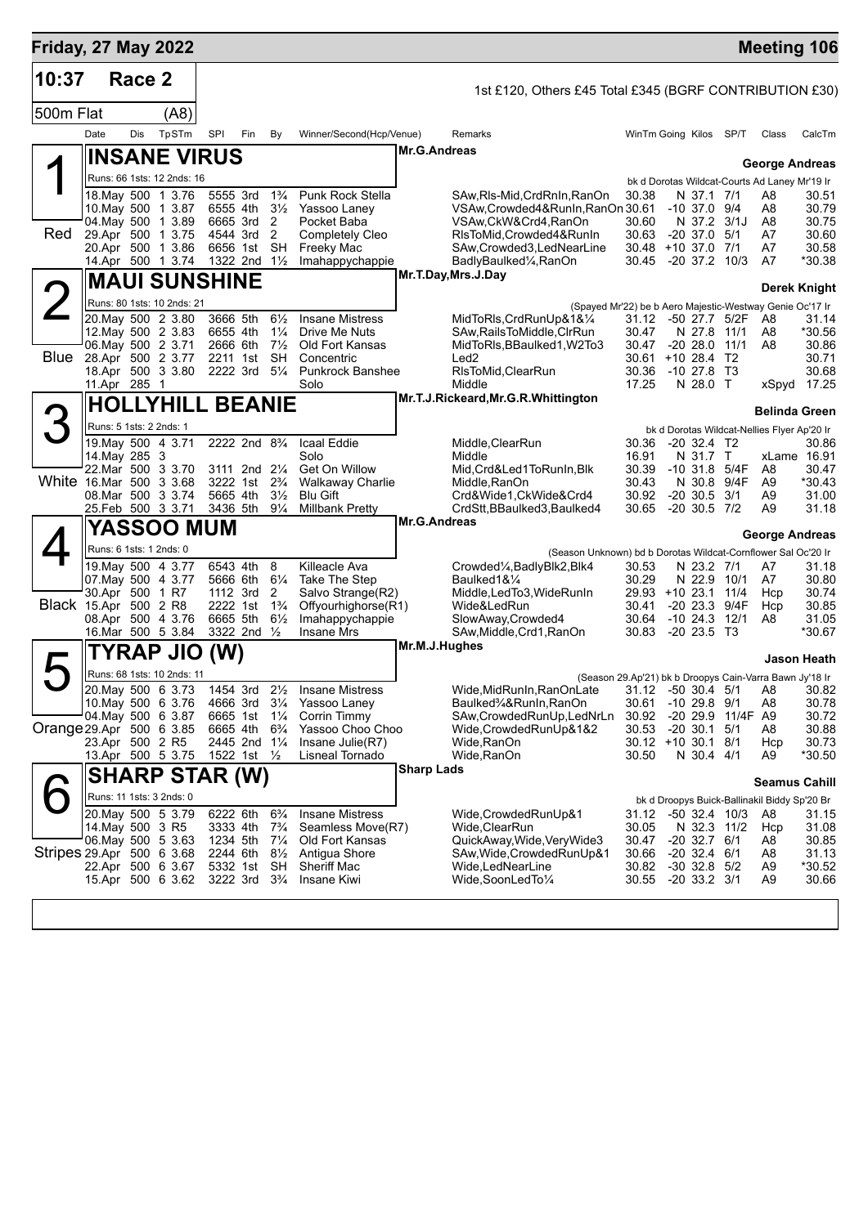| <b>Friday, 27 May 2022</b> |                         |        |                                          |                         |                                         |                                  |                                           |                                                                                 |                              |                                      |                   | <b>Meeting 106</b>                                                   |                   |
|----------------------------|-------------------------|--------|------------------------------------------|-------------------------|-----------------------------------------|----------------------------------|-------------------------------------------|---------------------------------------------------------------------------------|------------------------------|--------------------------------------|-------------------|----------------------------------------------------------------------|-------------------|
| 10:37                      |                         | Race 2 |                                          |                         |                                         |                                  |                                           | 1st £120, Others £45 Total £345 (BGRF CONTRIBUTION £30)                         |                              |                                      |                   |                                                                      |                   |
| 500m Flat                  |                         |        | (A8)                                     |                         |                                         |                                  |                                           |                                                                                 |                              |                                      |                   |                                                                      |                   |
|                            | Date                    | Dis    | TpSTm                                    | SPI                     | Fin                                     | By                               | Winner/Second(Hcp/Venue)                  | Remarks                                                                         | WinTm Going Kilos SP/T       |                                      |                   | Class                                                                | CalcTm            |
|                            |                         |        | <b>INSANE VIRUS</b>                      |                         |                                         |                                  |                                           | <b>Mr.G.Andreas</b>                                                             |                              |                                      |                   | <b>George Andreas</b>                                                |                   |
|                            |                         |        | Runs: 66 1sts: 12 2nds: 16               |                         |                                         |                                  |                                           |                                                                                 |                              |                                      |                   | bk d Dorotas Wildcat-Courts Ad Laney Mr'19 Ir                        |                   |
|                            |                         |        | 18. May 500 1 3.76                       | 5555 3rd                |                                         | $1\frac{3}{4}$                   | Punk Rock Stella                          | SAw,Rls-Mid,CrdRnIn,RanOn                                                       | 30.38                        | N 37.1 7/1                           |                   | A8                                                                   | 30.51             |
|                            |                         |        | 10. May 500 1 3.87<br>04. May 500 1 3.89 | 6555 4th<br>6665 3rd    |                                         | $3\frac{1}{2}$<br>2              | Yassoo Laney<br>Pocket Baba               | VSAw, Crowded 4& Run In, Ran On 30.61<br>VSAw, CkW&Crd4, RanOn                  | 30.60                        | $-10$ 37.0 $9/4$<br>N 37.2 3/1J      |                   | A8<br>A8                                                             | 30.79<br>30.75    |
| Red                        |                         |        | 29.Apr 500 1 3.75                        |                         | 4544 3rd                                | 2                                | <b>Completely Cleo</b>                    | RIsToMid, Crowded4&RunIn                                                        | 30.63                        | $-20$ 37.0 $5/1$                     |                   | A7                                                                   | 30.60             |
|                            |                         |        | 20.Apr 500 1 3.86<br>14.Apr 500 1 3.74   | 1322 2nd $1\frac{1}{2}$ | 6656 1st                                | <b>SH</b>                        | <b>Freeky Mac</b><br>Imahappychappie      | SAw, Crowded 3, Led NearLine<br>BadlyBaulked <sup>1</sup> / <sub>4</sub> ,RanOn | 30.48 +10 37.0 7/1<br>30.45  | $-20$ 37.2 10/3                      |                   | A7<br>A7                                                             | 30.58<br>*30.38   |
|                            |                         |        | <b>MAUI SUNSHINE</b>                     |                         |                                         |                                  |                                           | Mr.T.Day, Mrs.J.Day                                                             |                              |                                      |                   | <b>Derek Knight</b>                                                  |                   |
| $\angle$                   |                         |        | Runs: 80 1sts: 10 2nds: 21               |                         |                                         |                                  |                                           | (Spayed Mr'22) be b Aero Majestic-Westway Genie Oc'17 Ir                        |                              |                                      |                   |                                                                      |                   |
|                            |                         |        | 20. May 500 2 3.80                       | 3666 5th                |                                         | $6\frac{1}{2}$                   | <b>Insane Mistress</b>                    | MidToRIs, CrdRunUp&1&1/4                                                        | 31.12                        | -50 27.7 5/2F                        |                   | A8                                                                   | 31.14             |
|                            |                         |        | 12. May 500 2 3.83<br>06. May 500 2 3.71 | 6655 4th<br>2666 6th    |                                         | $1\frac{1}{4}$<br>$7\frac{1}{2}$ | Drive Me Nuts<br>Old Fort Kansas          | SAw, Rails To Middle, CIrRun<br>MidToRIs, BBaulked1, W2To3                      | 30.47<br>30.47               | N 27.8<br>$-20, 28.0$                | 11/1<br>11/1      | A8<br>A8                                                             | $*30.56$<br>30.86 |
| <b>Blue</b>                |                         |        | 28.Apr 500 2 3.77                        | 2211 1st                |                                         | <b>SH</b>                        | Concentric                                | Led <sub>2</sub>                                                                | 30.61                        | $+1028.4$                            | T <sub>2</sub>    |                                                                      | 30.71             |
|                            | 11.Apr 285 1            |        | 18.Apr 500 3 3.80                        | 2222 3rd                |                                         | $5\frac{1}{4}$                   | Punkrock Banshee<br>Solo                  | RIsToMid, ClearRun<br>Middle                                                    | 30.36<br>17.25               | $-10$ 27.8 T3<br>N 28.0 T            |                   | xSpyd                                                                | 30.68<br>17.25    |
|                            |                         |        | <b>HOLLYHILL BEANIE</b>                  |                         |                                         |                                  |                                           | Mr.T.J.Rickeard, Mr.G.R. Whittington                                            |                              |                                      |                   |                                                                      |                   |
|                            | Runs: 5 1sts: 2 2nds: 1 |        |                                          |                         |                                         |                                  |                                           |                                                                                 |                              |                                      |                   | Belinda Green<br>bk d Dorotas Wildcat-Nellies Flyer Ap'20 Ir         |                   |
|                            |                         |        | 19. May 500 4 3.71                       |                         | 2222 2nd 8 <sup>3</sup> / <sub>4</sub>  |                                  | Icaal Eddie                               | Middle, ClearRun                                                                | 30.36                        | $-20$ 32.4 T2                        |                   |                                                                      | 30.86             |
|                            | 14. May 285 3           |        | 22. Mar 500 3 3.70                       |                         | 3111 2nd 21/4                           |                                  | Solo<br>Get On Willow                     | Middle<br>Mid, Crd&Led1ToRunIn, Blk                                             | 16.91<br>30.39               | N 31.7<br>$-10$ 31.8 $5/4F$          | T                 | xLame 16.91<br>A8                                                    | 30.47             |
| White 16.Mar 500 3 3.68    |                         |        |                                          |                         | 3222 1st                                | $2\frac{3}{4}$                   | <b>Walkaway Charlie</b>                   | Middle, RanOn                                                                   | 30.43                        | N 30.8                               | 9/4F              | A9                                                                   | *30.43            |
|                            |                         |        | 08.Mar 500 3 3.74<br>25.Feb 500 3 3.71   | 5665 4th                | 3436 5th 91/4                           | $3\frac{1}{2}$                   | <b>Blu Gift</b><br><b>Millbank Pretty</b> | Crd&Wide1,CkWide&Crd4<br>CrdStt, BBaulked3, Baulked4                            | 30.92<br>30.65               | $-20$ 30.5 3/1<br>$-20$ 30.5 $7/2$   |                   | A9<br>A9                                                             | 31.00<br>31.18    |
|                            |                         |        | YASSOO MUM                               |                         |                                         |                                  |                                           | <b>Mr.G.Andreas</b>                                                             |                              |                                      |                   |                                                                      |                   |
|                            |                         |        | Runs: 6 1sts: 1 2nds: 0                  |                         |                                         |                                  |                                           | (Season Unknown) bd b Dorotas Wildcat-Cornflower Sal Oc'20 Ir                   |                              |                                      |                   | George Andreas                                                       |                   |
|                            |                         |        | 19. May 500 4 3.77                       | 6543 4th                |                                         | 8                                | Killeacle Ava                             | Crowded1/ <sub>4</sub> , Badly Blk2, Blk4                                       | 30.53                        | N 23.2 7/1                           |                   | A7                                                                   | 31.18             |
|                            | 30.Apr 500 1 R7         |        | 07. May 500 4 3.77                       | 5666 6th                | 1112 3rd                                | $6\frac{1}{4}$<br>2              | Take The Step<br>Salvo Strange(R2)        | Baulked1&1/4<br>Middle, LedTo3, WideRunIn                                       | 30.29<br>29.93 +10 23.1 11/4 | N 22.9                               | 10/1              | A7<br>Hcp                                                            | 30.80<br>30.74    |
| Black 15.Apr 500 2 R8      |                         |        |                                          | 2222 1st                |                                         | $1\frac{3}{4}$                   | Offyourhighorse(R1)                       | Wide&LedRun                                                                     | 30.41                        | $-2023.3$                            | 9/4F              | Hcp                                                                  | 30.85             |
|                            |                         |        | 08.Apr 500 4 3.76<br>16.Mar 500 5 3.84   | 6665 5th                | 3322 2nd 1/2                            | $6\frac{1}{2}$                   | Imahappychappie<br><b>Insane Mrs</b>      | SlowAway, Crowded4<br>SAw, Middle, Crd1, RanOn                                  | 30.64<br>30.83               | $-10$ 24.3 $12/1$<br>$-2023.5$ T3    |                   | A8                                                                   | 31.05<br>*30.67   |
|                            |                         |        | TYRAP JIO                                | (W)                     |                                         |                                  |                                           | Mr.M.J.Hughes                                                                   |                              |                                      |                   |                                                                      |                   |
|                            |                         |        | Runs: 68 1sts: 10 2nds: 11               |                         |                                         |                                  |                                           | (Season 29.Ap'21) bk b Droopys Cain-Varra Bawn Jy'18 Ir                         |                              |                                      |                   |                                                                      | Jason Heath       |
|                            |                         |        | 20. May 500 6 3.73                       | 1454 3rd                |                                         |                                  | 21/ <sub>2</sub> Insane Mistress          | Wide, Mid RunIn, Ran On Late 31.12 - 50 30.4 5/1                                |                              |                                      |                   | A8 30.82                                                             |                   |
|                            |                         |        | 10. May 500 6 3.76<br>04. May 500 6 3.87 | 6665 1st                | 4666 3rd 31/4                           | $1\frac{1}{4}$                   | Yassoo Laney<br>Corrin Timmy              | Baulked3⁄4&RunIn, RanOn<br>SAw,CrowdedRunUp,LedNrLn                             | 30.61<br>30.92               | $-10$ 29.8 $9/1$                     | -20 29.9 11/4F A9 | A8                                                                   | 30.78<br>30.72    |
| Orange 29 Apr 500 6 3.85   |                         |        |                                          | 6665 4th                |                                         | $6\frac{3}{4}$                   | Yassoo Choo Choo                          | Wide, Crowded RunUp&1&2                                                         | 30.53                        | $-20$ 30.1 $5/1$                     |                   | A8                                                                   | 30.88             |
|                            | 23.Apr 500 2 R5         |        | 13.Apr 500 5 3.75                        |                         | 2445 2nd 11/4<br>1522 1st $\frac{1}{2}$ |                                  | Insane Julie(R7)<br>Lisneal Tornado       | Wide,RanOn<br>Wide, RanOn                                                       | 30.12 +10 30.1 8/1<br>30.50  | N 30.4 4/1                           |                   | Hcp<br>A9                                                            | 30.73<br>*30.50   |
|                            |                         |        | <b>SHARP STAR (W)</b>                    |                         |                                         |                                  |                                           | <b>Sharp Lads</b>                                                               |                              |                                      |                   |                                                                      |                   |
|                            |                         |        | Runs: 11 1sts: 3 2nds: 0                 |                         |                                         |                                  |                                           |                                                                                 |                              |                                      |                   | <b>Seamus Cahill</b><br>bk d Droopys Buick-Ballinakil Biddy Sp'20 Br |                   |
|                            |                         |        | 20. May 500 5 3.79                       | 6222 6th                |                                         | $6\frac{3}{4}$                   | <b>Insane Mistress</b>                    | Wide, Crowded RunUp&1                                                           | 31.12                        | -50 32.4 10/3                        |                   | A8                                                                   | 31.15             |
|                            | 14. May 500 3 R5        |        | 06 May 500 5 3.63                        | 3333 4th<br>1234 5th    |                                         | $7\frac{3}{4}$<br>$7\frac{1}{4}$ | Seamless Move(R7)<br>Old Fort Kansas      | Wide, ClearRun<br>QuickAway, Wide, Very Wide3                                   | 30.05<br>30.47               | N 32.3 11/2<br>$-20$ 32.7 $6/1$      |                   | Hcp<br>A8                                                            | 31.08<br>30.85    |
| Stripes 29.Apr 500 6 3.68  |                         |        |                                          | 2244 6th                |                                         | $8\frac{1}{2}$                   | Antigua Shore                             | SAw, Wide, Crowded RunUp&1                                                      | 30.66                        | $-20$ 32.4 $6/1$                     |                   | A8                                                                   | 31.13             |
|                            |                         |        | 22.Apr 500 6 3.67<br>15.Apr 500 6 3.62   | 5332 1st                | 3222 3rd 3 <sup>3</sup> / <sub>4</sub>  | SH.                              | Sheriff Mac<br>Insane Kiwi                | Wide,LedNearLine<br>Wide,SoonLedTo1/4                                           | 30.82<br>30.55               | $-30$ 32.8 $5/2$<br>$-20$ 33.2 $3/1$ |                   | A9<br>A9                                                             | *30.52<br>30.66   |
|                            |                         |        |                                          |                         |                                         |                                  |                                           |                                                                                 |                              |                                      |                   |                                                                      |                   |
|                            |                         |        |                                          |                         |                                         |                                  |                                           |                                                                                 |                              |                                      |                   |                                                                      |                   |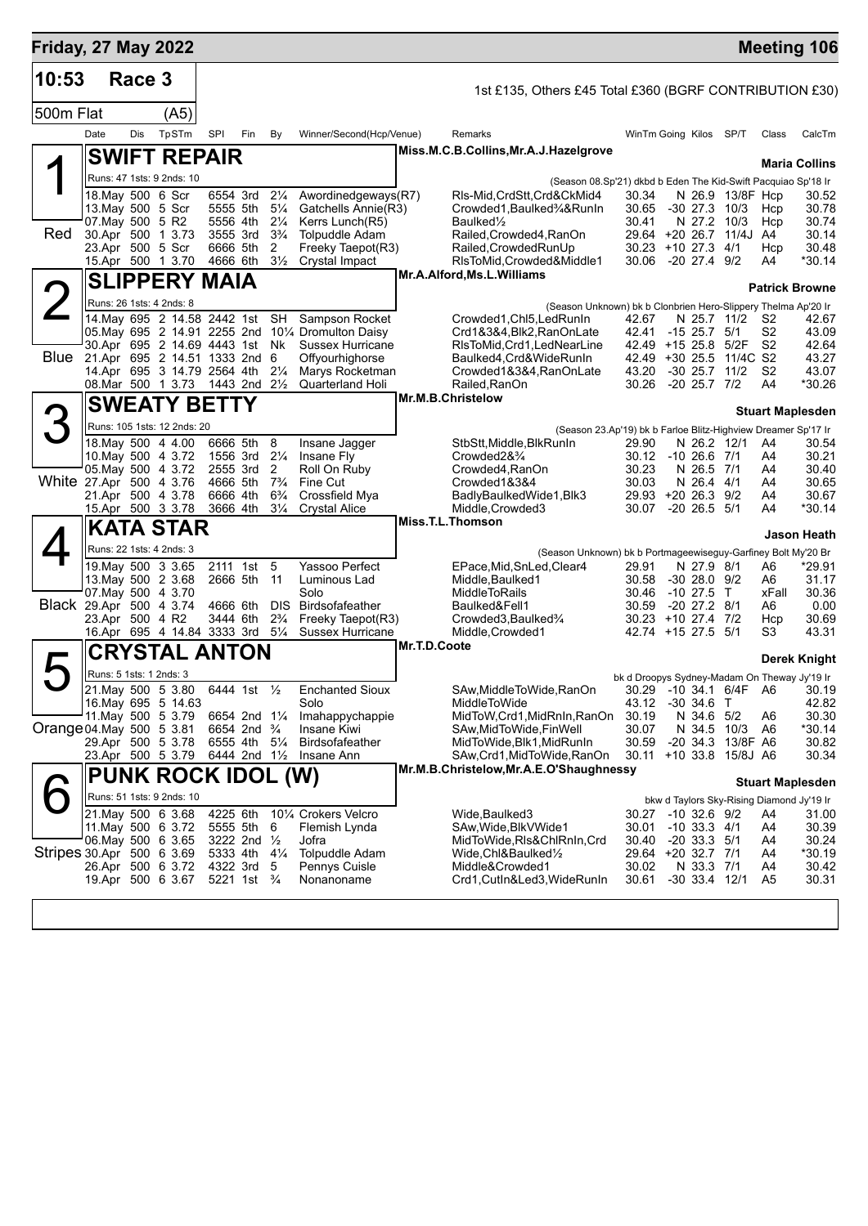| <b>Friday, 27 May 2022</b> |                                          |        |       |                                      |     |                                  |                                                                        |              |                                                                        |                                              |                                 |                         |                                  | <b>Meeting 106</b>                        |
|----------------------------|------------------------------------------|--------|-------|--------------------------------------|-----|----------------------------------|------------------------------------------------------------------------|--------------|------------------------------------------------------------------------|----------------------------------------------|---------------------------------|-------------------------|----------------------------------|-------------------------------------------|
| 10:53                      |                                          | Race 3 |       |                                      |     |                                  |                                                                        |              | 1st £135, Others £45 Total £360 (BGRF CONTRIBUTION £30)                |                                              |                                 |                         |                                  |                                           |
| 500m Flat                  |                                          |        | (A5)  |                                      |     |                                  |                                                                        |              |                                                                        |                                              |                                 |                         |                                  |                                           |
|                            | Date                                     | Dis    | TpSTm | SPI                                  | Fin | By                               | Winner/Second(Hcp/Venue)                                               |              | Remarks                                                                | WinTm Going Kilos SP/T                       |                                 |                         | Class                            | CalcTm                                    |
|                            | <b>SWIFT REPAIR</b>                      |        |       |                                      |     |                                  |                                                                        |              | Miss.M.C.B.Collins, Mr.A.J.Hazelgrove                                  |                                              |                                 |                         |                                  | <b>Maria Collins</b>                      |
|                            | Runs: 47 1sts: 9 2nds: 10                |        |       |                                      |     |                                  |                                                                        |              | (Season 08.Sp'21) dkbd b Eden The Kid-Swift Pacquiao Sp'18 Ir          |                                              |                                 |                         |                                  |                                           |
|                            | 18. May 500 6 Scr                        |        |       | 6554 3rd                             |     | $2\frac{1}{4}$                   | Awordinedgeways(R7)                                                    |              | RIs-Mid, CrdStt, Crd&CkMid4                                            | 30.34                                        |                                 | N 26.9 13/8F Hcp        |                                  | 30.52                                     |
|                            | 13. May 500 5 Scr                        |        |       | 5555 5th                             |     | $5\frac{1}{4}$                   | Gatchells Annie(R3)                                                    |              | Crowded1, Baulked3/4&RunIn                                             | 30.65                                        | $-30$ 27.3 10/3                 |                         | Hcp                              | 30.78                                     |
| Red                        | 07. May 500 5 R2<br>30.Apr 500 1 3.73    |        |       | 5556 4th<br>3555 3rd                 |     | $2\frac{1}{4}$<br>$3\frac{3}{4}$ | Kerrs Lunch(R5)<br><b>Tolpuddle Adam</b>                               |              | Baulked <sup>1</sup> / <sub>2</sub><br>Railed, Crowded4, RanOn         | 30.41                                        | N 27.2 10/3                     | 29.64 +20 26.7 11/4J A4 | Hcp                              | 30.74<br>30.14                            |
|                            | 23.Apr 500 5 Scr                         |        |       | 6666 5th                             |     | 2                                | Freeky Taepot(R3)                                                      |              | Railed, Crowded RunUp                                                  | 30.23 +10 27.3 4/1                           |                                 |                         | Hcp                              | 30.48                                     |
|                            | 15.Apr 500 1 3.70                        |        |       | 4666 6th                             |     | $3\frac{1}{2}$                   | <b>Crystal Impact</b>                                                  |              | RIsToMid, Crowded&Middle1                                              | 30.06 -20 27.4 9/2                           |                                 |                         | A4                               | *30.14                                    |
|                            | <b>SLIPPERY MAIA</b>                     |        |       |                                      |     |                                  |                                                                        |              | Mr.A.Alford, Ms.L.Williams                                             |                                              |                                 |                         |                                  | <b>Patrick Browne</b>                     |
|                            | Runs: 26 1sts: 4 2nds: 8                 |        |       |                                      |     |                                  |                                                                        |              | (Season Unknown) bk b Clonbrien Hero-Slippery Thelma Ap'20 Ir          |                                              |                                 |                         |                                  |                                           |
|                            | 14. May 695 2 14.58 2442 1st             |        |       |                                      |     | SH                               | Sampson Rocket                                                         |              | Crowded1, Chl5, LedRunIn                                               | 42.67                                        |                                 | N 25.7 11/2             | S2                               | 42.67                                     |
|                            | 30.Apr 695 2 14.69 4443 1st Nk           |        |       |                                      |     |                                  | 05. May 695 2 14.91 2255 2nd 101/4 Dromulton Daisy<br>Sussex Hurricane |              | Crd1&3&4,Blk2,RanOnLate<br>RIsToMid, Crd1, LedNearLine                 | 42.41<br>42.49 +15 25.8 5/2F                 | $-15$ 25.7 $5/1$                |                         | S <sub>2</sub><br>S <sub>2</sub> | 43.09<br>42.64                            |
| Blue                       | 21.Apr 695 2 14.51 1333 2nd 6            |        |       |                                      |     |                                  | Offyourhighorse                                                        |              | Baulked4, Crd& WideRunIn                                               |                                              |                                 | 42.49 +30 25.5 11/4C S2 |                                  | 43.27                                     |
|                            | 14.Apr 695 3 14.79 2564 4th              |        |       |                                      |     | $2\frac{1}{4}$                   | Marys Rocketman                                                        |              | Crowded1&3&4,RanOnLate                                                 | 43.20                                        |                                 | $-30$ 25.7 $11/2$       | S2                               | 43.07                                     |
|                            | 08. Mar 500 1 3.73                       |        |       | 1443 2nd 21/2                        |     |                                  | <b>Quarterland Holi</b>                                                |              | Railed, RanOn<br>Mr.M.B.Christelow                                     | 30.26                                        | -20 25.7 7/2                    |                         | A4                               | *30.26                                    |
|                            | <b>SWEATY BETTY</b>                      |        |       |                                      |     |                                  |                                                                        |              |                                                                        |                                              |                                 |                         |                                  | <b>Stuart Maplesden</b>                   |
| $\mathcal{S}$              | Runs: 105 1sts: 12 2nds: 20              |        |       |                                      |     |                                  |                                                                        |              | (Season 23.Ap'19) bk b Farloe Blitz-Highview Dreamer Sp'17 Ir          |                                              |                                 |                         |                                  |                                           |
|                            | 18. May 500 4 4.00                       |        |       | 6666 5th                             |     | 8                                | Insane Jagger                                                          |              | StbStt,Middle,BlkRunIn                                                 | 29.90                                        | N 26.2 12/1                     |                         | A4                               | 30.54                                     |
|                            | 10. May 500 4 3.72<br>05. May 500 4 3.72 |        |       | 1556 3rd 21/4<br>2555 3rd            |     | 2                                | Insane Fly<br>Roll On Ruby                                             |              | Crowded2&3/4<br>Crowded4, RanOn                                        | 30.12 -10 26.6 7/1<br>30.23                  | N 26.5 7/1                      |                         | A4                               | 30.21<br>30.40                            |
| White 27.Apr 500 4 3.76    |                                          |        |       | 4666 5th                             |     | $7\frac{3}{4}$                   | Fine Cut                                                               |              | Crowded1&3&4                                                           | 30.03                                        | N 26.4 4/1                      |                         | A4<br>A4                         | 30.65                                     |
|                            | 21.Apr 500 4 3.78                        |        |       | 6666 4th                             |     | $6\frac{3}{4}$                   | Crossfield Mya                                                         |              | BadlyBaulkedWide1, Blk3                                                | 29.93 +20 26.3 9/2                           |                                 |                         | A4                               | 30.67                                     |
|                            | 15.Apr 500 3 3.78                        |        |       | 3666 4th                             |     | $3\frac{1}{4}$                   | <b>Crystal Alice</b>                                                   |              | Middle, Crowded 3<br>Miss.T.L.Thomson                                  | 30.07                                        | $-20$ 26.5 $5/1$                |                         | A4                               | $*30.14$                                  |
|                            | <b>KATA STAR</b>                         |        |       |                                      |     |                                  |                                                                        |              |                                                                        |                                              |                                 |                         |                                  | Jason Heath                               |
|                            | Runs: 22 1sts: 4 2nds: 3                 |        |       |                                      |     |                                  |                                                                        |              | (Season Unknown) bk b Portmageewiseguy-Garfiney Bolt My'20 Br          |                                              |                                 |                         |                                  |                                           |
|                            | 19. May 500 3 3.65                       |        |       | 2111 1st 5                           |     |                                  | Yassoo Perfect                                                         |              | EPace, Mid, SnLed, Clear4                                              | 29.91                                        | N 27.9 8/1                      |                         | A6                               | *29.91                                    |
|                            | 13. May 500 2 3.68<br>07. May 500 4 3.70 |        |       | 2666 5th                             |     | 11                               | Luminous Lad<br>Solo                                                   |              | Middle, Baulked1<br><b>MiddleToRails</b>                               | 30.58<br>30.46                               | $-3028.09/2$<br>$-10$ 27.5 T    |                         | A6<br>xFall                      | 31.17<br>30.36                            |
| Black 29.Apr 500 4 3.74    |                                          |        |       | 4666 6th                             |     | DIS.                             | Birdsofafeather                                                        |              | Baulked&Fell1                                                          | 30.59                                        | $-20$ 27.2 $8/1$                |                         | A6                               | 0.00                                      |
|                            | 23.Apr 500 4 R2                          |        |       | 3444 6th                             |     | $2\frac{3}{4}$                   | Freeky Taepot(R3)                                                      |              | Crowded3, Baulked3/4                                                   | 30.23 +10 27.4 7/2                           |                                 |                         | Hcp                              | 30.69                                     |
|                            | 16.Apr 695 4 14.84 3333 3rd              |        |       |                                      |     | $5\frac{1}{4}$                   | Sussex Hurricane                                                       | Mr.T.D.Coote | Middle, Crowded 1                                                      | 42.74 +15 27.5 5/1                           |                                 |                         | S3                               | 43.31                                     |
|                            | <b>CRYSTAL ANTON</b>                     |        |       |                                      |     |                                  |                                                                        |              |                                                                        |                                              |                                 |                         |                                  | Derek Knight                              |
|                            | Runs: 5 1sts: 1 2nds: 3                  |        |       |                                      |     |                                  |                                                                        |              |                                                                        | bk d Droopys Sydney-Madam On Theway Jy'19 Ir |                                 |                         |                                  |                                           |
|                            | 21. May 500 5 3.80                       |        |       | 6444 1st 1/2                         |     |                                  | <b>Enchanted Sioux</b>                                                 |              | SAw, Middle To Wide, RanOn                                             | 43.12 -30 34.6 T                             |                                 |                         |                                  | 30.29 -10 34.1 6/4F A6 30.19              |
|                            | 16. May 695 5 14.63<br>11 May 500 5 3.79 |        |       | 6654 2nd 11/4                        |     |                                  | Solo<br>Imahappychappie                                                |              | MiddleToWide<br>MidToW,Crd1,MidRnIn,RanOn                              | 30.19                                        | N 34.6 5/2                      |                         | A6                               | 42.82<br>30.30                            |
| Orange 04. May 500 5 3.81  |                                          |        |       | 6654 2nd <sup>3</sup> / <sub>4</sub> |     |                                  | Insane Kiwi                                                            |              | SAw,MidToWide,FinWell                                                  | 30.07                                        |                                 | N 34.5 10/3             | A6                               | *30.14                                    |
|                            | 29.Apr 500 5 3.78                        |        |       | 6555 4th 51/4                        |     |                                  | Birdsofafeather                                                        |              | MidToWide,Blk1,MidRunIn                                                | 30.59                                        |                                 | -20 34.3 13/8F A6       |                                  | 30.82                                     |
|                            | 23.Apr 500 5 3.79                        |        |       | 6444 2nd 1½                          |     |                                  | Insane Ann                                                             |              | SAw, Crd1, MidToWide, RanOn<br>Mr.M.B.Christelow, Mr.A.E.O'Shaughnessy |                                              |                                 | 30.11 +10 33.8 15/8J A6 |                                  | 30.34                                     |
|                            | <b>PUNK ROCK IDOL (W)</b>                |        |       |                                      |     |                                  |                                                                        |              |                                                                        |                                              |                                 |                         |                                  | <b>Stuart Maplesden</b>                   |
|                            | Runs: 51 1sts: 9 2nds: 10                |        |       |                                      |     |                                  |                                                                        |              |                                                                        |                                              |                                 |                         |                                  | bkw d Taylors Sky-Rising Diamond Jy'19 Ir |
|                            | 21. May 500 6 3.68                       |        |       | 4225 6th                             |     |                                  | 101⁄4 Crokers Velcro                                                   |              | Wide,Baulked3                                                          | 30.27 -10 32.6 9/2                           |                                 |                         | A4                               | 31.00                                     |
|                            | 11. May 500 6 3.72<br>06. May 500 6 3.65 |        |       | 5555 5th 6<br>3222 2nd 1/2           |     |                                  | Flemish Lynda<br>Jofra                                                 |              | SAw, Wide, Blk V Wide 1<br>MidToWide,RIs&ChlRnIn,Crd                   | 30.01<br>30.40                               | $-10$ 33.3 $4/1$<br>$-2033.351$ |                         | A4<br>A4                         | 30.39<br>30.24                            |
| Stripes 30.Apr 500 6 3.69  |                                          |        |       | 5333 4th 41/4                        |     |                                  | <b>Tolpuddle Adam</b>                                                  |              | Wide,Chl&Baulked½                                                      | 29.64 +20 32.7 7/1                           |                                 |                         | A4                               | *30.19                                    |
|                            | 26.Apr 500 6 3.72                        |        |       | 4322 3rd 5                           |     |                                  | Pennys Cuisle                                                          |              | Middle&Crowded1                                                        | 30.02                                        | N 33.3 7/1                      |                         | A4                               | 30.42                                     |
|                            | 19.Apr 500 6 3.67                        |        |       | 5221 1st $\frac{3}{4}$               |     |                                  | Nonanoname                                                             |              | Crd1,CutIn&Led3,WideRunIn                                              | 30.61                                        | $-30$ 33.4 12/1                 |                         | A5                               | 30.31                                     |
|                            |                                          |        |       |                                      |     |                                  |                                                                        |              |                                                                        |                                              |                                 |                         |                                  |                                           |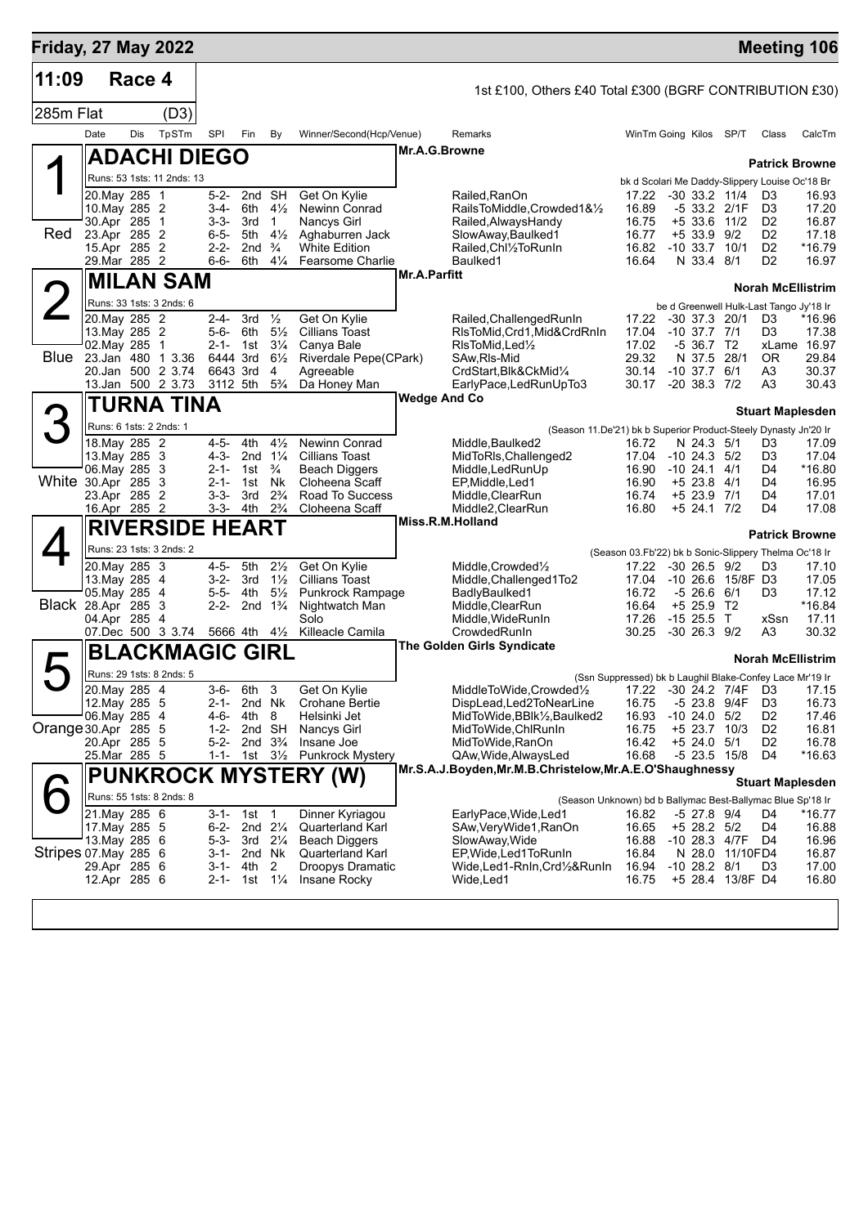| <b>Friday, 27 May 2022</b> |                                |        |                             |                        |                                        |                                        |                                                  |                     |                                                                                     |                                                          |                            |                                      |                                                | <b>Meeting 106</b>       |
|----------------------------|--------------------------------|--------|-----------------------------|------------------------|----------------------------------------|----------------------------------------|--------------------------------------------------|---------------------|-------------------------------------------------------------------------------------|----------------------------------------------------------|----------------------------|--------------------------------------|------------------------------------------------|--------------------------|
| 11:09                      |                                | Race 4 |                             |                        |                                        |                                        |                                                  |                     | 1st £100, Others £40 Total £300 (BGRF CONTRIBUTION £30)                             |                                                          |                            |                                      |                                                |                          |
| 285m Flat                  |                                |        | (D3)                        |                        |                                        |                                        |                                                  |                     |                                                                                     |                                                          |                            |                                      |                                                |                          |
|                            | Date                           | Dis    | TpSTm                       | <b>SPI</b>             | Fin                                    | By                                     | Winner/Second(Hcp/Venue)                         |                     | Remarks                                                                             |                                                          | WinTm Going Kilos SP/T     |                                      | Class                                          | CalcTm                   |
|                            |                                |        | <b>ADACHI DIEGO</b>         |                        |                                        |                                        |                                                  | Mr.A.G.Browne       |                                                                                     |                                                          |                            |                                      |                                                | <b>Patrick Browne</b>    |
|                            |                                |        | Runs: 53 1sts: 11 2nds: 13  |                        |                                        |                                        |                                                  |                     |                                                                                     |                                                          |                            |                                      | bk d Scolari Me Daddy-Slippery Louise Oc'18 Br |                          |
|                            | 20.May 285 1                   |        |                             | $5 - 2 -$              | 2nd SH                                 |                                        | Get On Kylie                                     |                     | Railed, RanOn                                                                       | 17.22                                                    |                            | $-30$ 33.2 11/4                      | D <sub>3</sub>                                 | 16.93                    |
|                            | 10. May 285 2<br>30.Apr 285    |        | $\mathbf 1$                 | $3-4-$<br>$3 - 3 -$    | 6th<br>3rd                             | $4\frac{1}{2}$<br>$\mathbf{1}$         | Newinn Conrad<br>Nancys Girl                     |                     | RailsToMiddle.Crowded1&1/2<br>Railed, Always Handy                                  | 16.89<br>16.75                                           |                            | -5 33.2 2/1F<br>+5 33.6 11/2         | D <sub>3</sub><br>D <sub>2</sub>               | 17.20<br>16.87           |
| Red                        | 23.Apr 285 2                   |        |                             | $6 - 5 -$              | 5th                                    | $4\frac{1}{2}$                         | Aghaburren Jack                                  |                     | SlowAway, Baulked1                                                                  | 16.77                                                    |                            | $+533.992$                           | D <sub>2</sub>                                 | 17.18                    |
|                            | 15.Apr 285 2                   |        |                             | $2 - 2 -$              | 2 <sub>nd</sub>                        | $\frac{3}{4}$                          | <b>White Edition</b>                             |                     | Railed, Chl1/2To RunIn                                                              | 16.82                                                    | $-10, 33.7$                | 10/1                                 | D <sub>2</sub>                                 | *16.79                   |
|                            | 29.Mar 285 2                   |        |                             | $6 - 6 -$              | 6th                                    | $4\frac{1}{4}$                         | Fearsome Charlie                                 | <b>Mr.A.Parfitt</b> | Baulked1                                                                            | 16.64                                                    |                            | N 33.4 8/1                           | D <sub>2</sub>                                 | 16.97                    |
|                            |                                |        | <b>MILAN SAM</b>            |                        |                                        |                                        |                                                  |                     |                                                                                     |                                                          |                            |                                      |                                                | <b>Norah McEllistrim</b> |
|                            | 20. May 285 2                  |        | Runs: 33 1sts: 3 2nds: 6    | 2-4-                   | 3rd                                    | $\frac{1}{2}$                          | Get On Kylie                                     |                     | Railed, Challenged RunIn                                                            | 17.22                                                    |                            | $-30$ 37.3 20/1                      | be d Greenwell Hulk-Last Tango Jy'18 Ir<br>D3  | *16.96                   |
|                            | 13. May 285 2                  |        |                             | $5 - 6 -$              | 6th                                    | $5\frac{1}{2}$                         | <b>Cillians Toast</b>                            |                     | RIsToMid, Crd1, Mid&CrdRnIn                                                         | 17.04                                                    | $-10$ 37.7 $7/1$           |                                      | D3                                             | 17.38                    |
|                            | 02. May 285                    |        | $\mathbf 1$                 | $2 - 1 - 1$ st         |                                        | $3\frac{1}{4}$                         | Canya Bale                                       |                     | RIsToMid, Led <sup>1</sup> / <sub>2</sub>                                           | 17.02                                                    |                            | -5 36.7 T2                           |                                                | xLame 16.97              |
| Blue                       | 23.Jan 480                     |        | 1 3.36<br>20.Jan 500 2 3.74 | 6444 3rd<br>6643 3rd   |                                        | $6\frac{1}{2}$<br>4                    | Riverdale Pepe(CPark)<br>Agreeable               |                     | SAw, RIs-Mid<br>CrdStart, Blk&CkMid1/4                                              | 29.32<br>30.14                                           | N 37.5<br>$-10$ 37.7 $6/1$ | 28/1                                 | 0R<br>A3                                       | 29.84<br>30.37           |
|                            |                                |        | 13.Jan 500 2 3.73           | 3112 5th               |                                        | $5\frac{3}{4}$                         | Da Honey Man                                     |                     | EarlyPace,LedRunUpTo3                                                               | 30.17                                                    | $-20$ 38.3 $7/2$           |                                      | A3                                             | 30.43                    |
|                            |                                |        | TURNA TINA                  |                        |                                        |                                        |                                                  | <b>Wedge And Co</b> |                                                                                     |                                                          |                            |                                      |                                                |                          |
|                            |                                |        | Runs: 6 1sts: 2 2nds: 1     |                        |                                        |                                        |                                                  |                     |                                                                                     |                                                          |                            |                                      |                                                | <b>Stuart Maplesden</b>  |
|                            | 18. May 285 2                  |        |                             | $4 - 5 -$              | 4th                                    | $4\frac{1}{2}$                         | <b>Newinn Conrad</b>                             |                     | (Season 11.De'21) bk b Superior Product-Steely Dynasty Jn'20 Ir<br>Middle, Baulked2 | 16.72                                                    |                            | N 24.3 5/1                           | D3                                             | 17.09                    |
|                            | 13. May 285 3                  |        |                             | $4 - 3 -$              |                                        | 2nd $1\frac{1}{4}$                     | <b>Cillians Toast</b>                            |                     | MidToRIs, Challenged2                                                               | 17.04                                                    | $-10$ 24.3 $5/2$           |                                      | D3                                             | 17.04                    |
| White 30.Apr 285 3         | 06. May 285 3                  |        |                             | $2 - 1 -$              | 1st                                    | $\frac{3}{4}$                          | <b>Beach Diggers</b>                             |                     | Middle, Led Run Up                                                                  | 16.90                                                    | $-10$ 24.1 $4/1$           |                                      | D4                                             | *16.80                   |
|                            | 23.Apr 285 2                   |        |                             | $2 - 1 -$<br>$3 - 3 -$ | 1st<br>3rd                             | <b>N<sub>k</sub></b><br>$2\frac{3}{4}$ | Cloheena Scaff<br>Road To Success                |                     | EP, Middle, Led1<br>Middle, ClearRun                                                | 16.90<br>16.74                                           | $+5$ 23.8                  | 4/1<br>+5 23.9 7/1                   | D4<br>D4                                       | 16.95<br>17.01           |
|                            | 16.Apr 285 2                   |        |                             | $3 - 3 -$              | 4th                                    | $2\frac{3}{4}$                         | Cloheena Scaff                                   |                     | Middle2, ClearRun                                                                   | 16.80                                                    |                            | +5 24.1 7/2                          | D4                                             | 17.08                    |
|                            |                                |        | <b>RIVERSIDE HEART</b>      |                        |                                        |                                        |                                                  |                     | Miss.R.M.Holland                                                                    |                                                          |                            |                                      |                                                | <b>Patrick Browne</b>    |
|                            |                                |        | Runs: 23 1sts: 3 2nds: 2    |                        |                                        |                                        |                                                  |                     |                                                                                     | (Season 03.Fb'22) bk b Sonic-Slippery Thelma Oc'18 Ir    |                            |                                      |                                                |                          |
|                            | 20.May 285 3                   |        |                             | $4 - 5 -$              | 5th                                    | $2\frac{1}{2}$                         | Get On Kylie                                     |                     | Middle, Crowded <sup>1</sup> / <sub>2</sub>                                         | 17.22                                                    | $-30$ 26.5 $9/2$           |                                      | D3                                             | 17.10                    |
|                            | 13. May 285 4<br>05. May 285   |        | $\overline{4}$              | $3 - 2 -$<br>$5 - 5 -$ | 3rd<br>4th                             | $1\frac{1}{2}$<br>$5\frac{1}{2}$       | <b>Cillians Toast</b><br><b>Punkrock Rampage</b> |                     | Middle, Challenged1To2<br>BadlyBaulked1                                             | 17.04<br>16.72                                           |                            | -10 26.6 15/8F D3<br>$-5, 26.6, 6/1$ | D3                                             | 17.05<br>17.12           |
| <b>Black 28.Apr 285 3</b>  |                                |        |                             | $2 - 2 -$              | 2nd                                    | $1\frac{3}{4}$                         | Nightwatch Man                                   |                     | Middle, ClearRun                                                                    | 16.64                                                    | +5 25.9                    | T2                                   |                                                | *16.84                   |
|                            | 04.Apr 285                     |        | 4<br>07.Dec 500 3 3.74      |                        |                                        |                                        | Solo                                             |                     | Middle, WideRunIn                                                                   | 17.26                                                    | $-1525.5$ T                |                                      | xSsn                                           | 17.11                    |
|                            |                                |        |                             |                        | 5666 4th                               | $4\frac{1}{2}$                         | Killeacle Camila                                 |                     | CrowdedRunIn<br><b>The Golden Girls Syndicate</b>                                   | 30.25                                                    | -30 26.3 9/2               |                                      | A3                                             | 30.32                    |
|                            |                                |        | BLACKMAGIC GIRL             |                        |                                        |                                        |                                                  |                     |                                                                                     |                                                          |                            |                                      |                                                | <b>Norah McEllistrim</b> |
|                            |                                |        | Runs: 29 1sts: 8 2nds: 5    |                        |                                        |                                        |                                                  |                     |                                                                                     | (Ssn Suppressed) bk b Laughil Blake-Confey Lace Mr'19 Ir |                            |                                      |                                                |                          |
|                            | 20. May 285 4<br>12. May 285 5 |        |                             | $3-6-$<br>2-1-         | 6th                                    | 3<br>2nd Nk                            | Get On Kylie<br><b>Crohane Bertie</b>            |                     | MiddleToWide,Crowded1/2 17.22 -30 24.2 7/4F D3 17.15<br>DispLead, Led 2To Near Line | 16.75                                                    |                            | -5 23.8 9/4F                         | D <sub>3</sub>                                 | 16.73                    |
|                            | 06. May 285 4                  |        |                             | 4-6-                   | 4th 8                                  |                                        | Helsinki Jet                                     |                     | MidToWide,BBlk½,Baulked2                                                            | 16.93                                                    | $-10$ 24.0 $5/2$           |                                      | D2                                             | 17.46                    |
| Orange 30.Apr 285 5        |                                |        |                             | $1 - 2 -$              | 2nd SH                                 |                                        | <b>Nancys Girl</b>                               |                     | MidToWide, ChlRunIn                                                                 | 16.75                                                    |                            | +5 23.7 10/3                         | D <sub>2</sub>                                 | 16.81                    |
|                            | 20.Apr 285 5<br>25.Mar 285 5   |        |                             | $5 - 2 -$<br>1-1-      | 2nd $3\frac{3}{4}$<br>1st 3½           |                                        | Insane Joe<br><b>Punkrock Mystery</b>            |                     | MidToWide,RanOn<br>QAw, Wide, Always Led                                            | 16.42<br>16.68                                           |                            | $+5$ 24.0 $5/1$<br>-5 23.5 15/8      | D2<br>D4                                       | 16.78<br>$*16.63$        |
|                            |                                |        |                             |                        |                                        |                                        | <b>PUNKROCK MYSTERY (W)</b>                      |                     | Mr.S.A.J.Boyden, Mr.M.B.Christelow, Mr.A.E.O'Shaughnessy                            |                                                          |                            |                                      |                                                |                          |
|                            |                                |        | Runs: 55 1sts: 8 2nds: 8    |                        |                                        |                                        |                                                  |                     |                                                                                     |                                                          |                            |                                      |                                                | <b>Stuart Maplesden</b>  |
|                            | 21. May 285 6                  |        |                             |                        | 3-1- 1st 1                             |                                        | Dinner Kyriagou                                  |                     | (Season Unknown) bd b Ballymac Best-Ballymac Blue Sp'18 Ir<br>EarlyPace, Wide, Led1 | 16.82                                                    |                            | -5 27.8 9/4                          | D4                                             | *16.77                   |
|                            | 17. May 285 5                  |        |                             |                        | 6-2- 2nd 21/4                          |                                        | Quarterland Karl                                 |                     | SAw, Very Wide 1, RanOn                                                             | 16.65                                                    |                            | $+5$ 28.2 $5/2$                      | D4                                             | 16.88                    |
|                            | 13. May 285 6                  |        |                             | 5-3-                   | 3rd 21⁄4                               |                                        | <b>Beach Diggers</b>                             |                     | SlowAway, Wide                                                                      | 16.88                                                    |                            | $-10$ 28.3 $4/7F$                    | D4                                             | 16.96                    |
| Stripes 07.May 285 6       | 29.Apr 285 6                   |        |                             |                        | 3-1- 2nd Nk<br>3-1- 4th                | 2                                      | Quarterland Karl<br>Droopys Dramatic             |                     | EP, Wide, Led 1 To Run In<br>Wide,Led1-RnIn,Crd½&RunIn                              | 16.84<br>16.94                                           | $-1028.28/1$               | N 28.0 11/10FD4                      | D <sub>3</sub>                                 | 16.87<br>17.00           |
|                            | 12.Apr 285 6                   |        |                             |                        | 2-1- 1st 1 <sup>1</sup> / <sub>4</sub> |                                        | Insane Rocky                                     |                     | Wide,Led1                                                                           | 16.75                                                    |                            | +5 28.4 13/8F D4                     |                                                | 16.80                    |
|                            |                                |        |                             |                        |                                        |                                        |                                                  |                     |                                                                                     |                                                          |                            |                                      |                                                |                          |
|                            |                                |        |                             |                        |                                        |                                        |                                                  |                     |                                                                                     |                                                          |                            |                                      |                                                |                          |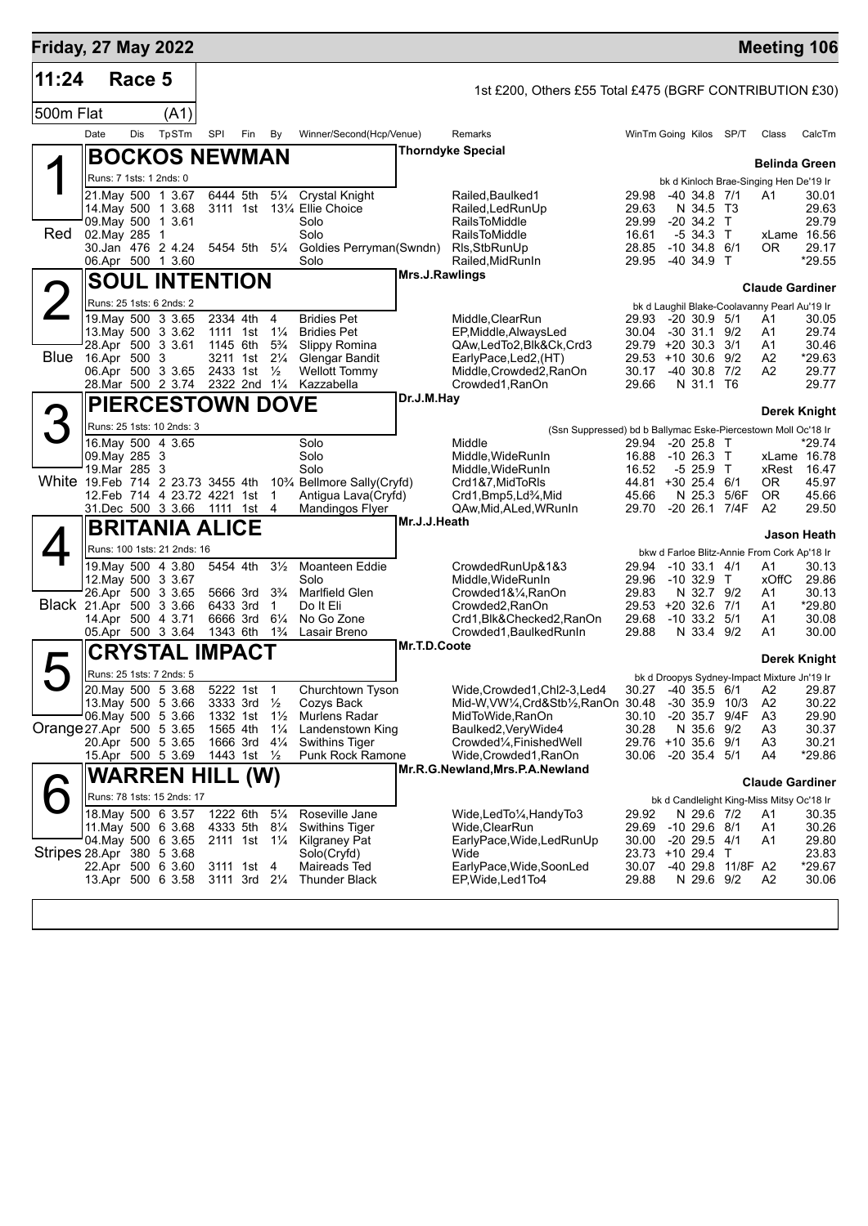| <b>Friday, 27 May 2022</b>        |                               |        |                                                               |     |                             |                                        |                                               |                |                                                                         |                             |                                      |                              | <b>Meeting 106</b>                                                   |                    |
|-----------------------------------|-------------------------------|--------|---------------------------------------------------------------|-----|-----------------------------|----------------------------------------|-----------------------------------------------|----------------|-------------------------------------------------------------------------|-----------------------------|--------------------------------------|------------------------------|----------------------------------------------------------------------|--------------------|
| 11:24                             |                               | Race 5 |                                                               |     |                             |                                        |                                               |                | 1st £200, Others £55 Total £475 (BGRF CONTRIBUTION £30)                 |                             |                                      |                              |                                                                      |                    |
| 500m Flat                         |                               |        | (A1)                                                          |     |                             |                                        |                                               |                |                                                                         |                             |                                      |                              |                                                                      |                    |
|                                   | Date                          | Dis    | TpSTm                                                         | SPI | Fin                         | By                                     | Winner/Second(Hcp/Venue)                      |                | Remarks                                                                 | WinTm Going Kilos SP/T      |                                      |                              | Class                                                                | CalcTm             |
|                                   |                               |        | <b>BOCKOS NEWMAN</b>                                          |     |                             |                                        |                                               |                | <b>Thorndyke Special</b>                                                |                             |                                      |                              |                                                                      |                    |
|                                   |                               |        |                                                               |     |                             |                                        |                                               |                |                                                                         |                             |                                      |                              | <b>Belinda Green</b>                                                 |                    |
|                                   |                               |        | Runs: 7 1sts: 1 2nds: 0<br>21. May 500 1 3.67                 |     | 6444 5th                    | $5\frac{1}{4}$                         | <b>Crystal Knight</b>                         |                | Railed, Baulked 1                                                       | 29.98                       | $-40, 34.8, 7/1$                     |                              | bk d Kinloch Brae-Singing Hen De'19 Ir<br>A <sub>1</sub>             | 30.01              |
|                                   |                               |        | 14. May 500 1 3.68                                            |     |                             |                                        | 3111 1st 131/4 Ellie Choice                   |                | Railed, Led Run Up                                                      | 29.63                       | N 34.5 T3                            |                              |                                                                      | 29.63              |
| Red                               | 02. May 285                   |        | 09. May 500 1 3.61<br>$\overline{1}$                          |     |                             |                                        | Solo<br>Solo                                  |                | <b>RailsToMiddle</b><br><b>RailsToMiddle</b>                            | 29.99<br>16.61              | $-20$ 34.2 T<br>$-534.3$ T           |                              | xLame 16.56                                                          | 29.79              |
|                                   |                               |        | 30.Jan 476 2 4.24                                             |     |                             | 5454 5th 51⁄4                          | Goldies Perryman(Swndn)                       |                | Rls, StbRunUp                                                           | 28.85                       | $-10, 34.8, 6/1$                     |                              | OR.                                                                  | 29.17              |
|                                   |                               |        | 06.Apr 500 1 3.60                                             |     |                             |                                        | Solo                                          | Mrs.J.Rawlings | Railed, MidRunIn                                                        | 29.95                       | -40 34.9 T                           |                              |                                                                      | *29.55             |
|                                   |                               |        | <b>SOUL INTENTION</b>                                         |     |                             |                                        |                                               |                |                                                                         |                             |                                      |                              | <b>Claude Gardiner</b>                                               |                    |
| $\mathsf{2}$                      |                               |        | Runs: 25 1sts: 6 2nds: 2                                      |     |                             |                                        |                                               |                |                                                                         |                             |                                      |                              | bk d Laughil Blake-Coolavanny Pearl Au'19 Ir                         |                    |
|                                   |                               |        | 19 May 500 3 3.65<br>13. May 500 3 3.62                       |     | 2334 4th<br>1111 1st        | $\overline{4}$<br>$1\frac{1}{4}$       | <b>Bridies Pet</b><br><b>Bridies Pet</b>      |                | Middle, ClearRun<br>EP, Middle, AlwaysLed                               | 29.93<br>30.04              | $-20, 30.9, 5/1$<br>$-30$ 31.1 $9/2$ |                              | A1<br>A1                                                             | 30.05<br>29.74     |
|                                   |                               |        | 28.Apr 500 3 3.61                                             |     | 1145 6th                    | $5\frac{3}{4}$                         | Slippy Romina                                 |                | QAw,LedTo2,Blk&Ck,Crd3                                                  | 29.79 +20 30.3 3/1          |                                      |                              | A1                                                                   | 30.46              |
| Blue                              | 16.Apr 500 3                  |        | 06.Apr 500 3 3.65                                             |     | 3211 1st<br>2433 1st        | $2\frac{1}{4}$<br>$\frac{1}{2}$        | <b>Glengar Bandit</b><br><b>Wellott Tommy</b> |                | EarlyPace,Led2,(HT)<br>Middle, Crowded2, RanOn                          | 29.53 +10 30.6 9/2<br>30.17 | $-40, 30.8$                          | 7/2                          | A2<br>A2                                                             | $*29.63$<br>29.77  |
|                                   |                               |        | 28.Mar 500 2 3.74 2322 2nd 11/4                               |     |                             |                                        | Kazzabella                                    |                | Crowded1, RanOn                                                         | 29.66                       | N 31.1 T6                            |                              |                                                                      | 29.77              |
|                                   |                               |        | <b>PIERCESTOWN DOVE</b>                                       |     |                             |                                        |                                               | Dr.J.M.Hay     |                                                                         |                             |                                      |                              | Derek Knight                                                         |                    |
| 3                                 |                               |        | Runs: 25 1sts: 10 2nds: 3                                     |     |                             |                                        |                                               |                | (Ssn Suppressed) bd b Ballymac Eske-Piercestown Moll Oc'18 Ir           |                             |                                      |                              |                                                                      |                    |
|                                   |                               |        | 16. May 500 4 3.65                                            |     |                             |                                        | Solo                                          |                | Middle                                                                  | 29.94                       | $-20, 25.8$ T                        |                              |                                                                      | *29.74             |
|                                   | 09. May 285 3<br>19.Mar 285 3 |        |                                                               |     |                             |                                        | Solo<br>Solo                                  |                | Middle, WideRunIn<br>Middle, WideRunIn                                  | 16.88<br>16.52              | $-1026.3$ T<br>$-525.9$ T            |                              | xLame 16.78<br>xRest                                                 | 16.47              |
| White 19.Feb 714 2 23.73 3455 4th |                               |        |                                                               |     |                             |                                        | 10% Bellmore Sally(Cryfd)                     |                | Crd1&7, MidToRIs                                                        | 44.81 +30 25.4              |                                      | 6/1                          | 0R.                                                                  | 45.97              |
|                                   |                               |        | 12. Feb 714 4 23. 72 4221 1st<br>31.Dec 500 3 3.66 1111 1st 4 |     |                             | $\overline{1}$                         | Antigua Lava(Cryfd)<br><b>Mandingos Flyer</b> |                | Crd1, Bmp5, Ld <sup>3</sup> / <sub>4</sub> , Mid<br>QAw,Mid,ALed,WRunIn | 45.66<br>29.70              |                                      | N 25.3 5/6F<br>-20 26.1 7/4F | <b>OR</b><br>A <sub>2</sub>                                          | 45.66<br>29.50     |
|                                   |                               |        | <b>BRITANIA ALICE</b>                                         |     |                             |                                        |                                               | Mr.J.J.Heath   |                                                                         |                             |                                      |                              |                                                                      | <b>Jason Heath</b> |
|                                   |                               |        | Runs: 100 1sts: 21 2nds: 16                                   |     |                             |                                        |                                               |                |                                                                         |                             |                                      |                              | bkw d Farloe Blitz-Annie From Cork Ap'18 Ir                          |                    |
|                                   |                               |        | 19. May 500 4 3.80                                            |     | 5454 4th                    | $3\frac{1}{2}$                         | Moanteen Eddie                                |                | CrowdedRunUp&1&3                                                        | 29.94                       | $-10$ 33.1 $4/1$                     |                              | A1                                                                   | 30.13              |
|                                   |                               |        | 12. May 500 3 3.67<br>26.Apr 500 3 3.65                       |     | 5666 3rd                    | $3\frac{3}{4}$                         | Solo<br><b>Marlfield Glen</b>                 |                | Middle, WideRunIn<br>Crowded1&1/4, RanOn                                | 29.96<br>29.83              | -10 32.9 T<br>N 32.7 9/2             |                              | xOffC<br>A1                                                          | 29.86<br>30.13     |
| Black 21.Apr 500 3 3.66           |                               |        |                                                               |     | 6433 3rd                    | $\mathbf{1}$                           | Do It Eli                                     |                | Crowded2, RanOn                                                         | 29.53 +20 32.6 7/1          |                                      |                              | A1                                                                   | *29.80             |
|                                   |                               |        | 14.Apr 500 4 3.71<br>05.Apr 500 3 3.64                        |     | 6666 3rd<br>1343 6th        | $6\frac{1}{4}$<br>$1\frac{3}{4}$       | No Go Zone<br>Lasair Breno                    |                | Crd1, Blk& Checked 2, RanOn<br>Crowded1, Baulked RunIn                  | 29.68<br>29.88              | $-10$ 33.2 $5/1$<br>N 33.4 9/2       |                              | A1<br>A1                                                             | 30.08<br>30.00     |
|                                   |                               |        | <b>CRYSTAL IMPACT</b>                                         |     |                             |                                        |                                               | Mr.T.D.Coote   |                                                                         |                             |                                      |                              |                                                                      |                    |
|                                   |                               |        | Runs: 25 1sts: 7 2nds: 5                                      |     |                             |                                        |                                               |                |                                                                         |                             |                                      |                              | Derek Knight                                                         |                    |
|                                   |                               |        | 20. May 500 5 3.68                                            |     | 5222 1st 1                  |                                        | Churchtown Tyson                              |                | Wide.Crowded1.Chl2-3.Led4                                               |                             |                                      |                              | bk d Droopys Sydney-Impact Mixture Jn'19 Ir<br>30.27 -40 35.5 6/1 A2 | 29.87              |
|                                   |                               |        | 13. May 500 5 3.66                                            |     | 3333 3rd 1/2                |                                        | Cozys Back                                    |                | Mid-W, VW1/4, Crd&Stb1/2, RanOn 30.48 -30 35.9 10/3                     |                             |                                      |                              | A2                                                                   | 30.22              |
| Orange 27 Apr 500 5 3.65          |                               |        | 06. May 500 5 3.66                                            |     | 1332 1st<br>1565 4th        | $1\frac{1}{2}$<br>$1\frac{1}{4}$       | Murlens Radar<br>Landenstown King             |                | MidToWide,RanOn<br>Baulked2, Very Wide4                                 | 30.10<br>30.28              | N 35.6                               | -20 35.7 9/4F<br>9/2         | A <sub>3</sub><br>A3                                                 | 29.90<br>30.37     |
|                                   |                               |        | 20.Apr 500 5 3.65                                             |     | 1666 3rd                    | $4\frac{1}{4}$                         | Swithins Tiger                                |                | Crowded <sup>1</sup> / <sub>4</sub> , Finished Well                     | 29.76 +10 35.6 9/1          |                                      |                              | A <sub>3</sub>                                                       | 30.21              |
|                                   |                               |        | 15.Apr 500 5 3.69                                             |     | 1443 1st $\frac{1}{2}$      |                                        | Punk Rock Ramone                              |                | Wide,Crowded1,RanOn<br>Mr.R.G.Newland, Mrs.P.A.Newland                  | 30.06                       | $-20$ 35.4 5/1                       |                              | A4                                                                   | *29.86             |
|                                   |                               |        | <b>WARREN HILL (W)</b>                                        |     |                             |                                        |                                               |                |                                                                         |                             |                                      |                              | <b>Claude Gardiner</b>                                               |                    |
|                                   |                               |        | Runs: 78 1sts: 15 2nds: 17                                    |     |                             |                                        |                                               |                |                                                                         |                             |                                      |                              | bk d Candlelight King-Miss Mitsy Oc'18 Ir                            |                    |
|                                   |                               |        | 18. May 500 6 3.57<br>11. May 500 6 3.68                      |     | 1222 6th<br>4333 5th        | $5\frac{1}{4}$<br>$8\frac{1}{4}$       | Roseville Jane<br>Swithins Tiger              |                | Wide,LedTo1/ <sub>4</sub> ,HandyTo3<br>Wide,ClearRun                    | 29.92<br>29.69              | N 29.6 7/2<br>$-10$ 29.6 $8/1$       |                              | A1<br>A1                                                             | 30.35<br>30.26     |
|                                   |                               |        | 04.May 500 6 3.65                                             |     |                             | 2111 1st 1 <sup>1</sup> / <sub>4</sub> | Kilgraney Pat                                 |                | EarlyPace, Wide, Led Run Up                                             | 30.00                       | $-20$ 29.5 $4/1$                     |                              | A1                                                                   | 29.80              |
| Stripes 28.Apr 380 5 3.68         |                               |        | 22.Apr 500 6 3.60                                             |     | 3111 1st 4                  |                                        | Solo(Cryfd)<br>Maireads Ted                   |                | Wide<br>EarlyPace, Wide, SoonLed                                        | 23.73 +10 29.4 T<br>30.07   |                                      | -40 29.8 11/8F A2            |                                                                      | 23.83<br>$*29.67$  |
|                                   |                               |        | 13.Apr 500 6 3.58                                             |     | $3111 \t3rd \t2\frac{1}{4}$ |                                        | <b>Thunder Black</b>                          |                | EP, Wide, Led 1 To 4                                                    | 29.88                       | N 29.6 9/2                           |                              | A2                                                                   | 30.06              |
|                                   |                               |        |                                                               |     |                             |                                        |                                               |                |                                                                         |                             |                                      |                              |                                                                      |                    |
|                                   |                               |        |                                                               |     |                             |                                        |                                               |                |                                                                         |                             |                                      |                              |                                                                      |                    |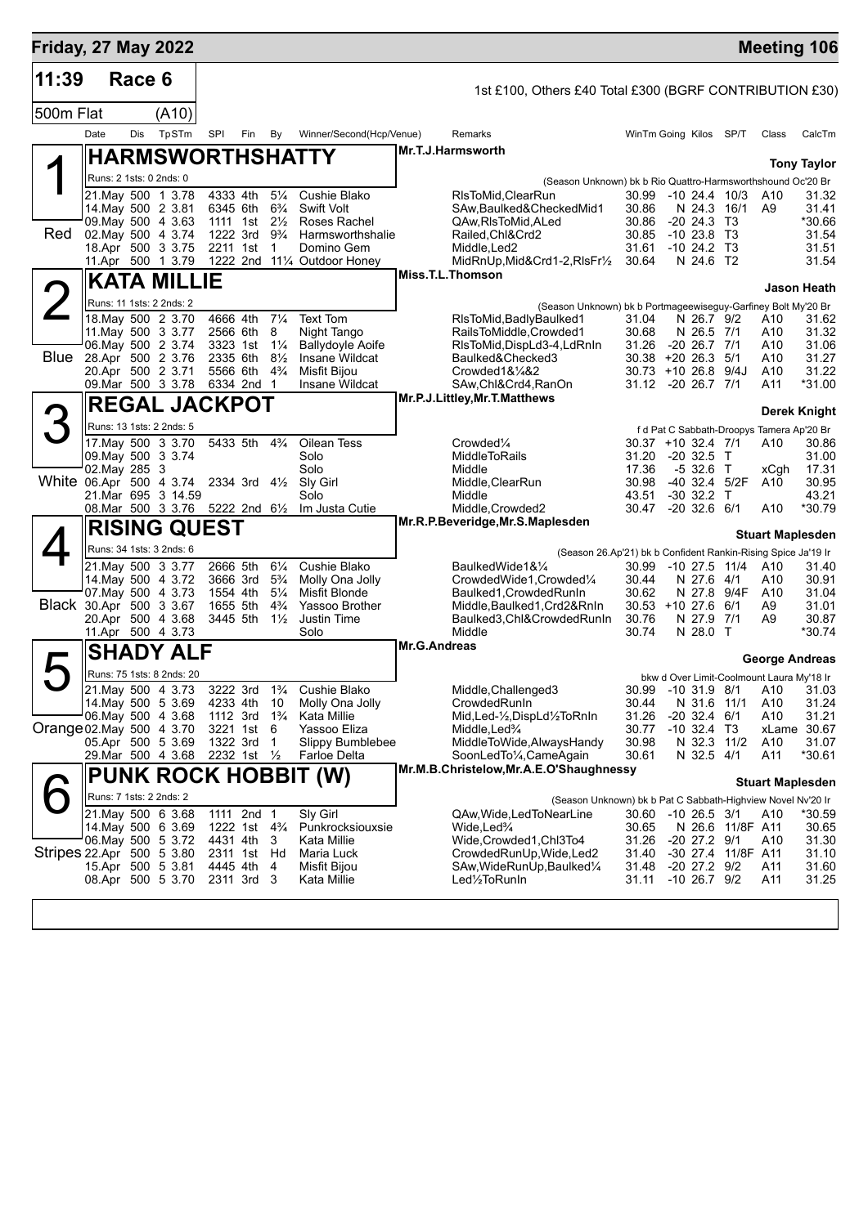| <b>Friday, 27 May 2022</b> |                         |        |                                                     |                         |                         |                                  |                                            |                     |                                                                  |                                          |                                        |                    |                                           | <b>Meeting 106</b>                    |
|----------------------------|-------------------------|--------|-----------------------------------------------------|-------------------------|-------------------------|----------------------------------|--------------------------------------------|---------------------|------------------------------------------------------------------|------------------------------------------|----------------------------------------|--------------------|-------------------------------------------|---------------------------------------|
| 11:39                      |                         | Race 6 |                                                     |                         |                         |                                  |                                            |                     | 1st £100, Others £40 Total £300 (BGRF CONTRIBUTION £30)          |                                          |                                        |                    |                                           |                                       |
| 500m Flat                  |                         |        | (A10)                                               |                         |                         |                                  |                                            |                     |                                                                  |                                          |                                        |                    |                                           |                                       |
|                            | Date                    | Dis    | TpSTm                                               | SPI                     | Fin By                  |                                  | Winner/Second(Hcp/Venue)                   |                     | Remarks                                                          | WinTm Going Kilos SP/T                   |                                        |                    | Class                                     | CalcTm                                |
|                            |                         |        | <b>HARMSWORTHSHATTY</b>                             |                         |                         |                                  |                                            |                     | Mr.T.J.Harmsworth                                                |                                          |                                        |                    |                                           | <b>Tony Taylor</b>                    |
|                            | Runs: 2 1sts: 0 2nds: 0 |        |                                                     |                         |                         |                                  |                                            |                     | (Season Unknown) bk b Rio Quattro-Harmsworthshound Oc'20 Br      |                                          |                                        |                    |                                           |                                       |
|                            |                         |        | 21. May 500 1 3.78                                  | 4333 4th                |                         | $5\frac{1}{4}$                   | Cushie Blako                               |                     | RIsToMid.ClearRun                                                | 30.99 -10 24.4 10/3                      |                                        |                    | A10                                       | 31.32                                 |
|                            |                         |        | 14 May 500 2 3.81<br>09. May 500 4 3.63             | 6345 6th<br>1111 1st    |                         | $6\frac{3}{4}$<br>$2\frac{1}{2}$ | <b>Swift Volt</b><br>Roses Rachel          |                     | SAw, Baulked& Checked Mid1<br>QAw, RIs To Mid, ALed              | 30.86<br>30.86                           | N 24.3 16/1<br>$-20\,24.3$             | T3                 | A9                                        | 31.41<br>*30.66                       |
| Red                        |                         |        | 02. May 500 4 3.74<br>18.Apr 500 3 3.75             | 1222 3rd                |                         | $9\frac{3}{4}$<br>1              | Harmsworthshalie                           |                     | Railed, Chl&Crd2                                                 | 30.85<br>31.61                           | $-1023.8$ T3                           |                    |                                           | 31.54                                 |
|                            |                         |        | 11.Apr 500 1 3.79                                   | 2211 1st                |                         |                                  | Domino Gem<br>1222 2nd 111/4 Outdoor Honey |                     | Middle, Led <sub>2</sub><br>MidRnUp, Mid&Crd1-2, RIsFr1/2        | 30.64                                    | $-10$ 24.2 T <sub>3</sub><br>N 24.6 T2 |                    |                                           | 31.51<br>31.54                        |
|                            |                         |        | <b>KATA MILLIE</b>                                  |                         |                         |                                  |                                            |                     | Miss.T.L.Thomson                                                 |                                          |                                        |                    |                                           | Jason Heath                           |
| $\angle$                   |                         |        | Runs: 11 1sts: 2 2nds: 2                            |                         |                         |                                  |                                            |                     | (Season Unknown) bk b Portmageewiseguy-Garfiney Bolt My'20 Br    |                                          |                                        |                    |                                           |                                       |
|                            |                         |        | 18. May 500 2 3.70<br>11. May 500 3 3.77            | 4666 4th<br>2566 6th    |                         | $7\frac{1}{4}$<br>8              | <b>Text Tom</b><br>Night Tango             |                     | RIsToMid,BadlyBaulked1<br>RailsToMiddle, Crowded1                | 31.04<br>30.68                           | N 26.7 9/2<br>N 26.5 7/1               |                    | A10<br>A10                                | 31.62<br>31.32                        |
|                            |                         |        | 06. May 500 2 3.74                                  | 3323 1st                |                         | $1\frac{1}{4}$                   | <b>Ballydoyle Aoife</b>                    |                     | RIsToMid, DispLd3-4, LdRnIn                                      | 31.26                                    | $-20$ 26.7 $7/1$                       |                    | A10                                       | 31.06                                 |
| Blue                       |                         |        | 28.Apr 500 2 3.76<br>20.Apr 500 2 3.71              | 2335 6th<br>5566 6th    |                         | $8\frac{1}{2}$<br>$4\frac{3}{4}$ | Insane Wildcat<br>Misfit Bijou             |                     | Baulked&Checked3<br>Crowded1&1/4&2                               | $30.38 + 20 26.3$<br>30.73 +10 26.8 9/4J |                                        | 5/1                | A10<br>A10                                | 31.27<br>31.22                        |
|                            |                         |        | 09. Mar 500 3 3.78                                  | 6334 2nd                |                         | $\overline{1}$                   | Insane Wildcat                             |                     | SAw,Chl&Crd4,RanOn                                               | 31.12 -20 26.7 7/1                       |                                        |                    | A11                                       | *31.00                                |
|                            |                         |        | <b>REGAL JACKPOT</b>                                |                         |                         |                                  |                                            |                     | Mr.P.J.Littley, Mr.T.Matthews                                    |                                          |                                        |                    |                                           | Derek Knight                          |
| ろ                          |                         |        | Runs: 13 1sts: 2 2nds: 5                            |                         |                         |                                  |                                            |                     |                                                                  |                                          |                                        |                    | f d Pat C Sabbath-Droopys Tamera Ap'20 Br |                                       |
|                            |                         |        | 17 May 500 3 3 70<br>09. May 500 3 3.74             | 5433 5th 43/4           |                         |                                  | Oilean Tess<br>Solo                        |                     | Crowded <sup>1</sup> / <sub>4</sub><br><b>MiddleToRails</b>      | 30.37 +10 32.4 7/1<br>31.20              | $-20, 32.5$ T                          |                    | A10                                       | 30.86<br>31.00                        |
|                            | 02. May 285 3           |        |                                                     |                         |                         |                                  | Solo                                       |                     | Middle                                                           | 17.36                                    | $-532.6$ T                             |                    | xCgh                                      | 17.31                                 |
| White 06.Apr 500 4 3.74    |                         |        | 21. Mar 695 3 14.59                                 | 2334 3rd $4\frac{1}{2}$ |                         |                                  | Sly Girl<br>Solo                           |                     | Middle, ClearRun<br>Middle                                       | 30.98<br>43.51                           | $-30$ 32.2 T                           | -40 32.4 5/2F      | A10                                       | 30.95<br>43.21                        |
|                            |                         |        | 08.Mar 500 3 3.76 5222 2nd 61/2                     |                         |                         |                                  | Im Justa Cutie                             |                     | Middle, Crowded2                                                 | 30.47                                    | $-20$ 32.6 6/1                         |                    | A10                                       | *30.79                                |
|                            |                         |        | <b>RISING QUEST</b>                                 |                         |                         |                                  |                                            |                     | Mr.R.P.Beveridge, Mr.S.Maplesden                                 |                                          |                                        |                    |                                           | <b>Stuart Maplesden</b>               |
|                            |                         |        | Runs: 34 1sts: 3 2nds: 6                            |                         |                         |                                  |                                            |                     | (Season 26.Ap'21) bk b Confident Rankin-Rising Spice Ja'19 Ir    |                                          |                                        |                    |                                           |                                       |
|                            |                         |        | 21. May 500 3 3.77                                  | 2666 5th                |                         | $6\frac{1}{4}$                   | Cushie Blako                               |                     | BaulkedWide1&1⁄4<br>CrowdedWide1,Crowded1/4                      | 30.99                                    | $-10$ 27.5 $11/4$                      |                    | A10                                       | 31.40                                 |
|                            |                         |        | 14. May 500 4 3.72<br>07. May 500 4 3.73            | 3666 3rd<br>1554 4th    |                         | $5\frac{3}{4}$<br>$5\frac{1}{4}$ | Molly Ona Jolly<br>Misfit Blonde           |                     | Baulked1, Crowded RunIn                                          | 30.44<br>30.62                           | N 27.6 4/1<br>N 27.8 9/4F              |                    | A10<br>A10                                | 30.91<br>31.04                        |
| Black 30.Apr 500 3 3.67    |                         |        | 20.Apr 500 4 3.68                                   | 1655 5th<br>3445 5th    |                         | $4\frac{3}{4}$<br>$1\frac{1}{2}$ | Yassoo Brother<br>Justin Time              |                     | Middle, Baulked 1, Crd2&RnIn<br>Baulked3, Chl&Crowded RunIn      | $30.53 + 10.27.6$<br>30.76               | N 27.9 7/1                             | 6/1                | A9<br>A9                                  | 31.01<br>30.87                        |
|                            |                         |        | 11.Apr 500 4 3.73                                   |                         |                         |                                  | Solo                                       |                     | Middle                                                           | 30.74                                    | N 28.0 T                               |                    |                                           | *30.74                                |
|                            |                         |        | <b>SHADY ALF</b>                                    |                         |                         |                                  |                                            | <b>Mr.G.Andreas</b> |                                                                  |                                          |                                        |                    |                                           | <b>George Andreas</b>                 |
|                            |                         |        | Runs: 75 1sts: 8 2nds: 20                           |                         |                         |                                  |                                            |                     |                                                                  |                                          |                                        |                    | bkw d Over Limit-Coolmount Laura My'18 Ir |                                       |
|                            |                         |        | 21 May 500 4 3.73<br>14. May 500 5 3.69 4233 4th 10 | 3222 3rd                |                         | $1\frac{3}{4}$                   | Cushie Blako<br>Molly Ona Jolly            |                     | Middle, Challenged3<br>CrowdedRunIn                              | 30.44                                    | N 31.6 11/1                            |                    | A10                                       | 30.99 -10 31.9 8/1 A10 31.03<br>31.24 |
|                            |                         |        | 06. May 500 4 3.68                                  | 1112 3rd                |                         | $1\frac{3}{4}$                   | Kata Millie                                |                     | Mid, Led-½, DispLd½ToRnIn                                        | 31.26                                    | $-20$ 32.4 $6/1$                       |                    | A10                                       | 31.21                                 |
| Orange 02. May 500 4 3.70  |                         |        | 05.Apr 500 5 3.69                                   | 3221 1st<br>1322 3rd    |                         | -6<br>$\overline{1}$             | Yassoo Eliza<br>Slippy Bumblebee           |                     | Middle,Led <sup>3</sup> /4<br>MiddleToWide, Always Handy         | 30.77<br>30.98                           | $-10$ 32.4 T3<br>N 32.3 11/2           |                    | A10                                       | xLame 30.67<br>31.07                  |
|                            |                         |        | 29. Mar 500 4 3.68                                  | 2232 1st $\frac{1}{2}$  |                         |                                  | Farloe Delta                               |                     | SoonLedTo1/4, CameAgain                                          | 30.61                                    | N 32.5 4/1                             |                    | A11                                       | *30.61                                |
|                            |                         |        |                                                     |                         |                         |                                  | <b>PUNK ROCK HOBBIT (W)</b>                |                     | Mr.M.B.Christelow, Mr.A.E.O'Shaughnessy                          |                                          |                                        |                    |                                           | <b>Stuart Maplesden</b>               |
|                            | Runs: 7 1sts: 2 2nds: 2 |        |                                                     |                         |                         |                                  |                                            |                     | (Season Unknown) bk b Pat C Sabbath-Highview Novel Nv'20 Ir      |                                          |                                        |                    |                                           |                                       |
|                            |                         |        | 21. May 500 6 3.68                                  | 1111 2nd 1              |                         |                                  | Slv Girl                                   |                     | QAw,Wide,LedToNearLine                                           | 30.60 -10 26.5 3/1                       |                                        |                    | A10                                       | *30.59                                |
|                            |                         |        | 14 May 500 6 3.69<br>06. May 500 5 3.72             | 4431 4th 3              | 1222 1st $4\frac{3}{4}$ |                                  | Punkrocksiouxsie<br>Kata Millie            |                     | Wide, Led <sup>3</sup> / <sub>4</sub><br>Wide, Crowded1, Chl3To4 | 30.65<br>31.26                           | -20 27.2 9/1                           | N 26.6 11/8F A11   | A10                                       | 30.65<br>31.30                        |
| Stripes 22.Apr 500 5 3.80  |                         |        |                                                     | 2311 1st Hd             |                         |                                  | Maria Luck                                 |                     | CrowdedRunUp, Wide, Led2                                         | 31.40                                    |                                        | -30 27.4 11/8F A11 |                                           | 31.10                                 |
|                            |                         |        | 15.Apr 500 5 3.81<br>08.Apr 500 5 3.70              | 2311 3rd 3              | 4445 4th 4              |                                  | Misfit Bijou<br>Kata Millie                |                     | SAw, Wide Run Up, Baulked 1/4<br>Led1/ <sub>2</sub> ToRunIn      | 31.48<br>31.11                           | -20 27.2 9/2<br>$-10$ 26.7 $9/2$       |                    | A11<br>A11                                | 31.60<br>31.25                        |
|                            |                         |        |                                                     |                         |                         |                                  |                                            |                     |                                                                  |                                          |                                        |                    |                                           |                                       |
|                            |                         |        |                                                     |                         |                         |                                  |                                            |                     |                                                                  |                                          |                                        |                    |                                           |                                       |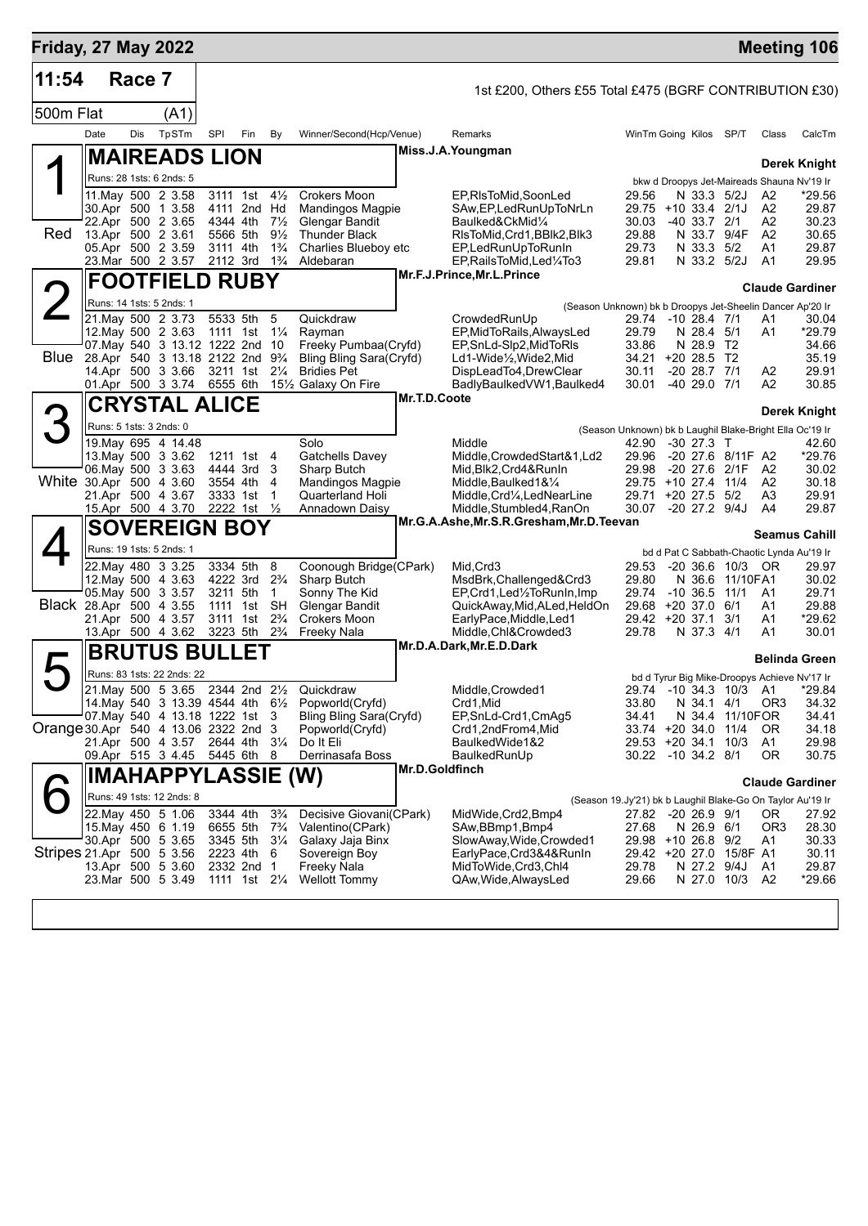| <b>Friday, 27 May 2022</b>           |      |        |                                                                                |          |                                         |                                  |                                                    |                |                                                                           |                                                            |                      |                                     |                        | <b>Meeting 106</b>                           |
|--------------------------------------|------|--------|--------------------------------------------------------------------------------|----------|-----------------------------------------|----------------------------------|----------------------------------------------------|----------------|---------------------------------------------------------------------------|------------------------------------------------------------|----------------------|-------------------------------------|------------------------|----------------------------------------------|
| 11:54                                |      | Race 7 |                                                                                |          |                                         |                                  |                                                    |                | 1st £200, Others £55 Total £475 (BGRF CONTRIBUTION £30)                   |                                                            |                      |                                     |                        |                                              |
| 500m Flat                            |      |        | (A1)                                                                           |          |                                         |                                  |                                                    |                |                                                                           |                                                            |                      |                                     |                        |                                              |
|                                      | Date | Dis    | TpSTm                                                                          | SPI      | Fin                                     | By                               | Winner/Second(Hcp/Venue)                           |                | Remarks                                                                   | WinTm Going Kilos SP/T                                     |                      |                                     | Class                  | CalcTm                                       |
|                                      |      |        | <b>MAIREADS LION</b>                                                           |          |                                         |                                  |                                                    |                | Miss.J.A.Youngman                                                         |                                                            |                      |                                     |                        | Derek Knight                                 |
|                                      |      |        | Runs: 28 1sts: 6 2nds: 5                                                       |          |                                         |                                  |                                                    |                |                                                                           |                                                            |                      |                                     |                        | bkw d Droopys Jet-Maireads Shauna Nv'19 Ir   |
|                                      |      |        | 11. May 500 2 3.58                                                             |          | 3111 1st                                | $4\frac{1}{2}$                   | Crokers Moon                                       |                | EP,RIsToMid,SoonLed                                                       | 29.56                                                      | N 33.3 5/2J          |                                     | A2                     | *29.56                                       |
|                                      |      |        | 30.Apr 500 1 3.58<br>22.Apr 500 2 3.65                                         |          | 4111 2nd Hd<br>4344 4th                 | $7\frac{1}{2}$                   | <b>Mandingos Magpie</b><br>Glengar Bandit          |                | SAw, EP, Led Run Up To Nr Ln<br>Baulked&CkMid1/4                          | 29.75 +10 33.4 2/1J<br>30.03                               | $-40$ 33.7 $2/1$     |                                     | A2<br>A2               | 29.87<br>30.23                               |
| Red                                  |      |        | 13.Apr 500 2 3.61                                                              |          | 5566 5th                                | $9\frac{1}{2}$                   | <b>Thunder Black</b>                               |                | RIsToMid,Crd1,BBIk2,BIk3                                                  | 29.88                                                      |                      | N 33.7 9/4F                         | A2                     | 30.65                                        |
|                                      |      |        | 05.Apr 500 2 3.59                                                              |          | 3111 4th                                | $1\frac{3}{4}$                   | Charlies Blueboy etc                               |                | EP,LedRunUpToRunIn                                                        | 29.73                                                      | N 33.3 5/2           |                                     | A1                     | 29.87                                        |
|                                      |      |        | 23. Mar 500 2 3.57                                                             |          | 2112 3rd                                | $1\frac{3}{4}$                   | Aldebaran                                          |                | EP,RailsToMid,Led¼To3<br>Mr.F.J.Prince, Mr.L.Prince                       | 29.81                                                      | N 33.2 5/2J          |                                     | A1                     | 29.95                                        |
|                                      |      |        | <b>FOOTFIELD RUBY</b>                                                          |          |                                         |                                  |                                                    |                |                                                                           |                                                            |                      |                                     |                        | <b>Claude Gardiner</b>                       |
|                                      |      |        | Runs: 14 1sts: 5 2nds: 1<br>21. May 500 2 3.73                                 |          | 5533 5th                                | 5                                | Quickdraw                                          |                | (Season Unknown) bk b Droopys Jet-Sheelin Dancer Ap'20 Ir<br>CrowdedRunUp | 29.74                                                      | -10 28.4 7/1         |                                     | Α1                     | 30.04                                        |
|                                      |      |        | 12. May 500 2 3.63                                                             |          | 1111 1st 11/ <sub>4</sub>               |                                  | Rayman                                             |                | EP, MidToRails, AlwaysLed                                                 | 29.79                                                      | N 28.4 5/1           |                                     | A1                     | *29.79                                       |
|                                      |      |        | 07. May 540 3 13.12 1222 2nd 10                                                |          |                                         |                                  | Freeky Pumbaa(Cryfd)                               |                | EP, SnLd-Slp2, MidToRIs                                                   | 33.86                                                      | N 28.9 T2            |                                     |                        | 34.66                                        |
| Blue                                 |      |        | 28.Apr 540 3 13.18 2122 2nd 9 <sup>3</sup> / <sub>4</sub><br>14.Apr 500 3 3.66 |          | 3211 1st 21/4                           |                                  | Bling Bling Sara(Cryfd)<br><b>Bridies Pet</b>      |                | Ld1-Wide1/ <sub>2</sub> , Wide2, Mid<br>DispLeadTo4,DrewClear             | 34.21 +20 28.5 T2<br>30.11                                 | $-20$ 28.7 $7/1$     |                                     | A2                     | 35.19<br>29.91                               |
|                                      |      |        | 01.Apr 500 3 3.74                                                              | 6555 6th |                                         |                                  | 151/ <sub>2</sub> Galaxy On Fire                   |                | BadlyBaulkedVW1, Baulked4                                                 | 30.01                                                      | $-4029.071$          |                                     | A <sub>2</sub>         | 30.85                                        |
|                                      |      |        | <b>CRYSTAL ALICE</b>                                                           |          |                                         |                                  |                                                    | Mr.T.D.Coote   |                                                                           |                                                            |                      |                                     |                        | Derek Knight                                 |
|                                      |      |        | Runs: 5 1sts: 3 2nds: 0                                                        |          |                                         |                                  |                                                    |                |                                                                           | (Season Unknown) bk b Laughil Blake-Bright Ella Oc'19 Ir   |                      |                                     |                        |                                              |
|                                      |      |        | 19. May 695 4 14.48                                                            |          |                                         |                                  | Solo                                               |                | Middle                                                                    | 42.90                                                      | $-30$ 27.3 T         |                                     |                        | 42.60                                        |
|                                      |      |        | 13. May 500 3 3.62<br>06. May 500 3 3.63                                       |          | 1211 1st<br>4444 3rd                    | 4<br>3                           | Gatchells Davey<br>Sharp Butch                     |                | Middle, Crowded Start&1, Ld2<br>Mid, Blk2, Crd4&RunIn                     | 29.96<br>29.98                                             |                      | -20 27.6 8/11F A2<br>-20 27.6 2/1F  | A <sub>2</sub>         | *29.76<br>30.02                              |
| White 30.Apr 500 4 3.60              |      |        |                                                                                |          | 3554 4th                                | 4                                | <b>Mandingos Magpie</b>                            |                | Middle, Baulked 1& 1/4                                                    | 29.75 +10 27.4 11/4                                        |                      |                                     | A <sub>2</sub>         | 30.18                                        |
|                                      |      |        | 21.Apr 500 4 3.67                                                              |          | 3333 1st                                | -1                               | Quarterland Holi                                   |                | Middle, Crd1/ <sub>4</sub> , LedNearLine                                  | 29.71 +20 27.5 5/2                                         |                      |                                     | A3                     | 29.91                                        |
|                                      |      |        | 15.Apr 500 4 3.70                                                              |          | 2222 1st                                | $\frac{1}{2}$                    | Annadown Daisy                                     |                | Middle, Stumbled4, RanOn<br>Mr.G.A.Ashe, Mr.S.R.Gresham, Mr.D. Teevan     | 30.07                                                      | $-20$ 27.2 $9/4J$    |                                     | A4                     | 29.87                                        |
|                                      |      |        | <b>SOVEREIGN BOY</b>                                                           |          |                                         |                                  |                                                    |                |                                                                           |                                                            |                      |                                     |                        | <b>Seamus Cahill</b>                         |
|                                      |      |        | Runs: 19 1sts: 5 2nds: 1                                                       |          | 3334 5th                                |                                  |                                                    |                |                                                                           |                                                            |                      |                                     |                        | bd d Pat C Sabbath-Chaotic Lynda Au'19 Ir    |
|                                      |      |        | 22.May 480 3 3.25<br>12. May 500 4 3.63                                        |          | 4222 3rd                                | 8<br>$2\frac{3}{4}$              | Coonough Bridge(CPark)<br>Sharp Butch              |                | Mid, Crd3<br>MsdBrk, Challenged&Crd3                                      | 29.53<br>29.80                                             |                      | -20 36.6 10/3 OR<br>N 36.6 11/10FA1 |                        | 29.97<br>30.02                               |
|                                      |      |        | 05. May 500 3 3.57                                                             |          | 3211 5th                                | 1                                | Sonny The Kid                                      |                | EP,Crd1,Led1/2ToRunIn,Imp                                                 | 29.74                                                      | $-10, 36.5$          | 11/1                                | A1                     | 29.71                                        |
| Black 28.Apr 500 4 3.55              |      |        | 21.Apr 500 4 3.57                                                              | 1111     | 1st<br>3111 1st                         | <b>SH</b><br>$2\frac{3}{4}$      | Glengar Bandit<br>Crokers Moon                     |                | QuickAway, Mid, ALed, HeldOn<br>EarlyPace, Middle, Led1                   | 29.68 +20 37.0<br>29.42 +20 37.1 3/1                       |                      | 6/1                                 | A1<br>A1               | 29.88<br>*29.62                              |
|                                      |      |        | 13.Apr 500 4 3.62                                                              |          | 3223 5th                                | $2\frac{3}{4}$                   | Freeky Nala                                        |                | Middle, Chl&Crowded3                                                      | 29.78                                                      | N 37.3 4/1           |                                     | A <sub>1</sub>         | 30.01                                        |
|                                      |      |        | <b>BRUTUS BULLET</b>                                                           |          |                                         |                                  |                                                    |                | Mr.D.A.Dark, Mr.E.D.Dark                                                  |                                                            |                      |                                     |                        | <b>Belinda Green</b>                         |
|                                      |      |        | Runs: 83 1sts: 22 2nds: 22                                                     |          |                                         |                                  |                                                    |                |                                                                           |                                                            |                      |                                     |                        | bd d Tyrur Big Mike-Droopys Achieve Nv'17 Ir |
|                                      |      |        | 21. May 500 5 3.65 2344 2nd 21/2                                               |          |                                         |                                  | Quickdraw                                          |                | Middle, Crowded1                                                          |                                                            |                      |                                     | 29.74 -10 34.3 10/3 A1 | *29.84                                       |
|                                      |      |        |                                                                                |          |                                         |                                  | 14. May 540 3 13.39 4544 4th 61/2 Popworld (Cryfd) |                | Crd1,Mid<br>EP, SnLd-Crd1, CmAg5                                          | 33.80                                                      | N 34.1 4/1<br>N 34.4 |                                     | OR3                    | 34.32                                        |
| Orange 30.Apr 540 4 13.06 2322 2nd 3 |      |        | 07. May 540 4 13.18 1222 1st 3                                                 |          |                                         |                                  | Bling Bling Sara(Cryfd)<br>Popworld(Cryfd)         |                | Crd1,2ndFrom4,Mid                                                         | 34.41<br>33.74 +20 34.0                                    |                      | 11/10FOR<br>11/4                    | 0R                     | 34.41<br>34.18                               |
|                                      |      |        | 21.Apr 500 4 3.57                                                              |          | 2644 4th 31/4                           |                                  | Do It Eli                                          |                | BaulkedWide1&2                                                            | 29.53 +20 34.1                                             |                      | 10/3                                | A1                     | 29.98                                        |
|                                      |      |        | 09.Apr 515 3 4.45 5445 6th 8                                                   |          |                                         |                                  | Derrinasafa Boss                                   | Mr.D.Goldfinch | BaulkedRunUp                                                              | 30.22 -10 34.2 8/1                                         |                      |                                     | 0R                     | 30.75                                        |
|                                      |      |        | <b>IMAHAPPYLASSIE</b>                                                          |          |                                         |                                  | (W)                                                |                |                                                                           |                                                            |                      |                                     |                        | <b>Claude Gardiner</b>                       |
|                                      |      |        | Runs: 49 1sts: 12 2nds: 8                                                      |          |                                         |                                  |                                                    |                |                                                                           | (Season 19.Jy'21) bk b Laughil Blake-Go On Taylor Au'19 Ir |                      |                                     |                        |                                              |
|                                      |      |        | 22. May 450 5 1.06<br>15 May 450 6 1.19                                        |          | 3344 4th<br>6655 5th                    | $3\frac{3}{4}$<br>$7\frac{3}{4}$ | Decisive Giovani(CPark)<br>Valentino(CPark)        |                | MidWide,Crd2,Bmp4<br>SAw, BBmp1, Bmp4                                     | 27.82 -20 26.9 9/1<br>27.68                                | N 26.9 6/1           |                                     | OR.<br>OR3             | 27.92<br>28.30                               |
|                                      |      |        | 30.Apr 500 5 3.65                                                              |          | 3345 5th                                | $3\frac{1}{4}$                   | Galaxy Jaja Binx                                   |                | SlowAway, Wide, Crowded1                                                  | 29.98 +10 26.8 9/2                                         |                      |                                     | A1                     | 30.33                                        |
| Stripes 21.Apr 500 5 3.56            |      |        |                                                                                |          | 2223 4th                                | -6                               | Sovereign Boy                                      |                | EarlyPace,Crd3&4&RunIn                                                    |                                                            |                      | 29.42 +20 27.0 15/8F A1             |                        | 30.11                                        |
|                                      |      |        | 13.Apr 500 5 3.60<br>23.Mar 500 5 3.49                                         |          | 2332 2nd 1<br>1111 1st 21/ <sub>4</sub> |                                  | Freeky Nala<br><b>Wellott Tommy</b>                |                | MidToWide,Crd3,Chl4<br>QAw, Wide, Always Led                              | 29.78<br>29.66                                             | N 27.2 9/4J          | N 27.0 10/3 A2                      | A1                     | 29.87<br>*29.66                              |
|                                      |      |        |                                                                                |          |                                         |                                  |                                                    |                |                                                                           |                                                            |                      |                                     |                        |                                              |
|                                      |      |        |                                                                                |          |                                         |                                  |                                                    |                |                                                                           |                                                            |                      |                                     |                        |                                              |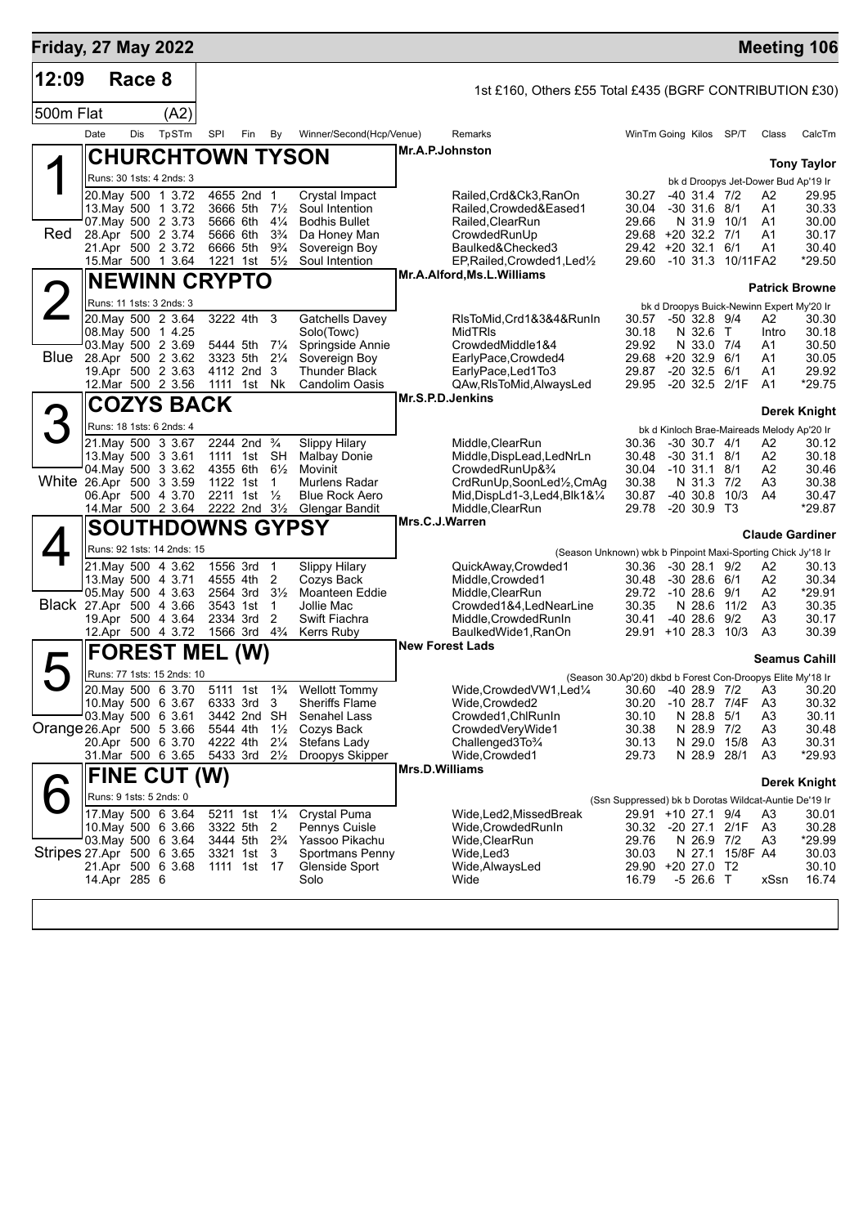| Race 8<br>1st £160, Others £55 Total £435 (BGRF CONTRIBUTION £30)<br>500m Flat<br>(A2)<br>TpSTm<br>Date<br>Dis<br>SPI<br>Fin<br>Winner/Second(Hcp/Venue)<br>Remarks<br>WinTm Going Kilos SP/T<br>By<br>Class<br>CalcTm<br>Mr.A.P.Johnston<br><b>CHURCHTOWN TYSON</b><br><b>Tony Taylor</b><br>Runs: 30 1sts: 4 2nds: 3<br>bk d Droopys Jet-Dower Bud Ap'19 Ir<br>20. May 500 1 3.72<br>4655 2nd 1<br>Crystal Impact<br>30.27<br>$-40$ 31.4 $7/2$<br>Railed,Crd&Ck3,RanOn<br>A2<br>29.95<br>13. May 500 1 3.72<br>3666 5th<br>$7\frac{1}{2}$<br>Soul Intention<br>Railed.Crowded&Eased1<br>30.04<br>$-30$ 31.6 $8/1$<br>A1<br>30.33<br>07. May 500 2 3.73<br>5666 6th<br>$4\frac{1}{4}$<br><b>Bodhis Bullet</b><br>Railed, ClearRun<br>29.66<br>N 31.9<br>30.00<br>10/1<br>A1<br>Red<br>28.Apr 500 2 3.74<br>5666 6th<br>$3\frac{3}{4}$<br>Da Honey Man<br>CrowdedRunUp<br>29.68 +20 32.2 7/1<br>A1<br>30.17<br>21.Apr 500 2 3.72<br>6666 5th<br>$9\frac{3}{4}$<br>Sovereign Boy<br>Baulked&Checked3<br>$29.42 + 20.32.1$<br>6/1<br>A1<br>30.40<br>15.Mar 500 1 3.64<br>1221 1st<br>$5\frac{1}{2}$<br>Soul Intention<br>EP, Railed, Crowded 1, Led <sup>1</sup> / <sub>2</sub><br>29.60 -10 31.3 10/11 FA2<br>*29.50<br>Mr.A.Alford, Ms.L.Williams<br><b>NEWINN CRYPTO</b><br><b>Patrick Browne</b><br>Runs: 11 1sts: 3 2nds: 3<br>bk d Droopys Buick-Newinn Expert My'20 Ir<br>20. May 500 2 3.64<br>3222 4th<br>3<br><b>Gatchells Davey</b><br>RIsToMid, Crd1&3&4&RunIn<br>30.30<br>30.57 -50 32.8 9/4<br>A2<br>08. May 500 1 4.25<br>Solo(Towc)<br><b>MidTRIS</b><br>30.18<br>N 32.6 T<br>30.18<br>Intro<br>03. May 500 2 3.69<br>Springside Annie<br>29.92<br>30.50<br>$7\frac{1}{4}$<br>CrowdedMiddle1&4<br>N 33.0 7/4<br>5444 5th<br>A1<br>Blue<br>28.Apr 500 2 3.62<br>$2\frac{1}{4}$<br>3323 5th<br>Sovereign Boy<br>EarlyPace, Crowded4<br>29.68 +20 32.9 6/1<br>30.05<br>A1<br>19.Apr 500 2 3.63<br>$-20$ 32.5 $6/1$<br>4112 2nd<br>3<br><b>Thunder Black</b><br>EarlyPace, Led1To3<br>29.87<br>A1<br>29.92<br>12.Mar 500 2 3.56<br>QAw, RIsToMid, AlwaysLed<br>29.95 -20 32.5 2/1F<br>*29.75<br>1111 1st<br>Nk<br>Candolim Oasis<br>A <sub>1</sub><br>Mr.S.P.D.Jenkins<br><b>COZYS BACK</b><br>Derek Knight<br>3<br>Runs: 18 1sts: 6 2nds: 4<br>bk d Kinloch Brae-Maireads Melody Ap'20 Ir<br>2244 2nd <sup>3</sup> / <sub>4</sub><br><b>Slippy Hilary</b><br>21. May 500 3 3.67<br>Middle, ClearRun<br>30.36<br>$-30$ 30.7 $4/1$<br>A2<br>30.12<br>SH<br>A2<br>13. May 500 3 3.61<br>1111 1st<br><b>Malbay Donie</b><br>Middle, DispLead, LedNrLn<br>30.48<br>$-30$ 31.1 8/1<br>30.18<br>04 May 500 3 3.62<br>4355 6th<br>$6\frac{1}{2}$<br>Movinit<br>CrowdedRunUp&3/4<br>30.04 -10 31.1 8/1<br>A2<br>30.46<br>White 26.Apr 500 3 3.59<br>30.38<br>N 31.3 7/2<br>A <sub>3</sub><br>1122 1st<br>Murlens Radar<br>CrdRunUp,SoonLed1/2,CmAg<br>30.38<br>1<br>06.Apr 500 4 3.70<br>2211 1st<br>$\frac{1}{2}$<br><b>Blue Rock Aero</b><br>Mid, DispLd1-3, Led4, Blk1&1/4<br>30.87<br>$-40, 30.8$<br>10/3<br>A4<br>30.47<br>14. Mar 500 2 3.64 2222 2nd 31/2<br>*29.87<br><b>Glengar Bandit</b><br>Middle, ClearRun<br>29.78<br>$-20, 30.9, T3$<br>Mrs.C.J.Warren<br><b>SOUTHDOWNS GYPSY</b><br><b>Claude Gardiner</b><br>Runs: 92 1sts: 14 2nds: 15<br>(Season Unknown) wbk b Pinpoint Maxi-Sporting Chick Jy'18 Ir<br>21. May 500 4 3.62<br>1556 3rd<br>$\overline{1}$<br><b>Slippy Hilary</b><br>QuickAway,Crowded1<br>30.36<br>$-3028.19/2$<br>Α2<br>30.13<br>13. May 500 4 3.71<br>4555 4th<br>2<br>Cozys Back<br>Middle, Crowded1<br>30.48<br>$-3028.661$<br>A2<br>30.34<br>05. May 500 4 3.63<br>2564 3rd<br>$3\frac{1}{2}$<br>Moanteen Eddie<br>Middle, ClearRun<br>29.72<br>$-1028.69/1$<br>A2<br>*29.91<br>Black 27.Apr 500 4 3.66<br>Crowded1&4,LedNearLine<br>30.35<br>11/2<br>A3<br>30.35<br>3543 1st<br>1<br>Jollie Mac<br>N 28.6<br>19.Apr 500 4 3.64<br>2334 3rd<br>2<br>30.41<br>9/2<br>Swift Fiachra<br>Middle, Crowded Run In<br>-40 28.6<br>A3<br>30.17<br>12.Apr 500 4 3.72<br>1566 3rd 4 <sup>3</sup> / <sub>4</sub><br>29.91 +10 28.3<br>10/3<br>A3<br>30.39<br>Kerrs Ruby<br>BaulkedWide1,RanOn<br><b>New Forest Lads</b><br><b>FOREST MEL</b><br>(W)<br><b>Seamus Cahill</b><br>Runs: 77 1sts: 15 2nds: 10<br>(Season 30.Ap'20) dkbd b Forest Con-Droopys Elite My'18 Ir<br>20. May 500 6 3.70<br>5111 1st 1 <sup>3</sup> / <sub>4</sub><br><b>Wellott Tommy</b><br>Wide, Crowded VW1, Led <sup>1</sup> / <sub>4</sub><br>30.60 -40 28.9 7/2 A3<br>30.20<br>10. May 500 6 3.67<br>6333 3rd<br>$\overline{\mathbf{3}}$<br><b>Sheriffs Flame</b><br>Wide, Crowded2<br>30.20<br>-10 28.7 7/4F<br>A <sub>3</sub><br>30.32<br>03. May 500 6 3.61<br>3442 2nd SH<br>Senahel Lass<br>N 28.8 5/1<br>A <sub>3</sub><br>30.11<br>Crowded1, ChlRunIn<br>30.10<br>Orange 26 Apr 500 5 3.66<br>5544 4th<br>$1\frac{1}{2}$<br>Cozys Back<br>CrowdedVeryWide1<br>30.38<br>N 28.9 7/2<br>A <sub>3</sub><br>30.48<br>20.Apr 500 6 3.70<br>4222 4th<br>$2\frac{1}{4}$<br>Stefans Lady<br>Challenged3To%<br>30.13<br>N 29.0 15/8<br>A <sub>3</sub><br>30.31<br>31.Mar 500 6 3.65<br>5433 3rd<br>$2\frac{1}{2}$<br>Wide, Crowded1<br>29.73<br>N 28.9 28/1<br>A <sub>3</sub><br>*29.93<br>Droopys Skipper<br>Mrs.D.Williams<br>FINE CUT (W)<br>Derek Knight<br>Runs: 9 1sts: 5 2nds: 0<br>(Ssn Suppressed) bk b Dorotas Wildcat-Auntie De'19 Ir<br>17 May 500 6 3.64<br>Crystal Puma<br>5211 1st<br>$1\frac{1}{4}$<br>29.91 +10 27.1 9/4<br>Wide,Led2,MissedBreak<br>A3<br>30.01<br>10. May 500 6 3.66<br>3322 5th<br>2<br>30.32 -20 27.1 2/1F<br>A <sub>3</sub><br>30.28<br>Pennys Cuisle<br>Wide,CrowdedRunIn<br>03 May 500 6 3.64<br>3444 5th<br>$2\frac{3}{4}$<br>Yassoo Pikachu<br>29.76<br>N 26.9 7/2<br>A3<br>*29.99<br>Wide, Clear Run<br>Stripes 27 Apr 500 6 3.65<br>30.03<br>N 27.1 15/8F A4<br>30.03<br>3321 1st<br>3<br>Sportmans Penny<br>Wide,Led3<br>21.Apr 500 6 3.68<br>17<br>29.90 +20 27.0 T2<br>30.10<br>1111 1st<br>Glenside Sport<br>Wide, Always Led<br>14.Apr 285 6<br>$-526.6$ T<br>16.74<br>Solo<br>Wide<br>16.79<br>xSsn | <b>Friday, 27 May 2022</b> |  |  |  |  |  |  |  | <b>Meeting 106</b> |
|----------------------------------------------------------------------------------------------------------------------------------------------------------------------------------------------------------------------------------------------------------------------------------------------------------------------------------------------------------------------------------------------------------------------------------------------------------------------------------------------------------------------------------------------------------------------------------------------------------------------------------------------------------------------------------------------------------------------------------------------------------------------------------------------------------------------------------------------------------------------------------------------------------------------------------------------------------------------------------------------------------------------------------------------------------------------------------------------------------------------------------------------------------------------------------------------------------------------------------------------------------------------------------------------------------------------------------------------------------------------------------------------------------------------------------------------------------------------------------------------------------------------------------------------------------------------------------------------------------------------------------------------------------------------------------------------------------------------------------------------------------------------------------------------------------------------------------------------------------------------------------------------------------------------------------------------------------------------------------------------------------------------------------------------------------------------------------------------------------------------------------------------------------------------------------------------------------------------------------------------------------------------------------------------------------------------------------------------------------------------------------------------------------------------------------------------------------------------------------------------------------------------------------------------------------------------------------------------------------------------------------------------------------------------------------------------------------------------------------------------------------------------------------------------------------------------------------------------------------------------------------------------------------------------------------------------------------------------------------------------------------------------------------------------------------------------------------------------------------------------------------------------------------------------------------------------------------------------------------------------------------------------------------------------------------------------------------------------------------------------------------------------------------------------------------------------------------------------------------------------------------------------------------------------------------------------------------------------------------------------------------------------------------------------------------------------------------------------------------------------------------------------------------------------------------------------------------------------------------------------------------------------------------------------------------------------------------------------------------------------------------------------------------------------------------------------------------------------------------------------------------------------------------------------------------------------------------------------------------------------------------------------------------------------------------------------------------------------------------------------------------------------------------------------------------------------------------------------------------------------------------------------------------------------------------------------------------------------------------------------------------------------------------------------------------------------------------------------------------------------------------------------------------------------------------------------------------------------------------------------------------------------------------------------------------------------------------------------------------------------------------------------------------------------------------------------------------------------------------------------------------------------------------------------------------------------------------------------------------------------------------------------------------------------------------------------------------------------------------------------------------------------------------------------------------------------------------------------------------------------------------------------------------------------------------------------------------------------------------------------------------------------------------------------------------------------------------------------------------------------------------------------------------------------------------------------------------------------------------------------------------------------------------------------------------------------------------------------------------------------------------------------------------------------------------------|----------------------------|--|--|--|--|--|--|--|--------------------|
|                                                                                                                                                                                                                                                                                                                                                                                                                                                                                                                                                                                                                                                                                                                                                                                                                                                                                                                                                                                                                                                                                                                                                                                                                                                                                                                                                                                                                                                                                                                                                                                                                                                                                                                                                                                                                                                                                                                                                                                                                                                                                                                                                                                                                                                                                                                                                                                                                                                                                                                                                                                                                                                                                                                                                                                                                                                                                                                                                                                                                                                                                                                                                                                                                                                                                                                                                                                                                                                                                                                                                                                                                                                                                                                                                                                                                                                                                                                                                                                                                                                                                                                                                                                                                                                                                                                                                                                                                                                                                                                                                                                                                                                                                                                                                                                                                                                                                                                                                                                                                                                                                                                                                                                                                                                                                                                                                                                                                                                                                                                                                                                                                                                                                                                                                                                                                                                                                                                                                                                                                                                                | 12:09                      |  |  |  |  |  |  |  |                    |
|                                                                                                                                                                                                                                                                                                                                                                                                                                                                                                                                                                                                                                                                                                                                                                                                                                                                                                                                                                                                                                                                                                                                                                                                                                                                                                                                                                                                                                                                                                                                                                                                                                                                                                                                                                                                                                                                                                                                                                                                                                                                                                                                                                                                                                                                                                                                                                                                                                                                                                                                                                                                                                                                                                                                                                                                                                                                                                                                                                                                                                                                                                                                                                                                                                                                                                                                                                                                                                                                                                                                                                                                                                                                                                                                                                                                                                                                                                                                                                                                                                                                                                                                                                                                                                                                                                                                                                                                                                                                                                                                                                                                                                                                                                                                                                                                                                                                                                                                                                                                                                                                                                                                                                                                                                                                                                                                                                                                                                                                                                                                                                                                                                                                                                                                                                                                                                                                                                                                                                                                                                                                |                            |  |  |  |  |  |  |  |                    |
|                                                                                                                                                                                                                                                                                                                                                                                                                                                                                                                                                                                                                                                                                                                                                                                                                                                                                                                                                                                                                                                                                                                                                                                                                                                                                                                                                                                                                                                                                                                                                                                                                                                                                                                                                                                                                                                                                                                                                                                                                                                                                                                                                                                                                                                                                                                                                                                                                                                                                                                                                                                                                                                                                                                                                                                                                                                                                                                                                                                                                                                                                                                                                                                                                                                                                                                                                                                                                                                                                                                                                                                                                                                                                                                                                                                                                                                                                                                                                                                                                                                                                                                                                                                                                                                                                                                                                                                                                                                                                                                                                                                                                                                                                                                                                                                                                                                                                                                                                                                                                                                                                                                                                                                                                                                                                                                                                                                                                                                                                                                                                                                                                                                                                                                                                                                                                                                                                                                                                                                                                                                                |                            |  |  |  |  |  |  |  |                    |
|                                                                                                                                                                                                                                                                                                                                                                                                                                                                                                                                                                                                                                                                                                                                                                                                                                                                                                                                                                                                                                                                                                                                                                                                                                                                                                                                                                                                                                                                                                                                                                                                                                                                                                                                                                                                                                                                                                                                                                                                                                                                                                                                                                                                                                                                                                                                                                                                                                                                                                                                                                                                                                                                                                                                                                                                                                                                                                                                                                                                                                                                                                                                                                                                                                                                                                                                                                                                                                                                                                                                                                                                                                                                                                                                                                                                                                                                                                                                                                                                                                                                                                                                                                                                                                                                                                                                                                                                                                                                                                                                                                                                                                                                                                                                                                                                                                                                                                                                                                                                                                                                                                                                                                                                                                                                                                                                                                                                                                                                                                                                                                                                                                                                                                                                                                                                                                                                                                                                                                                                                                                                |                            |  |  |  |  |  |  |  |                    |
|                                                                                                                                                                                                                                                                                                                                                                                                                                                                                                                                                                                                                                                                                                                                                                                                                                                                                                                                                                                                                                                                                                                                                                                                                                                                                                                                                                                                                                                                                                                                                                                                                                                                                                                                                                                                                                                                                                                                                                                                                                                                                                                                                                                                                                                                                                                                                                                                                                                                                                                                                                                                                                                                                                                                                                                                                                                                                                                                                                                                                                                                                                                                                                                                                                                                                                                                                                                                                                                                                                                                                                                                                                                                                                                                                                                                                                                                                                                                                                                                                                                                                                                                                                                                                                                                                                                                                                                                                                                                                                                                                                                                                                                                                                                                                                                                                                                                                                                                                                                                                                                                                                                                                                                                                                                                                                                                                                                                                                                                                                                                                                                                                                                                                                                                                                                                                                                                                                                                                                                                                                                                |                            |  |  |  |  |  |  |  |                    |
|                                                                                                                                                                                                                                                                                                                                                                                                                                                                                                                                                                                                                                                                                                                                                                                                                                                                                                                                                                                                                                                                                                                                                                                                                                                                                                                                                                                                                                                                                                                                                                                                                                                                                                                                                                                                                                                                                                                                                                                                                                                                                                                                                                                                                                                                                                                                                                                                                                                                                                                                                                                                                                                                                                                                                                                                                                                                                                                                                                                                                                                                                                                                                                                                                                                                                                                                                                                                                                                                                                                                                                                                                                                                                                                                                                                                                                                                                                                                                                                                                                                                                                                                                                                                                                                                                                                                                                                                                                                                                                                                                                                                                                                                                                                                                                                                                                                                                                                                                                                                                                                                                                                                                                                                                                                                                                                                                                                                                                                                                                                                                                                                                                                                                                                                                                                                                                                                                                                                                                                                                                                                |                            |  |  |  |  |  |  |  |                    |
|                                                                                                                                                                                                                                                                                                                                                                                                                                                                                                                                                                                                                                                                                                                                                                                                                                                                                                                                                                                                                                                                                                                                                                                                                                                                                                                                                                                                                                                                                                                                                                                                                                                                                                                                                                                                                                                                                                                                                                                                                                                                                                                                                                                                                                                                                                                                                                                                                                                                                                                                                                                                                                                                                                                                                                                                                                                                                                                                                                                                                                                                                                                                                                                                                                                                                                                                                                                                                                                                                                                                                                                                                                                                                                                                                                                                                                                                                                                                                                                                                                                                                                                                                                                                                                                                                                                                                                                                                                                                                                                                                                                                                                                                                                                                                                                                                                                                                                                                                                                                                                                                                                                                                                                                                                                                                                                                                                                                                                                                                                                                                                                                                                                                                                                                                                                                                                                                                                                                                                                                                                                                |                            |  |  |  |  |  |  |  |                    |
|                                                                                                                                                                                                                                                                                                                                                                                                                                                                                                                                                                                                                                                                                                                                                                                                                                                                                                                                                                                                                                                                                                                                                                                                                                                                                                                                                                                                                                                                                                                                                                                                                                                                                                                                                                                                                                                                                                                                                                                                                                                                                                                                                                                                                                                                                                                                                                                                                                                                                                                                                                                                                                                                                                                                                                                                                                                                                                                                                                                                                                                                                                                                                                                                                                                                                                                                                                                                                                                                                                                                                                                                                                                                                                                                                                                                                                                                                                                                                                                                                                                                                                                                                                                                                                                                                                                                                                                                                                                                                                                                                                                                                                                                                                                                                                                                                                                                                                                                                                                                                                                                                                                                                                                                                                                                                                                                                                                                                                                                                                                                                                                                                                                                                                                                                                                                                                                                                                                                                                                                                                                                |                            |  |  |  |  |  |  |  |                    |
|                                                                                                                                                                                                                                                                                                                                                                                                                                                                                                                                                                                                                                                                                                                                                                                                                                                                                                                                                                                                                                                                                                                                                                                                                                                                                                                                                                                                                                                                                                                                                                                                                                                                                                                                                                                                                                                                                                                                                                                                                                                                                                                                                                                                                                                                                                                                                                                                                                                                                                                                                                                                                                                                                                                                                                                                                                                                                                                                                                                                                                                                                                                                                                                                                                                                                                                                                                                                                                                                                                                                                                                                                                                                                                                                                                                                                                                                                                                                                                                                                                                                                                                                                                                                                                                                                                                                                                                                                                                                                                                                                                                                                                                                                                                                                                                                                                                                                                                                                                                                                                                                                                                                                                                                                                                                                                                                                                                                                                                                                                                                                                                                                                                                                                                                                                                                                                                                                                                                                                                                                                                                |                            |  |  |  |  |  |  |  |                    |
|                                                                                                                                                                                                                                                                                                                                                                                                                                                                                                                                                                                                                                                                                                                                                                                                                                                                                                                                                                                                                                                                                                                                                                                                                                                                                                                                                                                                                                                                                                                                                                                                                                                                                                                                                                                                                                                                                                                                                                                                                                                                                                                                                                                                                                                                                                                                                                                                                                                                                                                                                                                                                                                                                                                                                                                                                                                                                                                                                                                                                                                                                                                                                                                                                                                                                                                                                                                                                                                                                                                                                                                                                                                                                                                                                                                                                                                                                                                                                                                                                                                                                                                                                                                                                                                                                                                                                                                                                                                                                                                                                                                                                                                                                                                                                                                                                                                                                                                                                                                                                                                                                                                                                                                                                                                                                                                                                                                                                                                                                                                                                                                                                                                                                                                                                                                                                                                                                                                                                                                                                                                                |                            |  |  |  |  |  |  |  |                    |
|                                                                                                                                                                                                                                                                                                                                                                                                                                                                                                                                                                                                                                                                                                                                                                                                                                                                                                                                                                                                                                                                                                                                                                                                                                                                                                                                                                                                                                                                                                                                                                                                                                                                                                                                                                                                                                                                                                                                                                                                                                                                                                                                                                                                                                                                                                                                                                                                                                                                                                                                                                                                                                                                                                                                                                                                                                                                                                                                                                                                                                                                                                                                                                                                                                                                                                                                                                                                                                                                                                                                                                                                                                                                                                                                                                                                                                                                                                                                                                                                                                                                                                                                                                                                                                                                                                                                                                                                                                                                                                                                                                                                                                                                                                                                                                                                                                                                                                                                                                                                                                                                                                                                                                                                                                                                                                                                                                                                                                                                                                                                                                                                                                                                                                                                                                                                                                                                                                                                                                                                                                                                |                            |  |  |  |  |  |  |  |                    |
|                                                                                                                                                                                                                                                                                                                                                                                                                                                                                                                                                                                                                                                                                                                                                                                                                                                                                                                                                                                                                                                                                                                                                                                                                                                                                                                                                                                                                                                                                                                                                                                                                                                                                                                                                                                                                                                                                                                                                                                                                                                                                                                                                                                                                                                                                                                                                                                                                                                                                                                                                                                                                                                                                                                                                                                                                                                                                                                                                                                                                                                                                                                                                                                                                                                                                                                                                                                                                                                                                                                                                                                                                                                                                                                                                                                                                                                                                                                                                                                                                                                                                                                                                                                                                                                                                                                                                                                                                                                                                                                                                                                                                                                                                                                                                                                                                                                                                                                                                                                                                                                                                                                                                                                                                                                                                                                                                                                                                                                                                                                                                                                                                                                                                                                                                                                                                                                                                                                                                                                                                                                                |                            |  |  |  |  |  |  |  |                    |
|                                                                                                                                                                                                                                                                                                                                                                                                                                                                                                                                                                                                                                                                                                                                                                                                                                                                                                                                                                                                                                                                                                                                                                                                                                                                                                                                                                                                                                                                                                                                                                                                                                                                                                                                                                                                                                                                                                                                                                                                                                                                                                                                                                                                                                                                                                                                                                                                                                                                                                                                                                                                                                                                                                                                                                                                                                                                                                                                                                                                                                                                                                                                                                                                                                                                                                                                                                                                                                                                                                                                                                                                                                                                                                                                                                                                                                                                                                                                                                                                                                                                                                                                                                                                                                                                                                                                                                                                                                                                                                                                                                                                                                                                                                                                                                                                                                                                                                                                                                                                                                                                                                                                                                                                                                                                                                                                                                                                                                                                                                                                                                                                                                                                                                                                                                                                                                                                                                                                                                                                                                                                |                            |  |  |  |  |  |  |  |                    |
|                                                                                                                                                                                                                                                                                                                                                                                                                                                                                                                                                                                                                                                                                                                                                                                                                                                                                                                                                                                                                                                                                                                                                                                                                                                                                                                                                                                                                                                                                                                                                                                                                                                                                                                                                                                                                                                                                                                                                                                                                                                                                                                                                                                                                                                                                                                                                                                                                                                                                                                                                                                                                                                                                                                                                                                                                                                                                                                                                                                                                                                                                                                                                                                                                                                                                                                                                                                                                                                                                                                                                                                                                                                                                                                                                                                                                                                                                                                                                                                                                                                                                                                                                                                                                                                                                                                                                                                                                                                                                                                                                                                                                                                                                                                                                                                                                                                                                                                                                                                                                                                                                                                                                                                                                                                                                                                                                                                                                                                                                                                                                                                                                                                                                                                                                                                                                                                                                                                                                                                                                                                                |                            |  |  |  |  |  |  |  |                    |
|                                                                                                                                                                                                                                                                                                                                                                                                                                                                                                                                                                                                                                                                                                                                                                                                                                                                                                                                                                                                                                                                                                                                                                                                                                                                                                                                                                                                                                                                                                                                                                                                                                                                                                                                                                                                                                                                                                                                                                                                                                                                                                                                                                                                                                                                                                                                                                                                                                                                                                                                                                                                                                                                                                                                                                                                                                                                                                                                                                                                                                                                                                                                                                                                                                                                                                                                                                                                                                                                                                                                                                                                                                                                                                                                                                                                                                                                                                                                                                                                                                                                                                                                                                                                                                                                                                                                                                                                                                                                                                                                                                                                                                                                                                                                                                                                                                                                                                                                                                                                                                                                                                                                                                                                                                                                                                                                                                                                                                                                                                                                                                                                                                                                                                                                                                                                                                                                                                                                                                                                                                                                |                            |  |  |  |  |  |  |  |                    |
|                                                                                                                                                                                                                                                                                                                                                                                                                                                                                                                                                                                                                                                                                                                                                                                                                                                                                                                                                                                                                                                                                                                                                                                                                                                                                                                                                                                                                                                                                                                                                                                                                                                                                                                                                                                                                                                                                                                                                                                                                                                                                                                                                                                                                                                                                                                                                                                                                                                                                                                                                                                                                                                                                                                                                                                                                                                                                                                                                                                                                                                                                                                                                                                                                                                                                                                                                                                                                                                                                                                                                                                                                                                                                                                                                                                                                                                                                                                                                                                                                                                                                                                                                                                                                                                                                                                                                                                                                                                                                                                                                                                                                                                                                                                                                                                                                                                                                                                                                                                                                                                                                                                                                                                                                                                                                                                                                                                                                                                                                                                                                                                                                                                                                                                                                                                                                                                                                                                                                                                                                                                                |                            |  |  |  |  |  |  |  |                    |
|                                                                                                                                                                                                                                                                                                                                                                                                                                                                                                                                                                                                                                                                                                                                                                                                                                                                                                                                                                                                                                                                                                                                                                                                                                                                                                                                                                                                                                                                                                                                                                                                                                                                                                                                                                                                                                                                                                                                                                                                                                                                                                                                                                                                                                                                                                                                                                                                                                                                                                                                                                                                                                                                                                                                                                                                                                                                                                                                                                                                                                                                                                                                                                                                                                                                                                                                                                                                                                                                                                                                                                                                                                                                                                                                                                                                                                                                                                                                                                                                                                                                                                                                                                                                                                                                                                                                                                                                                                                                                                                                                                                                                                                                                                                                                                                                                                                                                                                                                                                                                                                                                                                                                                                                                                                                                                                                                                                                                                                                                                                                                                                                                                                                                                                                                                                                                                                                                                                                                                                                                                                                |                            |  |  |  |  |  |  |  |                    |
|                                                                                                                                                                                                                                                                                                                                                                                                                                                                                                                                                                                                                                                                                                                                                                                                                                                                                                                                                                                                                                                                                                                                                                                                                                                                                                                                                                                                                                                                                                                                                                                                                                                                                                                                                                                                                                                                                                                                                                                                                                                                                                                                                                                                                                                                                                                                                                                                                                                                                                                                                                                                                                                                                                                                                                                                                                                                                                                                                                                                                                                                                                                                                                                                                                                                                                                                                                                                                                                                                                                                                                                                                                                                                                                                                                                                                                                                                                                                                                                                                                                                                                                                                                                                                                                                                                                                                                                                                                                                                                                                                                                                                                                                                                                                                                                                                                                                                                                                                                                                                                                                                                                                                                                                                                                                                                                                                                                                                                                                                                                                                                                                                                                                                                                                                                                                                                                                                                                                                                                                                                                                |                            |  |  |  |  |  |  |  |                    |
|                                                                                                                                                                                                                                                                                                                                                                                                                                                                                                                                                                                                                                                                                                                                                                                                                                                                                                                                                                                                                                                                                                                                                                                                                                                                                                                                                                                                                                                                                                                                                                                                                                                                                                                                                                                                                                                                                                                                                                                                                                                                                                                                                                                                                                                                                                                                                                                                                                                                                                                                                                                                                                                                                                                                                                                                                                                                                                                                                                                                                                                                                                                                                                                                                                                                                                                                                                                                                                                                                                                                                                                                                                                                                                                                                                                                                                                                                                                                                                                                                                                                                                                                                                                                                                                                                                                                                                                                                                                                                                                                                                                                                                                                                                                                                                                                                                                                                                                                                                                                                                                                                                                                                                                                                                                                                                                                                                                                                                                                                                                                                                                                                                                                                                                                                                                                                                                                                                                                                                                                                                                                |                            |  |  |  |  |  |  |  |                    |
|                                                                                                                                                                                                                                                                                                                                                                                                                                                                                                                                                                                                                                                                                                                                                                                                                                                                                                                                                                                                                                                                                                                                                                                                                                                                                                                                                                                                                                                                                                                                                                                                                                                                                                                                                                                                                                                                                                                                                                                                                                                                                                                                                                                                                                                                                                                                                                                                                                                                                                                                                                                                                                                                                                                                                                                                                                                                                                                                                                                                                                                                                                                                                                                                                                                                                                                                                                                                                                                                                                                                                                                                                                                                                                                                                                                                                                                                                                                                                                                                                                                                                                                                                                                                                                                                                                                                                                                                                                                                                                                                                                                                                                                                                                                                                                                                                                                                                                                                                                                                                                                                                                                                                                                                                                                                                                                                                                                                                                                                                                                                                                                                                                                                                                                                                                                                                                                                                                                                                                                                                                                                |                            |  |  |  |  |  |  |  |                    |
|                                                                                                                                                                                                                                                                                                                                                                                                                                                                                                                                                                                                                                                                                                                                                                                                                                                                                                                                                                                                                                                                                                                                                                                                                                                                                                                                                                                                                                                                                                                                                                                                                                                                                                                                                                                                                                                                                                                                                                                                                                                                                                                                                                                                                                                                                                                                                                                                                                                                                                                                                                                                                                                                                                                                                                                                                                                                                                                                                                                                                                                                                                                                                                                                                                                                                                                                                                                                                                                                                                                                                                                                                                                                                                                                                                                                                                                                                                                                                                                                                                                                                                                                                                                                                                                                                                                                                                                                                                                                                                                                                                                                                                                                                                                                                                                                                                                                                                                                                                                                                                                                                                                                                                                                                                                                                                                                                                                                                                                                                                                                                                                                                                                                                                                                                                                                                                                                                                                                                                                                                                                                |                            |  |  |  |  |  |  |  |                    |
|                                                                                                                                                                                                                                                                                                                                                                                                                                                                                                                                                                                                                                                                                                                                                                                                                                                                                                                                                                                                                                                                                                                                                                                                                                                                                                                                                                                                                                                                                                                                                                                                                                                                                                                                                                                                                                                                                                                                                                                                                                                                                                                                                                                                                                                                                                                                                                                                                                                                                                                                                                                                                                                                                                                                                                                                                                                                                                                                                                                                                                                                                                                                                                                                                                                                                                                                                                                                                                                                                                                                                                                                                                                                                                                                                                                                                                                                                                                                                                                                                                                                                                                                                                                                                                                                                                                                                                                                                                                                                                                                                                                                                                                                                                                                                                                                                                                                                                                                                                                                                                                                                                                                                                                                                                                                                                                                                                                                                                                                                                                                                                                                                                                                                                                                                                                                                                                                                                                                                                                                                                                                |                            |  |  |  |  |  |  |  |                    |
|                                                                                                                                                                                                                                                                                                                                                                                                                                                                                                                                                                                                                                                                                                                                                                                                                                                                                                                                                                                                                                                                                                                                                                                                                                                                                                                                                                                                                                                                                                                                                                                                                                                                                                                                                                                                                                                                                                                                                                                                                                                                                                                                                                                                                                                                                                                                                                                                                                                                                                                                                                                                                                                                                                                                                                                                                                                                                                                                                                                                                                                                                                                                                                                                                                                                                                                                                                                                                                                                                                                                                                                                                                                                                                                                                                                                                                                                                                                                                                                                                                                                                                                                                                                                                                                                                                                                                                                                                                                                                                                                                                                                                                                                                                                                                                                                                                                                                                                                                                                                                                                                                                                                                                                                                                                                                                                                                                                                                                                                                                                                                                                                                                                                                                                                                                                                                                                                                                                                                                                                                                                                |                            |  |  |  |  |  |  |  |                    |
|                                                                                                                                                                                                                                                                                                                                                                                                                                                                                                                                                                                                                                                                                                                                                                                                                                                                                                                                                                                                                                                                                                                                                                                                                                                                                                                                                                                                                                                                                                                                                                                                                                                                                                                                                                                                                                                                                                                                                                                                                                                                                                                                                                                                                                                                                                                                                                                                                                                                                                                                                                                                                                                                                                                                                                                                                                                                                                                                                                                                                                                                                                                                                                                                                                                                                                                                                                                                                                                                                                                                                                                                                                                                                                                                                                                                                                                                                                                                                                                                                                                                                                                                                                                                                                                                                                                                                                                                                                                                                                                                                                                                                                                                                                                                                                                                                                                                                                                                                                                                                                                                                                                                                                                                                                                                                                                                                                                                                                                                                                                                                                                                                                                                                                                                                                                                                                                                                                                                                                                                                                                                |                            |  |  |  |  |  |  |  |                    |
|                                                                                                                                                                                                                                                                                                                                                                                                                                                                                                                                                                                                                                                                                                                                                                                                                                                                                                                                                                                                                                                                                                                                                                                                                                                                                                                                                                                                                                                                                                                                                                                                                                                                                                                                                                                                                                                                                                                                                                                                                                                                                                                                                                                                                                                                                                                                                                                                                                                                                                                                                                                                                                                                                                                                                                                                                                                                                                                                                                                                                                                                                                                                                                                                                                                                                                                                                                                                                                                                                                                                                                                                                                                                                                                                                                                                                                                                                                                                                                                                                                                                                                                                                                                                                                                                                                                                                                                                                                                                                                                                                                                                                                                                                                                                                                                                                                                                                                                                                                                                                                                                                                                                                                                                                                                                                                                                                                                                                                                                                                                                                                                                                                                                                                                                                                                                                                                                                                                                                                                                                                                                |                            |  |  |  |  |  |  |  |                    |
|                                                                                                                                                                                                                                                                                                                                                                                                                                                                                                                                                                                                                                                                                                                                                                                                                                                                                                                                                                                                                                                                                                                                                                                                                                                                                                                                                                                                                                                                                                                                                                                                                                                                                                                                                                                                                                                                                                                                                                                                                                                                                                                                                                                                                                                                                                                                                                                                                                                                                                                                                                                                                                                                                                                                                                                                                                                                                                                                                                                                                                                                                                                                                                                                                                                                                                                                                                                                                                                                                                                                                                                                                                                                                                                                                                                                                                                                                                                                                                                                                                                                                                                                                                                                                                                                                                                                                                                                                                                                                                                                                                                                                                                                                                                                                                                                                                                                                                                                                                                                                                                                                                                                                                                                                                                                                                                                                                                                                                                                                                                                                                                                                                                                                                                                                                                                                                                                                                                                                                                                                                                                |                            |  |  |  |  |  |  |  |                    |
|                                                                                                                                                                                                                                                                                                                                                                                                                                                                                                                                                                                                                                                                                                                                                                                                                                                                                                                                                                                                                                                                                                                                                                                                                                                                                                                                                                                                                                                                                                                                                                                                                                                                                                                                                                                                                                                                                                                                                                                                                                                                                                                                                                                                                                                                                                                                                                                                                                                                                                                                                                                                                                                                                                                                                                                                                                                                                                                                                                                                                                                                                                                                                                                                                                                                                                                                                                                                                                                                                                                                                                                                                                                                                                                                                                                                                                                                                                                                                                                                                                                                                                                                                                                                                                                                                                                                                                                                                                                                                                                                                                                                                                                                                                                                                                                                                                                                                                                                                                                                                                                                                                                                                                                                                                                                                                                                                                                                                                                                                                                                                                                                                                                                                                                                                                                                                                                                                                                                                                                                                                                                |                            |  |  |  |  |  |  |  |                    |
|                                                                                                                                                                                                                                                                                                                                                                                                                                                                                                                                                                                                                                                                                                                                                                                                                                                                                                                                                                                                                                                                                                                                                                                                                                                                                                                                                                                                                                                                                                                                                                                                                                                                                                                                                                                                                                                                                                                                                                                                                                                                                                                                                                                                                                                                                                                                                                                                                                                                                                                                                                                                                                                                                                                                                                                                                                                                                                                                                                                                                                                                                                                                                                                                                                                                                                                                                                                                                                                                                                                                                                                                                                                                                                                                                                                                                                                                                                                                                                                                                                                                                                                                                                                                                                                                                                                                                                                                                                                                                                                                                                                                                                                                                                                                                                                                                                                                                                                                                                                                                                                                                                                                                                                                                                                                                                                                                                                                                                                                                                                                                                                                                                                                                                                                                                                                                                                                                                                                                                                                                                                                |                            |  |  |  |  |  |  |  |                    |
|                                                                                                                                                                                                                                                                                                                                                                                                                                                                                                                                                                                                                                                                                                                                                                                                                                                                                                                                                                                                                                                                                                                                                                                                                                                                                                                                                                                                                                                                                                                                                                                                                                                                                                                                                                                                                                                                                                                                                                                                                                                                                                                                                                                                                                                                                                                                                                                                                                                                                                                                                                                                                                                                                                                                                                                                                                                                                                                                                                                                                                                                                                                                                                                                                                                                                                                                                                                                                                                                                                                                                                                                                                                                                                                                                                                                                                                                                                                                                                                                                                                                                                                                                                                                                                                                                                                                                                                                                                                                                                                                                                                                                                                                                                                                                                                                                                                                                                                                                                                                                                                                                                                                                                                                                                                                                                                                                                                                                                                                                                                                                                                                                                                                                                                                                                                                                                                                                                                                                                                                                                                                |                            |  |  |  |  |  |  |  |                    |
|                                                                                                                                                                                                                                                                                                                                                                                                                                                                                                                                                                                                                                                                                                                                                                                                                                                                                                                                                                                                                                                                                                                                                                                                                                                                                                                                                                                                                                                                                                                                                                                                                                                                                                                                                                                                                                                                                                                                                                                                                                                                                                                                                                                                                                                                                                                                                                                                                                                                                                                                                                                                                                                                                                                                                                                                                                                                                                                                                                                                                                                                                                                                                                                                                                                                                                                                                                                                                                                                                                                                                                                                                                                                                                                                                                                                                                                                                                                                                                                                                                                                                                                                                                                                                                                                                                                                                                                                                                                                                                                                                                                                                                                                                                                                                                                                                                                                                                                                                                                                                                                                                                                                                                                                                                                                                                                                                                                                                                                                                                                                                                                                                                                                                                                                                                                                                                                                                                                                                                                                                                                                |                            |  |  |  |  |  |  |  |                    |
|                                                                                                                                                                                                                                                                                                                                                                                                                                                                                                                                                                                                                                                                                                                                                                                                                                                                                                                                                                                                                                                                                                                                                                                                                                                                                                                                                                                                                                                                                                                                                                                                                                                                                                                                                                                                                                                                                                                                                                                                                                                                                                                                                                                                                                                                                                                                                                                                                                                                                                                                                                                                                                                                                                                                                                                                                                                                                                                                                                                                                                                                                                                                                                                                                                                                                                                                                                                                                                                                                                                                                                                                                                                                                                                                                                                                                                                                                                                                                                                                                                                                                                                                                                                                                                                                                                                                                                                                                                                                                                                                                                                                                                                                                                                                                                                                                                                                                                                                                                                                                                                                                                                                                                                                                                                                                                                                                                                                                                                                                                                                                                                                                                                                                                                                                                                                                                                                                                                                                                                                                                                                |                            |  |  |  |  |  |  |  |                    |
|                                                                                                                                                                                                                                                                                                                                                                                                                                                                                                                                                                                                                                                                                                                                                                                                                                                                                                                                                                                                                                                                                                                                                                                                                                                                                                                                                                                                                                                                                                                                                                                                                                                                                                                                                                                                                                                                                                                                                                                                                                                                                                                                                                                                                                                                                                                                                                                                                                                                                                                                                                                                                                                                                                                                                                                                                                                                                                                                                                                                                                                                                                                                                                                                                                                                                                                                                                                                                                                                                                                                                                                                                                                                                                                                                                                                                                                                                                                                                                                                                                                                                                                                                                                                                                                                                                                                                                                                                                                                                                                                                                                                                                                                                                                                                                                                                                                                                                                                                                                                                                                                                                                                                                                                                                                                                                                                                                                                                                                                                                                                                                                                                                                                                                                                                                                                                                                                                                                                                                                                                                                                |                            |  |  |  |  |  |  |  |                    |
|                                                                                                                                                                                                                                                                                                                                                                                                                                                                                                                                                                                                                                                                                                                                                                                                                                                                                                                                                                                                                                                                                                                                                                                                                                                                                                                                                                                                                                                                                                                                                                                                                                                                                                                                                                                                                                                                                                                                                                                                                                                                                                                                                                                                                                                                                                                                                                                                                                                                                                                                                                                                                                                                                                                                                                                                                                                                                                                                                                                                                                                                                                                                                                                                                                                                                                                                                                                                                                                                                                                                                                                                                                                                                                                                                                                                                                                                                                                                                                                                                                                                                                                                                                                                                                                                                                                                                                                                                                                                                                                                                                                                                                                                                                                                                                                                                                                                                                                                                                                                                                                                                                                                                                                                                                                                                                                                                                                                                                                                                                                                                                                                                                                                                                                                                                                                                                                                                                                                                                                                                                                                |                            |  |  |  |  |  |  |  |                    |
|                                                                                                                                                                                                                                                                                                                                                                                                                                                                                                                                                                                                                                                                                                                                                                                                                                                                                                                                                                                                                                                                                                                                                                                                                                                                                                                                                                                                                                                                                                                                                                                                                                                                                                                                                                                                                                                                                                                                                                                                                                                                                                                                                                                                                                                                                                                                                                                                                                                                                                                                                                                                                                                                                                                                                                                                                                                                                                                                                                                                                                                                                                                                                                                                                                                                                                                                                                                                                                                                                                                                                                                                                                                                                                                                                                                                                                                                                                                                                                                                                                                                                                                                                                                                                                                                                                                                                                                                                                                                                                                                                                                                                                                                                                                                                                                                                                                                                                                                                                                                                                                                                                                                                                                                                                                                                                                                                                                                                                                                                                                                                                                                                                                                                                                                                                                                                                                                                                                                                                                                                                                                |                            |  |  |  |  |  |  |  |                    |
|                                                                                                                                                                                                                                                                                                                                                                                                                                                                                                                                                                                                                                                                                                                                                                                                                                                                                                                                                                                                                                                                                                                                                                                                                                                                                                                                                                                                                                                                                                                                                                                                                                                                                                                                                                                                                                                                                                                                                                                                                                                                                                                                                                                                                                                                                                                                                                                                                                                                                                                                                                                                                                                                                                                                                                                                                                                                                                                                                                                                                                                                                                                                                                                                                                                                                                                                                                                                                                                                                                                                                                                                                                                                                                                                                                                                                                                                                                                                                                                                                                                                                                                                                                                                                                                                                                                                                                                                                                                                                                                                                                                                                                                                                                                                                                                                                                                                                                                                                                                                                                                                                                                                                                                                                                                                                                                                                                                                                                                                                                                                                                                                                                                                                                                                                                                                                                                                                                                                                                                                                                                                |                            |  |  |  |  |  |  |  |                    |
|                                                                                                                                                                                                                                                                                                                                                                                                                                                                                                                                                                                                                                                                                                                                                                                                                                                                                                                                                                                                                                                                                                                                                                                                                                                                                                                                                                                                                                                                                                                                                                                                                                                                                                                                                                                                                                                                                                                                                                                                                                                                                                                                                                                                                                                                                                                                                                                                                                                                                                                                                                                                                                                                                                                                                                                                                                                                                                                                                                                                                                                                                                                                                                                                                                                                                                                                                                                                                                                                                                                                                                                                                                                                                                                                                                                                                                                                                                                                                                                                                                                                                                                                                                                                                                                                                                                                                                                                                                                                                                                                                                                                                                                                                                                                                                                                                                                                                                                                                                                                                                                                                                                                                                                                                                                                                                                                                                                                                                                                                                                                                                                                                                                                                                                                                                                                                                                                                                                                                                                                                                                                |                            |  |  |  |  |  |  |  |                    |
|                                                                                                                                                                                                                                                                                                                                                                                                                                                                                                                                                                                                                                                                                                                                                                                                                                                                                                                                                                                                                                                                                                                                                                                                                                                                                                                                                                                                                                                                                                                                                                                                                                                                                                                                                                                                                                                                                                                                                                                                                                                                                                                                                                                                                                                                                                                                                                                                                                                                                                                                                                                                                                                                                                                                                                                                                                                                                                                                                                                                                                                                                                                                                                                                                                                                                                                                                                                                                                                                                                                                                                                                                                                                                                                                                                                                                                                                                                                                                                                                                                                                                                                                                                                                                                                                                                                                                                                                                                                                                                                                                                                                                                                                                                                                                                                                                                                                                                                                                                                                                                                                                                                                                                                                                                                                                                                                                                                                                                                                                                                                                                                                                                                                                                                                                                                                                                                                                                                                                                                                                                                                |                            |  |  |  |  |  |  |  |                    |
|                                                                                                                                                                                                                                                                                                                                                                                                                                                                                                                                                                                                                                                                                                                                                                                                                                                                                                                                                                                                                                                                                                                                                                                                                                                                                                                                                                                                                                                                                                                                                                                                                                                                                                                                                                                                                                                                                                                                                                                                                                                                                                                                                                                                                                                                                                                                                                                                                                                                                                                                                                                                                                                                                                                                                                                                                                                                                                                                                                                                                                                                                                                                                                                                                                                                                                                                                                                                                                                                                                                                                                                                                                                                                                                                                                                                                                                                                                                                                                                                                                                                                                                                                                                                                                                                                                                                                                                                                                                                                                                                                                                                                                                                                                                                                                                                                                                                                                                                                                                                                                                                                                                                                                                                                                                                                                                                                                                                                                                                                                                                                                                                                                                                                                                                                                                                                                                                                                                                                                                                                                                                |                            |  |  |  |  |  |  |  |                    |
|                                                                                                                                                                                                                                                                                                                                                                                                                                                                                                                                                                                                                                                                                                                                                                                                                                                                                                                                                                                                                                                                                                                                                                                                                                                                                                                                                                                                                                                                                                                                                                                                                                                                                                                                                                                                                                                                                                                                                                                                                                                                                                                                                                                                                                                                                                                                                                                                                                                                                                                                                                                                                                                                                                                                                                                                                                                                                                                                                                                                                                                                                                                                                                                                                                                                                                                                                                                                                                                                                                                                                                                                                                                                                                                                                                                                                                                                                                                                                                                                                                                                                                                                                                                                                                                                                                                                                                                                                                                                                                                                                                                                                                                                                                                                                                                                                                                                                                                                                                                                                                                                                                                                                                                                                                                                                                                                                                                                                                                                                                                                                                                                                                                                                                                                                                                                                                                                                                                                                                                                                                                                |                            |  |  |  |  |  |  |  |                    |
|                                                                                                                                                                                                                                                                                                                                                                                                                                                                                                                                                                                                                                                                                                                                                                                                                                                                                                                                                                                                                                                                                                                                                                                                                                                                                                                                                                                                                                                                                                                                                                                                                                                                                                                                                                                                                                                                                                                                                                                                                                                                                                                                                                                                                                                                                                                                                                                                                                                                                                                                                                                                                                                                                                                                                                                                                                                                                                                                                                                                                                                                                                                                                                                                                                                                                                                                                                                                                                                                                                                                                                                                                                                                                                                                                                                                                                                                                                                                                                                                                                                                                                                                                                                                                                                                                                                                                                                                                                                                                                                                                                                                                                                                                                                                                                                                                                                                                                                                                                                                                                                                                                                                                                                                                                                                                                                                                                                                                                                                                                                                                                                                                                                                                                                                                                                                                                                                                                                                                                                                                                                                |                            |  |  |  |  |  |  |  |                    |
|                                                                                                                                                                                                                                                                                                                                                                                                                                                                                                                                                                                                                                                                                                                                                                                                                                                                                                                                                                                                                                                                                                                                                                                                                                                                                                                                                                                                                                                                                                                                                                                                                                                                                                                                                                                                                                                                                                                                                                                                                                                                                                                                                                                                                                                                                                                                                                                                                                                                                                                                                                                                                                                                                                                                                                                                                                                                                                                                                                                                                                                                                                                                                                                                                                                                                                                                                                                                                                                                                                                                                                                                                                                                                                                                                                                                                                                                                                                                                                                                                                                                                                                                                                                                                                                                                                                                                                                                                                                                                                                                                                                                                                                                                                                                                                                                                                                                                                                                                                                                                                                                                                                                                                                                                                                                                                                                                                                                                                                                                                                                                                                                                                                                                                                                                                                                                                                                                                                                                                                                                                                                |                            |  |  |  |  |  |  |  |                    |
|                                                                                                                                                                                                                                                                                                                                                                                                                                                                                                                                                                                                                                                                                                                                                                                                                                                                                                                                                                                                                                                                                                                                                                                                                                                                                                                                                                                                                                                                                                                                                                                                                                                                                                                                                                                                                                                                                                                                                                                                                                                                                                                                                                                                                                                                                                                                                                                                                                                                                                                                                                                                                                                                                                                                                                                                                                                                                                                                                                                                                                                                                                                                                                                                                                                                                                                                                                                                                                                                                                                                                                                                                                                                                                                                                                                                                                                                                                                                                                                                                                                                                                                                                                                                                                                                                                                                                                                                                                                                                                                                                                                                                                                                                                                                                                                                                                                                                                                                                                                                                                                                                                                                                                                                                                                                                                                                                                                                                                                                                                                                                                                                                                                                                                                                                                                                                                                                                                                                                                                                                                                                |                            |  |  |  |  |  |  |  |                    |
|                                                                                                                                                                                                                                                                                                                                                                                                                                                                                                                                                                                                                                                                                                                                                                                                                                                                                                                                                                                                                                                                                                                                                                                                                                                                                                                                                                                                                                                                                                                                                                                                                                                                                                                                                                                                                                                                                                                                                                                                                                                                                                                                                                                                                                                                                                                                                                                                                                                                                                                                                                                                                                                                                                                                                                                                                                                                                                                                                                                                                                                                                                                                                                                                                                                                                                                                                                                                                                                                                                                                                                                                                                                                                                                                                                                                                                                                                                                                                                                                                                                                                                                                                                                                                                                                                                                                                                                                                                                                                                                                                                                                                                                                                                                                                                                                                                                                                                                                                                                                                                                                                                                                                                                                                                                                                                                                                                                                                                                                                                                                                                                                                                                                                                                                                                                                                                                                                                                                                                                                                                                                |                            |  |  |  |  |  |  |  |                    |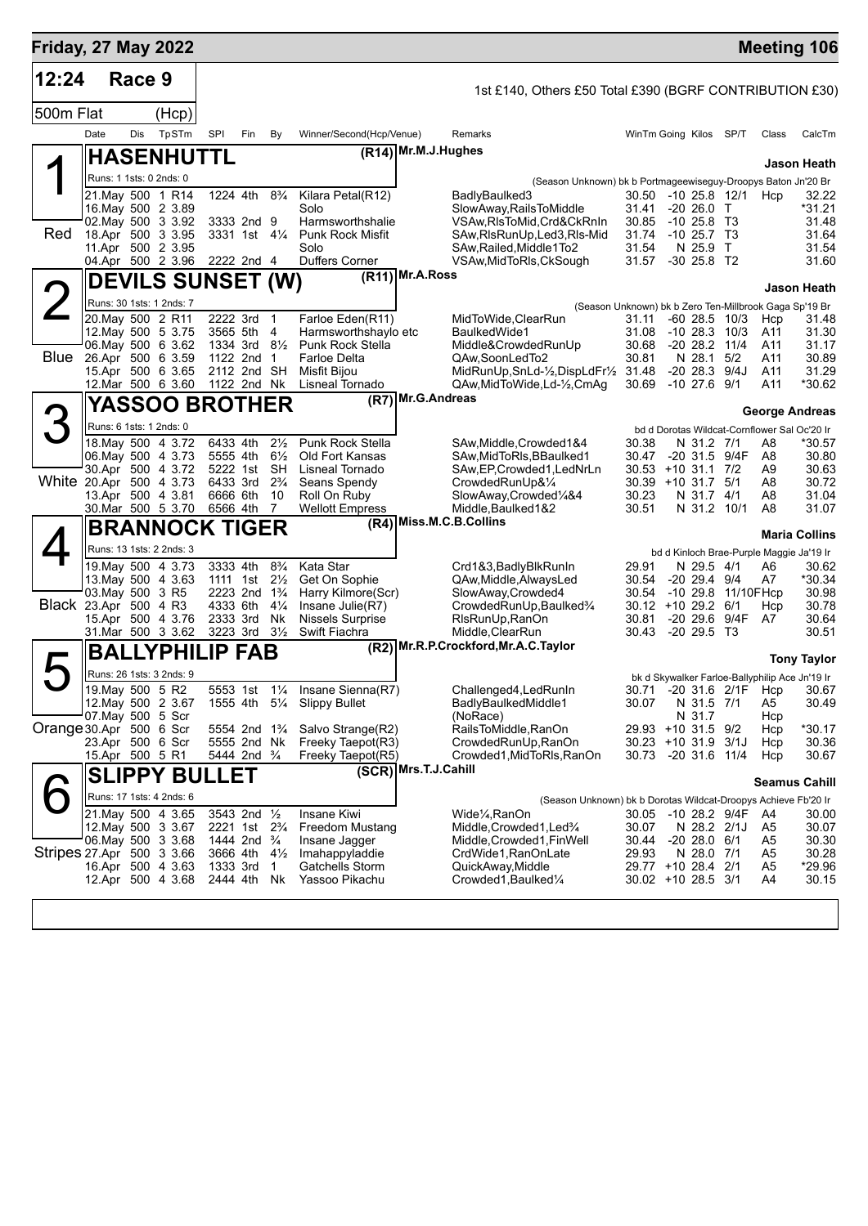| <b>Friday, 27 May 2022</b> |                  |        |                                                                                                                              |                                                          |                                                                                                                            |                                                                      |                                                                                                                        |                                                                                                                                                                                                                                                                                                                                                                   | <b>Meeting 106</b>                                  |
|----------------------------|------------------|--------|------------------------------------------------------------------------------------------------------------------------------|----------------------------------------------------------|----------------------------------------------------------------------------------------------------------------------------|----------------------------------------------------------------------|------------------------------------------------------------------------------------------------------------------------|-------------------------------------------------------------------------------------------------------------------------------------------------------------------------------------------------------------------------------------------------------------------------------------------------------------------------------------------------------------------|-----------------------------------------------------|
| 12:24                      |                  | Race 9 |                                                                                                                              |                                                          |                                                                                                                            |                                                                      |                                                                                                                        | 1st £140, Others £50 Total £390 (BGRF CONTRIBUTION £30)                                                                                                                                                                                                                                                                                                           |                                                     |
| 500m Flat                  |                  |        | (Hcp)                                                                                                                        |                                                          |                                                                                                                            |                                                                      |                                                                                                                        |                                                                                                                                                                                                                                                                                                                                                                   |                                                     |
|                            | Date             | Dis    | TpSTm                                                                                                                        | SPI                                                      | Fin                                                                                                                        | By                                                                   | Winner/Second(Hcp/Venue)                                                                                               | Remarks<br>WinTm Going Kilos SP/T<br>Class                                                                                                                                                                                                                                                                                                                        | CalcTm                                              |
|                            |                  |        | <b>HASENHUTTL</b>                                                                                                            |                                                          |                                                                                                                            |                                                                      |                                                                                                                        | (R14) Mr.M.J.Hughes                                                                                                                                                                                                                                                                                                                                               | Jason Heath                                         |
|                            |                  |        | Runs: 1 1sts: 0 2nds: 0                                                                                                      |                                                          |                                                                                                                            |                                                                      |                                                                                                                        | (Season Unknown) bk b Portmageewiseguy-Droopys Baton Jn'20 Br                                                                                                                                                                                                                                                                                                     |                                                     |
| Red                        |                  |        | 21. May 500 1 R14<br>16. May 500 2 3.89<br>02. May 500 3 3.92<br>18.Apr 500 3 3.95<br>11.Apr 500 2 3.95<br>04.Apr 500 2 3.96 | 1224 4th<br>2222 2nd 4                                   | 3333 2nd 9<br>3331 1st 41/4                                                                                                | $8\frac{3}{4}$                                                       | Kilara Petal(R12)<br>Solo<br>Harmsworthshalie<br><b>Punk Rock Misfit</b><br>Solo<br><b>Duffers Corner</b>              | 30.50 -10 25.8 12/1<br>BadlyBaulked3<br>Hcp<br>SlowAway, RailsToMiddle<br>31.41<br>$-20, 26.0$ T<br>VSAw, RIsToMid, Crd&CkRnIn<br>30.85<br>$-10, 25.8, T3$<br>SAw, RIs Run Up, Led 3, RIs-Mid<br>31.74<br>$-10, 25.7, T3$<br>SAw, Railed, Middle1To2<br>31.54<br>N 25.9<br>$\mathsf{T}$<br>$-30$ 25.8 T2<br>VSAw, MidToRIs, CkSough<br>31.57                      | 32.22<br>*31.21<br>31.48<br>31.64<br>31.54<br>31.60 |
|                            |                  |        | <b>DEVILS SUNSET (W)</b>                                                                                                     |                                                          |                                                                                                                            |                                                                      |                                                                                                                        | $(R11)$ Mr.A.Ross                                                                                                                                                                                                                                                                                                                                                 | Jason Heath                                         |
|                            |                  |        | Runs: 30 1sts: 1 2nds: 7                                                                                                     |                                                          |                                                                                                                            |                                                                      |                                                                                                                        | (Season Unknown) bk b Zero Ten-Millbrook Gaga Sp'19 Br                                                                                                                                                                                                                                                                                                            |                                                     |
| Blue                       |                  |        | 20. May 500 2 R11<br>12. May 500 5 3.75<br>06. May 500 6 3.62<br>26.Apr 500 6 3.59<br>15.Apr 500 6 3.65<br>12.Mar 500 6 3.60 | 2222 3rd<br>3565 5th<br>1334 3rd<br>1122 2nd             | 2112 2nd SH<br>1122 2nd Nk                                                                                                 | $\mathbf{1}$<br>4<br>$8\frac{1}{2}$<br>$\mathbf 1$                   | Farloe Eden(R11)<br>Harmsworthshaylo etc<br>Punk Rock Stella<br><b>Farloe Delta</b><br>Misfit Bijou<br>Lisneal Tornado | MidToWide, ClearRun<br>$-60$ 28.5 10/3<br>31.11<br>Hcp<br>BaulkedWide1<br>31.08<br>-10 28.3<br>10/3<br>A11<br>Middle&CrowdedRunUp<br>30.68<br>$-20$ 28.2 11/4<br>A11<br>N 28.1<br>5/2<br>QAw,SoonLedTo2<br>30.81<br>A11<br>$-2028.3$<br>9/4J<br>MidRunUp, SnLd-1/2, DispLdFr1/2 31.48<br>A11<br>$-10$ 27.6 $9/1$<br>QAw,MidToWide,Ld-1/2,CmAq<br>30.69<br>A11     | 31.48<br>31.30<br>31.17<br>30.89<br>31.29<br>*30.62 |
|                            |                  |        | <b>YASSOO BROTHER</b>                                                                                                        |                                                          |                                                                                                                            |                                                                      |                                                                                                                        | (R7) Mr.G.Andreas                                                                                                                                                                                                                                                                                                                                                 | <b>George Andreas</b>                               |
| 3                          |                  |        | Runs: 6 1sts: 1 2nds: 0                                                                                                      |                                                          |                                                                                                                            |                                                                      |                                                                                                                        | bd d Dorotas Wildcat-Cornflower Sal Oc'20 Ir                                                                                                                                                                                                                                                                                                                      |                                                     |
| White 20.Apr 500 4 3.73    |                  |        | 18. May 500 4 3.72<br>06. May 500 4 3.73<br>30.Apr 500 4 3.72<br>13.Apr 500 4 3.81<br>30.Mar 500 5 3.70                      | 6433 4th<br>5555 4th<br>6433 3rd<br>6666 6th<br>6566 4th | 5222 1st                                                                                                                   | $2\frac{1}{2}$<br>$6\frac{1}{2}$<br>SH<br>$2\frac{3}{4}$<br>-10<br>7 | Punk Rock Stella<br>Old Fort Kansas<br>Lisneal Tornado<br>Seans Spendy<br>Roll On Ruby<br><b>Wellott Empress</b>       | SAw, Middle, Crowded 1&4<br>30.38<br>N 31.2 7/1<br>A8<br>SAw, MidToRIs, BBaulked1<br>30.47<br>-20 31.5 9/4F<br>A8<br>SAw, EP, Crowded 1, LedNrLn<br>30.53 +10 31.1 7/2<br>A9<br>CrowdedRunUp&1/4<br>30.39 +10 31.7 5/1<br>A8<br>SlowAway,Crowded1/4&4<br>30.23<br>N 31.7 4/1<br>A8<br>Middle, Baulked 1&2<br>30.51<br>N 31.2 10/1<br>A8                           | *30.57<br>30.80<br>30.63<br>30.72<br>31.04<br>31.07 |
|                            |                  |        | BRANNOCK TIGER                                                                                                               |                                                          |                                                                                                                            |                                                                      |                                                                                                                        | (R4) Miss.M.C.B.Collins                                                                                                                                                                                                                                                                                                                                           |                                                     |
|                            |                  |        | Runs: 13 1sts: 2 2nds: 3                                                                                                     |                                                          |                                                                                                                            |                                                                      |                                                                                                                        | bd d Kinloch Brae-Purple Maggie Ja'19 Ir                                                                                                                                                                                                                                                                                                                          | <b>Maria Collins</b>                                |
| Black 23.Apr 500 4 R3      | 03. May 500 3 R5 |        | 19. May 500 4 3.73<br>13. May 500 4 3.63<br>15.Apr 500 4 3.76<br>31.Mar 500 3 3.62                                           | 3333 4th<br>4333 6th<br>2333 3rd<br>3223 3rd             | 1111 1st $2\frac{1}{2}$<br>2223 2nd 1 <sup>3</sup> / <sub>4</sub>                                                          | $8\frac{3}{4}$<br>$4\frac{1}{4}$<br>Nk<br>$3\frac{1}{2}$             | Kata Star<br>Get On Sophie<br>Harry Kilmore(Scr)<br>Insane Julie(R7)<br><b>Nissels Surprise</b><br>Swift Fiachra       | Crd1&3,BadlyBlkRunIn<br>29.91<br>N 29.5 4/1<br>A6<br>QAw, Middle, Always Led<br>30.54<br>$-20$ 29.4 $9/4$<br>A7<br>SlowAway, Crowded4<br>30.54<br>-10 29.8 11/10FHcp<br>CrowdedRunUp, Baulked3/4<br>30.12 +10 29.2 6/1<br>Hcp<br>-20 29.6 9/4F<br>RIsRunUp, RanOn<br>30.81<br>A7<br>$-20$ 29.5 T <sub>3</sub><br>Middle, ClearRun<br>30.43                        | 30.62<br>*30.34<br>30.98<br>30.78<br>30.64<br>30.51 |
|                            |                  |        | <b>BALLYPHILIP FAB</b>                                                                                                       |                                                          |                                                                                                                            |                                                                      |                                                                                                                        | (R2) Mr.R.P.Crockford, Mr.A.C. Taylor                                                                                                                                                                                                                                                                                                                             | <b>Tony Taylor</b>                                  |
|                            |                  |        | Runs: 26 1sts: 3 2nds: 9                                                                                                     |                                                          |                                                                                                                            |                                                                      |                                                                                                                        | bk d Skywalker Farloe-Ballyphilip Ace Jn'19 Ir                                                                                                                                                                                                                                                                                                                    |                                                     |
| Orange 30.Apr 500 6 Scr    | 19. May 500 5 R2 |        | 12. May 500 2 3.67<br>07. May 500 5 Scr<br>23.Apr 500 6 Scr                                                                  |                                                          | 5553 1st<br>5554 2nd 1 <sup>3</sup> / <sub>4</sub><br>5555 2nd Nk                                                          | $1\frac{1}{4}$                                                       | Insane Sienna(R7)<br>1555 4th 51/4 Slippy Bullet<br>Salvo Strange(R2)<br>Freeky Taepot(R3)                             | 30.71 -20 31.6 2/1F Hcp 30.67<br>Challenged4, LedRunIn<br>BadlyBaulkedMiddle1<br>N 31.5 7/1<br>30.07<br>A5<br>N 31.7<br>(NoRace)<br>Hcp<br>RailsToMiddle, RanOn<br>29.93 +10 31.5 9/2<br>Hcp<br>30.23 +10 31.9 3/1J<br>CrowdedRunUp, RanOn<br>Hcp                                                                                                                 | 30.49<br>*30.17<br>30.36                            |
|                            | 15.Apr 500 5 R1  |        |                                                                                                                              |                                                          | 5444 2nd <sup>3</sup> / <sub>4</sub>                                                                                       |                                                                      | Freeky Taepot(R5)                                                                                                      | Crowded1, MidToRIs, RanOn<br>30.73 -20 31.6 11/4<br>Hcp                                                                                                                                                                                                                                                                                                           | 30.67                                               |
|                            |                  |        | <b>SLIPPY BULLET</b>                                                                                                         |                                                          |                                                                                                                            |                                                                      |                                                                                                                        | (SCR) Mrs.T.J.Cahill                                                                                                                                                                                                                                                                                                                                              | <b>Seamus Cahill</b>                                |
|                            |                  |        | Runs: 17 1sts: 4 2nds: 6                                                                                                     |                                                          |                                                                                                                            |                                                                      |                                                                                                                        | (Season Unknown) bk b Dorotas Wildcat-Droopys Achieve Fb'20 Ir                                                                                                                                                                                                                                                                                                    |                                                     |
| Stripes 27.Apr 500 3 3.66  |                  |        | 21. May 500 4 3.65<br>12. May 500 3 3.67<br>06. May 500 3 3.68<br>16.Apr 500 4 3.63<br>12.Apr 500 4 3.68                     | 1333 3rd                                                 | 3543 2nd 1/2<br>2221 1st 2 <sup>3</sup> / <sub>4</sub><br>1444 2nd $\frac{3}{4}$<br>3666 4th $4\frac{1}{2}$<br>2444 4th Nk | $\overline{1}$                                                       | Insane Kiwi<br>Freedom Mustang<br>Insane Jagger<br>Imahappyladdie<br>Gatchells Storm<br>Yassoo Pikachu                 | 30.05 -10 28.2 9/4F<br>Wide¼,RanOn<br>A4<br>Middle,Crowded1,Led <sup>3</sup> /4<br>30.07<br>N 28.2 2/1J<br>A5<br>$-20$ 28.0 $6/1$<br>Middle, Crowded 1, Fin Well<br>30.44<br>A5<br>CrdWide1, RanOnLate<br>29.93<br>N 28.0 7/1<br>A5<br>QuickAway, Middle<br>29.77 +10 28.4 2/1<br>A5<br>Crowded1, Baulked <sup>1</sup> / <sub>4</sub><br>30.02 +10 28.5 3/1<br>A4 | 30.00<br>30.07<br>30.30<br>30.28<br>*29.96<br>30.15 |
|                            |                  |        |                                                                                                                              |                                                          |                                                                                                                            |                                                                      |                                                                                                                        |                                                                                                                                                                                                                                                                                                                                                                   |                                                     |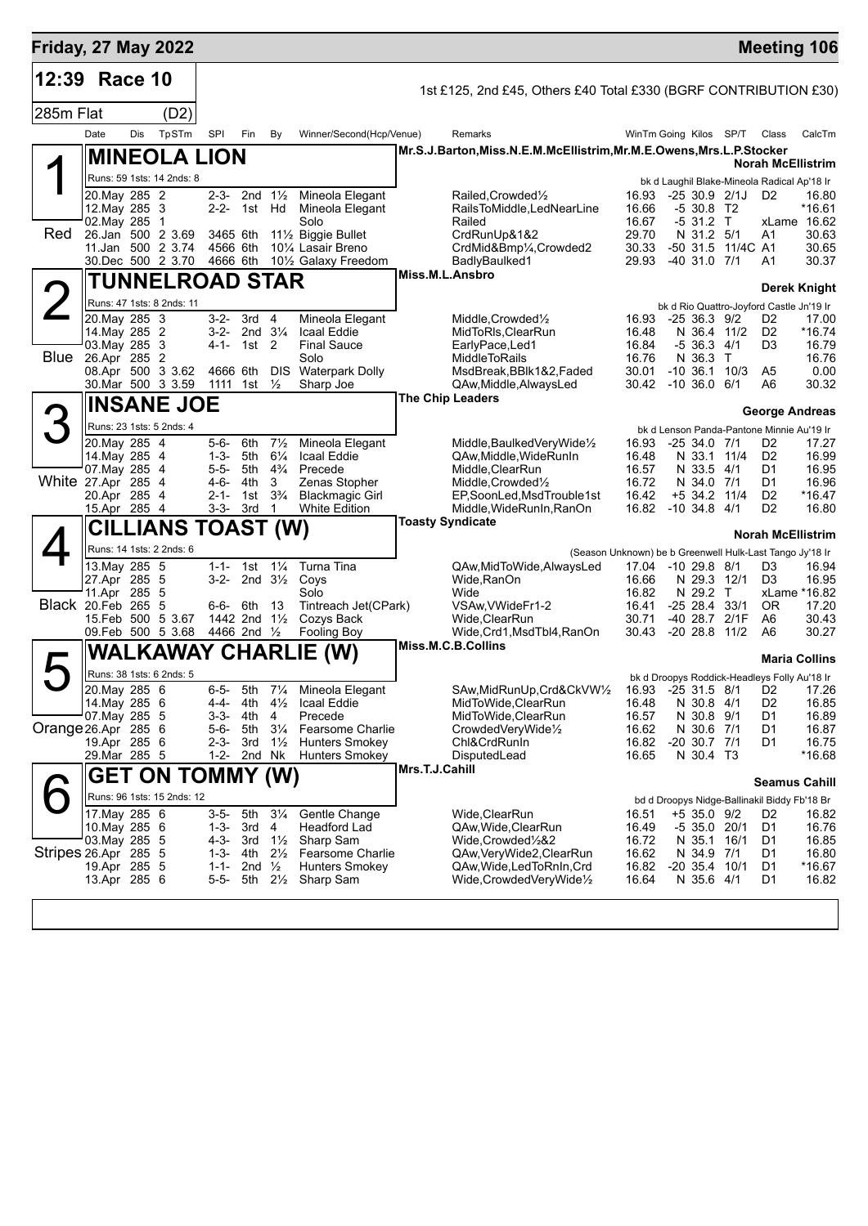| <b>Friday, 27 May 2022</b> |                                 |     |                                        |                       |                                     |                             |                                                                   |                |                                                                      |                |                                                                                |      |                      | <b>Meeting 106</b>       |
|----------------------------|---------------------------------|-----|----------------------------------------|-----------------------|-------------------------------------|-----------------------------|-------------------------------------------------------------------|----------------|----------------------------------------------------------------------|----------------|--------------------------------------------------------------------------------|------|----------------------|--------------------------|
| 12:39 Race 10              |                                 |     |                                        |                       |                                     |                             |                                                                   |                | 1st £125, 2nd £45, Others £40 Total £330 (BGRF CONTRIBUTION £30)     |                |                                                                                |      |                      |                          |
| 285m Flat                  |                                 |     | (D2)                                   |                       |                                     |                             |                                                                   |                |                                                                      |                |                                                                                |      |                      |                          |
|                            | Date                            | Dis | TpSTm                                  | SPI                   | Fin                                 | By                          | Winner/Second(Hcp/Venue)                                          |                | Remarks                                                              |                | WinTm Going Kilos SP/T                                                         |      | Class                | CalcTm                   |
|                            |                                 |     | <b>MINEOLA LION</b>                    |                       |                                     |                             |                                                                   |                | Mr.S.J.Barton, Miss.N.E.M.McEllistrim, Mr.M.E.Owens, Mrs.L.P.Stocker |                |                                                                                |      |                      |                          |
|                            |                                 |     | Runs: 59 1sts: 14 2nds: 8              |                       |                                     |                             |                                                                   |                |                                                                      |                | bk d Laughil Blake-Mineola Radical Ap'18 Ir                                    |      |                      | <b>Norah McEllistrim</b> |
|                            | 20. May 285 2                   |     |                                        |                       | 2-3- 2nd $1\frac{1}{2}$             |                             | Mineola Elegant                                                   |                | Railed, Crowded <sup>1</sup> / <sub>2</sub>                          | 16.93          | -25 30.9 2/1J                                                                  |      | D <sub>2</sub>       | 16.80                    |
|                            | 12. May 285 3<br>02. May 285 1  |     |                                        |                       | 2-2- 1st Hd                         |                             | Mineola Elegant<br>Solo                                           |                | RailsToMiddle,LedNearLine<br>Railed                                  | 16.66<br>16.67 | $-530.8$ T2<br>$-531.2$ T                                                      |      |                      | *16.61<br>xLame 16.62    |
| Red                        |                                 |     | 26.Jan 500 2 3.69                      | 3465 6th              |                                     |                             | 11½ Biggie Bullet                                                 |                | CrdRunUp&1&2                                                         | 29.70          | N 31.2 5/1                                                                     |      | A1                   | 30.63                    |
|                            |                                 |     | 11.Jan 500 2 3.74<br>30.Dec 500 2 3.70 | 4566 6th<br>4666 6th  |                                     |                             | 10 <sup>1</sup> / <sub>4</sub> Lasair Breno<br>10½ Galaxy Freedom |                | CrdMid&Bmp1/4,Crowded2<br>BadlyBaulked1                              | 30.33<br>29.93 | -50 31.5 11/4C A1<br>$-40$ 31.0 $7/1$                                          |      | A1                   | 30.65<br>30.37           |
|                            |                                 |     | <b>TUNNELROAD STAR</b>                 |                       |                                     |                             |                                                                   |                | Miss.M.L.Ansbro                                                      |                |                                                                                |      |                      |                          |
|                            |                                 |     | Runs: 47 1sts: 8 2nds: 11              |                       |                                     |                             |                                                                   |                |                                                                      |                |                                                                                |      |                      | Derek Knight             |
|                            | 20. May 285 3                   |     |                                        |                       | 3-2- 3rd 4                          |                             | Mineola Elegant                                                   |                | Middle, Crowded <sup>1</sup> / <sub>2</sub>                          | 16.93          | bk d Rio Quattro-Joyford Castle Jn'19 Ir<br>$-2536.39/2$                       |      | D <sub>2</sub>       | 17.00                    |
|                            | 14. May 285 2<br>$03$ May 285 3 |     |                                        | $4 - 1 -$             | $3-2$ - 2nd $3\frac{1}{4}$<br>1st 2 |                             | Icaal Eddie<br><b>Final Sauce</b>                                 |                | MidToRIs, ClearRun<br>EarlyPace, Led1                                | 16.48<br>16.84 | N 36.4 11/2<br>$-536.34/1$                                                     |      | D <sub>2</sub><br>D3 | $*16.74$<br>16.79        |
|                            | <b>Blue</b> 26.Apr 285 2        |     |                                        |                       |                                     |                             | Solo                                                              |                | <b>MiddleToRails</b>                                                 | 16.76          | N 36.3 T                                                                       |      |                      | 16.76                    |
|                            |                                 |     | 08.Apr 500 3 3.62<br>30.Mar 500 3 3.59 | 4666 6th              | 1111 1st                            | <b>DIS</b><br>$\frac{1}{2}$ | <b>Waterpark Dolly</b><br>Sharp Joe                               |                | MsdBreak, BBlk1&2, Faded<br>QAw, Middle, Always Led                  | 30.01          | $-10, 36.1, 10/3$<br>30.42 -10 36.0 6/1                                        |      | A5<br>A6             | 0.00<br>30.32            |
|                            |                                 |     | <b>INSANE JOE</b>                      |                       |                                     |                             |                                                                   |                | <b>The Chip Leaders</b>                                              |                |                                                                                |      |                      |                          |
|                            |                                 |     | Runs: 23 1sts: 5 2nds: 4               |                       |                                     |                             |                                                                   |                |                                                                      |                |                                                                                |      |                      | <b>George Andreas</b>    |
|                            | 20. May 285 4                   |     |                                        | 5-6-                  | 6th                                 | $7\frac{1}{2}$              | Mineola Elegant                                                   |                | Middle, Baulked Very Wide <sup>1/2</sup>                             | 16.93          | bk d Lenson Panda-Pantone Minnie Au'19 Ir<br>$-2534.071$                       |      | D2                   | 17.27                    |
|                            | 14. May 285 4                   |     |                                        | 1-3-                  | 5th                                 | $6\frac{1}{4}$              | Icaal Eddie                                                       |                | QAw.Middle.WideRunIn                                                 | 16.48          | N 33.1 11/4                                                                    |      | D <sub>2</sub>       | 16.99                    |
| White 27.Apr 285 4         | 07. May 285 4                   |     |                                        | 4-6- 4th              | 5-5- 5th $4\frac{3}{4}$             | 3                           | Precede<br>Zenas Stopher                                          |                | Middle, ClearRun<br>Middle, Crowded <sup>1</sup> / <sub>2</sub>      | 16.57<br>16.72 | N 33.5 4/1<br>N 34.0 7/1                                                       |      | D1<br>D1             | 16.95<br>16.96           |
|                            | 20.Apr 285 4                    |     |                                        |                       | 2-1- 1st                            | $3\frac{3}{4}$              | <b>Blackmagic Girl</b>                                            |                | EP,SoonLed,MsdTrouble1st                                             | 16.42          | +5 34.2 11/4                                                                   |      | D <sub>2</sub>       | *16.47                   |
|                            | 15.Apr 285 4                    |     | <b>CILLIANS TOAST (W)</b>              |                       | 3-3- 3rd                            | $\overline{1}$              | <b>White Edition</b>                                              |                | Middle, WideRunIn, RanOn<br><b>Toasty Syndicate</b>                  |                | 16.82 -10 34.8 4/1                                                             |      | D <sub>2</sub>       | 16.80                    |
|                            |                                 |     | Runs: 14 1sts: 2 2nds: 6               |                       |                                     |                             |                                                                   |                |                                                                      |                |                                                                                |      |                      | <b>Norah McEllistrim</b> |
|                            | 13.May 285 5                    |     |                                        |                       | 1-1- 1st $1\frac{1}{4}$             |                             | Turna Tina                                                        |                | QAw,MidToWide,AlwaysLed                                              |                | (Season Unknown) be b Greenwell Hulk-Last Tango Jy'18 Ir<br>17.04 -10 29.8 8/1 |      | D3                   | 16.94                    |
|                            | 27.Apr 285 5                    |     |                                        |                       | 3-2- 2nd $3\frac{1}{2}$             |                             | Coys                                                              |                | Wide, RanOn                                                          | 16.66          | N 29.3 12/1                                                                    |      | D <sub>3</sub>       | 16.95                    |
| Black 20.Feb 265 5         | 11.Apr 285 5                    |     |                                        |                       | 6-6- 6th                            | - 13                        | Solo<br>Tintreach Jet(CPark)                                      |                | Wide<br>VSAw, VWideFr1-2                                             | 16.82<br>16.41 | N 29.2 T<br>-25 28.4                                                           | 33/1 | 0R                   | xLame *16.82<br>17.20    |
|                            |                                 |     | 15. Feb 500 5 3.67                     |                       | 1442 2nd 11/2                       |                             | Cozys Back                                                        |                | Wide, ClearRun                                                       | 30.71          | -40 28.7 2/1F                                                                  |      | A6                   | 30.43                    |
|                            |                                 |     | 09.Feb 500 5 3.68                      | 4466 2nd 1/2          |                                     |                             | Fooling Boy                                                       |                | Wide, Crd1, MsdTbl4, RanOn<br>Miss.M.C.B.Collins                     | 30.43          | $-20$ 28.8 $11/2$                                                              |      | A6                   | 30.27                    |
|                            |                                 |     |                                        |                       |                                     |                             | <b>WALKAWAY CHARLIE (W)</b>                                       |                |                                                                      |                |                                                                                |      |                      | <b>Maria Collins</b>     |
|                            | 20. May 285 6                   |     | Runs: 38 1sts: 6 2nds: 5               | $6 - 5 -$             | 5th                                 |                             | 71/4 Mineola Elegant                                              |                | SAw, Mid Run Up, Crd&CkVW1/2 16.93 -25 31.5 8/1 D2 17.26             |                | bk d Droopys Roddick-Headleys Folly Au'18 Ir                                   |      |                      |                          |
|                            | 14. May 285 6                   |     |                                        | 4-4-                  | 4th                                 |                             | $4\frac{1}{2}$ Icaal Eddie                                        |                | MidToWide, ClearRun                                                  | 16.48          | N 30.8 4/1                                                                     |      | D2                   | 16.85                    |
| $Orange26.$ Apr 285 6      | 07. May 285 5                   |     |                                        | 3-3-<br>5-6-          | 4th<br>5th                          | 4<br>$3\frac{1}{4}$         | Precede<br>Fearsome Charlie                                       |                | MidToWide, ClearRun<br>CrowdedVeryWide1/2                            | 16.57<br>16.62 | N 30.8 9/1<br>N 30.6 7/1                                                       |      | D1<br>D1             | 16.89<br>16.87           |
|                            | 19.Apr 285 6                    |     |                                        | 2-3-                  | 3rd                                 | $1\frac{1}{2}$              | <b>Hunters Smokey</b>                                             |                | Chl&CrdRunIn                                                         | 16.82          | $-20$ 30.7 $7/1$                                                               |      | D1                   | 16.75                    |
|                            | 29. Mar 285 5                   |     |                                        | $1 - 2 -$             | 2nd Nk                              |                             | <b>Hunters Smokey</b>                                             | Mrs.T.J.Cahill | DisputedLead                                                         | 16.65          | N 30.4 T3                                                                      |      |                      | $*16.68$                 |
|                            |                                 |     | GET ON TOMMY (W)                       |                       |                                     |                             |                                                                   |                |                                                                      |                |                                                                                |      |                      | <b>Seamus Cahill</b>     |
|                            |                                 |     | Runs: 96 1sts: 15 2nds: 12             |                       |                                     |                             |                                                                   |                |                                                                      |                | bd d Droopys Nidge-Ballinakil Biddy Fb'18 Br                                   |      |                      |                          |
|                            | 17. May 285 6<br>10. May 285 6  |     |                                        | 3-5-                  | 5th<br>1-3- 3rd                     | $3\frac{1}{4}$<br>4         | Gentle Change<br>Headford Lad                                     |                | Wide,ClearRun<br>QAw, Wide, Clear Run                                | 16.51<br>16.49 | +5 35.0 9/2<br>$-535.020/1$                                                    |      | D <sub>2</sub><br>D1 | 16.82<br>16.76           |
|                            | 03. May 285 5                   |     |                                        |                       | 4-3- 3rd                            | $1\frac{1}{2}$              | Sharp Sam                                                         |                | Wide,Crowded½&2                                                      | 16.72          | N 35.1                                                                         | 16/1 | D1                   | 16.85                    |
| Stripes 26.Apr 285 5       | 19.Apr 285 5                    |     |                                        | 1-3- 4th<br>$1 - 1 -$ | 2nd $\frac{1}{2}$                   | $2\frac{1}{2}$              | <b>Fearsome Charlie</b><br><b>Hunters Smokey</b>                  |                | QAw, Very Wide 2, Clear Run<br>QAw, Wide, Led To RnIn, Crd           | 16.62<br>16.82 | N 34.9 7/1<br>$-20$ 35.4 10/1                                                  |      | D1<br>D1             | 16.80<br>*16.67          |
|                            | 13.Apr 285 6                    |     |                                        | 5-5-                  |                                     | 5th 2½                      | Sharp Sam                                                         |                | Wide,CrowdedVeryWide1/2                                              | 16.64          | N 35.6 4/1                                                                     |      | D1                   | 16.82                    |
|                            |                                 |     |                                        |                       |                                     |                             |                                                                   |                |                                                                      |                |                                                                                |      |                      |                          |
|                            |                                 |     |                                        |                       |                                     |                             |                                                                   |                |                                                                      |                |                                                                                |      |                      |                          |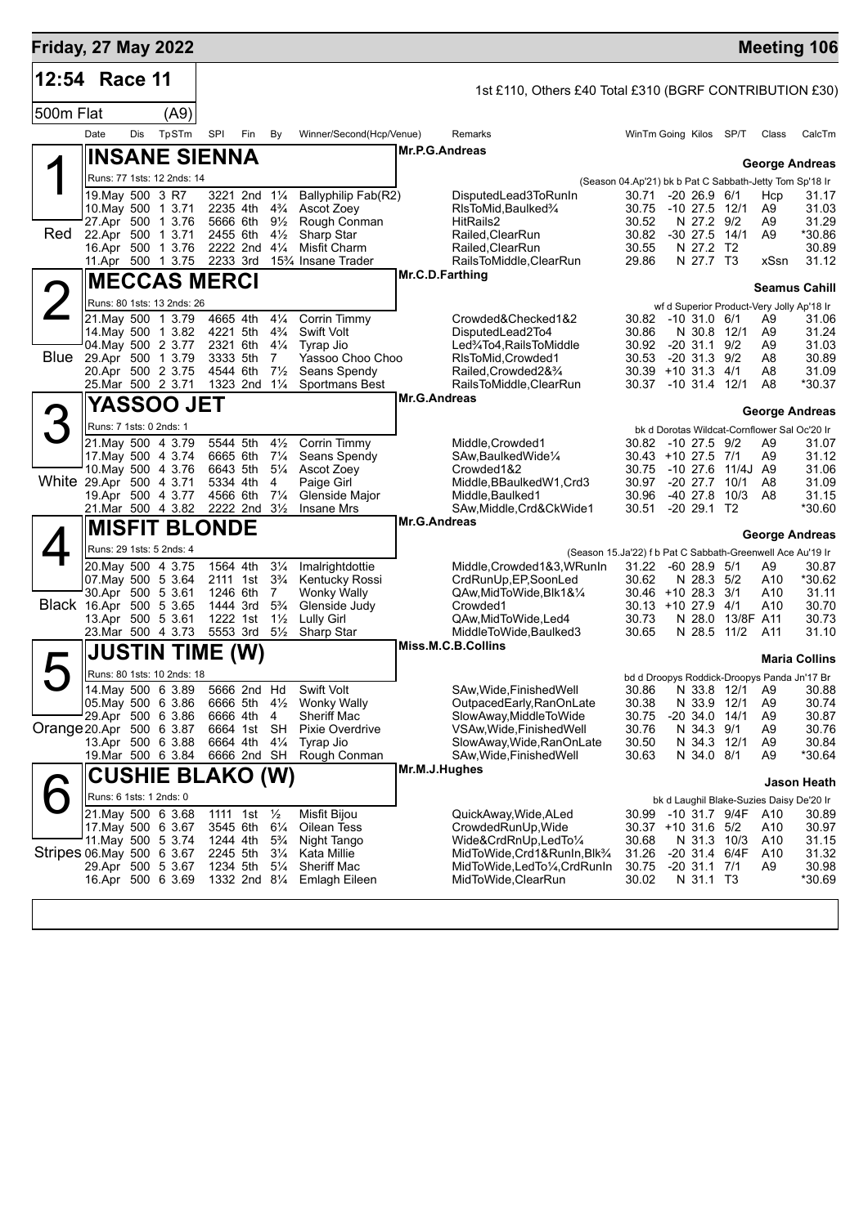| <b>Friday, 27 May 2022</b> |                                        |     |                                                  |                      |                         |                                  |                                            |                 |                                                                                           |                                                         |                                           |                   |                                        | <b>Meeting 106</b>                                 |
|----------------------------|----------------------------------------|-----|--------------------------------------------------|----------------------|-------------------------|----------------------------------|--------------------------------------------|-----------------|-------------------------------------------------------------------------------------------|---------------------------------------------------------|-------------------------------------------|-------------------|----------------------------------------|----------------------------------------------------|
| 12:54 Race 11              |                                        |     |                                                  |                      |                         |                                  |                                            |                 | 1st £110, Others £40 Total £310 (BGRF CONTRIBUTION £30)                                   |                                                         |                                           |                   |                                        |                                                    |
| 500m Flat                  |                                        |     | (A9)                                             |                      |                         |                                  |                                            |                 |                                                                                           |                                                         |                                           |                   |                                        |                                                    |
|                            | Date                                   | Dis | TpSTm                                            | <b>SPI</b>           | Fin                     | By                               | Winner/Second(Hcp/Venue)                   |                 | Remarks                                                                                   | WinTm Going Kilos SP/T                                  |                                           |                   | Class                                  | CalcTm                                             |
|                            |                                        |     | <b>INSANE SIENNA</b>                             |                      |                         |                                  |                                            | Mr.P.G.Andreas  |                                                                                           |                                                         |                                           |                   |                                        |                                                    |
|                            |                                        |     | Runs: 77 1sts: 12 2nds: 14                       |                      |                         |                                  |                                            |                 |                                                                                           | (Season 04.Ap'21) bk b Pat C Sabbath-Jetty Tom Sp'18 Ir |                                           |                   |                                        | <b>George Andreas</b>                              |
|                            | 19. May 500 3 R7                       |     |                                                  |                      | 3221 2nd 11/4           |                                  | Ballyphilip Fab(R2)                        |                 | DisputedLead3ToRunIn                                                                      | 30.71 -20 26.9 6/1                                      |                                           |                   | Hcp                                    | 31.17                                              |
|                            | 10. May 500 1 3.71                     |     |                                                  | 2235 4th             |                         | $4\frac{3}{4}$                   | Ascot Zoey                                 |                 | RIsToMid, Baulked%                                                                        | 30.75<br>30.52                                          | $-10$ 27.5 $12/1$                         |                   | A9                                     | 31.03                                              |
| Red                        | 22.Apr 500 1 3.71                      |     | 27.Apr 500 1 3.76                                | 5666 6th<br>2455 6th |                         | $9\frac{1}{2}$<br>$4\frac{1}{2}$ | Rough Conman<br>Sharp Star                 |                 | HitRails2<br>Railed, ClearRun                                                             | 30.82                                                   | N 27.2 9/2<br>$-30$ 27.5 14/1             |                   | A9<br>A9                               | 31.29<br>*30.86                                    |
|                            |                                        |     | 16.Apr 500 1 3.76                                |                      | 2222 2nd                | $4\frac{1}{4}$                   | <b>Misfit Charm</b>                        |                 | Railed, ClearRun                                                                          | 30.55                                                   | N 27.2 T2                                 |                   |                                        | 30.89                                              |
|                            |                                        |     | 11.Apr 500 1 3.75                                |                      |                         |                                  | 2233 3rd $15\%$ Insane Trader              | Mr.C.D.Farthing | RailsToMiddle, ClearRun                                                                   | 29.86                                                   | N 27.7 T3                                 |                   | xSsn                                   | 31.12                                              |
|                            |                                        |     | <b>MECCAS MERCI</b>                              |                      |                         |                                  |                                            |                 |                                                                                           |                                                         |                                           |                   |                                        | <b>Seamus Cahill</b>                               |
| $\angle$                   |                                        |     | Runs: 80 1sts: 13 2nds: 26<br>21. May 500 1 3.79 | 4665 4th             |                         | $4\frac{1}{4}$                   | Corrin Timmy                               |                 | Crowded&Checked1&2                                                                        | 30.82 -10 31.0 6/1                                      |                                           |                   | A9                                     | wf d Superior Product-Very Jolly Ap'18 Ir<br>31.06 |
|                            |                                        |     | 14. May 500 1 3.82                               | 4221 5th             |                         | $4\frac{3}{4}$                   | <b>Swift Volt</b>                          |                 | DisputedLead2To4                                                                          | 30.86                                                   | N 30.8 12/1                               |                   | A9                                     | 31.24                                              |
| Blue                       | 04. May 500 2 3.77                     |     |                                                  | 2321 6th             |                         | $4\frac{1}{4}$                   | Tyrap Jio                                  |                 | Led%To4,RailsToMiddle                                                                     | 30.92                                                   | $-20, 31.1$                               | 9/2               | A9                                     | 31.03                                              |
|                            | 29.Apr 500 1 3.79<br>20.Apr 500 2 3.75 |     |                                                  | 3333 5th<br>4544 6th |                         | $\overline{7}$<br>$7\frac{1}{2}$ | Yassoo Choo Choo<br>Seans Spendy           |                 | RIsToMid.Crowded1<br>Railed, Crowded 2& 3/4                                               | 30.53<br>30.39 +10 31.3 4/1                             | $-20$ 31.3 $9/2$                          |                   | A8<br>A8                               | 30.89<br>31.09                                     |
|                            | 25. Mar 500 2 3.71                     |     |                                                  |                      | 1323 2nd 11/4           |                                  | Sportmans Best                             |                 | RailsToMiddle, ClearRun                                                                   | 30.37 -10 31.4 12/1                                     |                                           |                   | A8                                     | *30.37                                             |
|                            |                                        |     | <b>YASSOO JET</b>                                |                      |                         |                                  |                                            | Mr.G.Andreas    |                                                                                           |                                                         |                                           |                   |                                        | <b>George Andreas</b>                              |
| 3                          | Runs: 7 1sts: 0 2nds: 1                |     |                                                  |                      |                         |                                  |                                            |                 |                                                                                           |                                                         |                                           |                   |                                        | bk d Dorotas Wildcat-Cornflower Sal Oc'20 Ir       |
|                            | 21. May 500 4 3.79                     |     |                                                  | 5544 5th             |                         | $4\frac{1}{2}$                   | Corrin Timmy                               |                 | Middle, Crowded1                                                                          | 30.82 -10 27.5 9/2                                      |                                           |                   | A9                                     | 31.07                                              |
|                            |                                        |     | 17. May 500 4 3.74<br>10. May 500 4 3.76         | 6665 6th<br>6643 5th |                         | $7\frac{1}{4}$<br>$5\frac{1}{4}$ | Seans Spendy<br>Ascot Zoey                 |                 | SAw,BaulkedWide1/4<br>Crowded1&2                                                          | 30.43 +10 27.5 7/1<br>30.75                             |                                           | -10 27.6 11/4J A9 | A9                                     | 31.12<br>31.06                                     |
| White 29.Apr 500 4 3.71    |                                        |     |                                                  | 5334 4th             |                         | 4                                | Paige Girl                                 |                 | Middle,BBaulkedW1,Crd3                                                                    | 30.97                                                   | $-20$ 27.7 $10/1$                         |                   | A8                                     | 31.09                                              |
|                            |                                        |     | 19.Apr 500 4 3.77<br>21.Mar 500 4 3.82           | 4566 6th             | 2222 2nd 31/2           | $7\frac{1}{4}$                   | Glenside Major<br>Insane Mrs               |                 | Middle,Baulked1<br>SAw,Middle,Crd&CkWide1                                                 | 30.96<br>30.51                                          | $-4027.8$<br>$-20$ 29.1 T <sub>2</sub>    | $10/3$ A8         |                                        | 31.15<br>*30.60                                    |
|                            |                                        |     | <b>MISFIT BLONDE</b>                             |                      |                         |                                  |                                            | Mr.G.Andreas    |                                                                                           |                                                         |                                           |                   |                                        |                                                    |
|                            |                                        |     | Runs: 29 1sts: 5 2nds: 4                         |                      |                         |                                  |                                            |                 |                                                                                           |                                                         |                                           |                   |                                        | George Andreas                                     |
|                            |                                        |     | 20. May 500 4 3.75                               | 1564 4th             |                         | $3\frac{1}{4}$                   | Imalrightdottie                            |                 | (Season 15.Ja'22) f b Pat C Sabbath-Greenwell Ace Au'19 Ir<br>Middle, Crowded 1&3, WRunIn | 31.22                                                   | $-60$ 28.9 $5/1$                          |                   | A9                                     | 30.87                                              |
|                            |                                        |     | 07. May 500 5 3.64                               |                      | 2111 1st                | $3\frac{3}{4}$                   | Kentucky Rossi                             |                 | CrdRunUp, EP, SoonLed                                                                     | 30.62                                                   | N 28.3 5/2                                |                   | A10                                    | *30.62                                             |
| Black 16.Apr 500 5 3.65    | 30.Apr 500 5 3.61                      |     |                                                  | 1246 6th<br>1444 3rd |                         | 7<br>$5\frac{3}{4}$              | <b>Wonky Wally</b><br>Glenside Judy        |                 | QAw, MidToWide, Blk1&1/4<br>Crowded1                                                      | $30.46 + 10.28.3$ 3/1<br>$30.13 + 1027.9$               |                                           | 4/1               | A10<br>A10                             | 31.11<br>30.70                                     |
|                            | 13.Apr 500 5 3.61                      |     |                                                  | 1222 1st             |                         | $1\frac{1}{2}$                   | <b>Lully Girl</b>                          |                 | QAw, MidToWide, Led4                                                                      | 30.73                                                   | N 28.0                                    | 13/8F A11         |                                        | 30.73                                              |
|                            |                                        |     | 23. Mar 500 4 3.73                               | 5553 3rd             |                         | $5\frac{1}{2}$                   | Sharp Star                                 |                 | MiddleToWide,Baulked3<br>Miss.M.C.B.Collins                                               | 30.65                                                   | N 28.5                                    | 11/2              | A11                                    | 31.10                                              |
|                            |                                        |     | <b>JUSTIN TIME (W)</b>                           |                      |                         |                                  |                                            |                 |                                                                                           |                                                         |                                           |                   |                                        | <b>Maria Collins</b>                               |
|                            |                                        |     | Runs: 80 1sts: 10 2nds: 18                       |                      |                         |                                  |                                            |                 |                                                                                           |                                                         |                                           |                   |                                        | bd d Droopys Roddick-Droopys Panda Jn'17 Br        |
|                            |                                        |     | 14. May 500 6 3.89<br>05. May 500 6 3.86         |                      | 5666 2nd Hd<br>6666 5th | $4\frac{1}{2}$                   | <b>Swift Volt</b><br><b>Wonky Wally</b>    |                 | SAw, Wide, Finished Well<br>OutpacedEarly, RanOnLate                                      | 30.38                                                   | N 33.9                                    | 12/1              | 30.86 N 33.8 12/1 A9<br>A <sub>9</sub> | 30.88<br>30.74                                     |
|                            | 29.Apr 500 6 3.86                      |     |                                                  |                      | 6666 4th                | 4                                | Sheriff Mac                                |                 | SlowAway, MiddleToWide                                                                    | 30.75                                                   | $-20$ 34.0 14/1                           |                   | A9                                     | 30.87                                              |
| Orange 20.Apr 500 6 3.87   |                                        |     | 13.Apr 500 6 3.88                                | 6664 4th             | 6664 1st                | SH<br>$4\frac{1}{4}$             | Pixie Overdrive<br>Tyrap Jio               |                 | VSAw, Wide, Finished Well<br>SlowAway,Wide,RanOnLate                                      | 30.76<br>30.50                                          | N 34.3 9/1<br>N 34.3 12/1                 |                   | A9<br>A9                               | 30.76<br>30.84                                     |
|                            |                                        |     | 19. Mar 500 6 3.84                               |                      | 6666 2nd SH             |                                  | Rough Conman                               |                 | SAw, Wide, Finished Well                                                                  | 30.63                                                   | N 34.0 8/1                                |                   | A9                                     | *30.64                                             |
|                            |                                        |     | <b>CUSHIE BLAKO (W)</b>                          |                      |                         |                                  |                                            | Mr.M.J.Hughes   |                                                                                           |                                                         |                                           |                   |                                        | Jason Heath                                        |
|                            | Runs: 6 1sts: 1 2nds: 0                |     |                                                  |                      |                         |                                  |                                            |                 |                                                                                           |                                                         |                                           |                   |                                        | bk d Laughil Blake-Suzies Daisy De'20 Ir           |
|                            | 21. May 500 6 3.68                     |     |                                                  | 1111 1st             |                         | $\frac{1}{2}$                    | <b>Misfit Bijou</b>                        |                 | QuickAway,Wide,ALed                                                                       | 30.99                                                   | -10 31.7 9/4F                             |                   | A10                                    | 30.89                                              |
|                            |                                        |     | 17. May 500 6 3.67<br>11 May 500 5 3 74          | 3545 6th<br>1244 4th |                         | $6\frac{1}{4}$<br>$5\frac{3}{4}$ | Oilean Tess<br>Night Tango                 |                 | CrowdedRunUp, Wide<br>Wide&CrdRnUp,LedTo¼                                                 | 30.37 +10 31.6 5/2<br>30.68                             | N 31.3 10/3                               |                   | A10<br>A10                             | 30.97<br>31.15                                     |
| Stripes 06 May 500 6 3.67  |                                        |     |                                                  | 2245 5th             |                         | $3\frac{1}{4}$                   | Kata Millie                                |                 | MidToWide,Crd1&RunIn,Blk¾                                                                 | 31.26                                                   | -20 31.4 6/4F                             |                   | A10                                    | 31.32                                              |
|                            | 16.Apr 500 6 3.69                      |     | 29.Apr 500 5 3.67                                | 1234 5th             | 1332 2nd 81/4           | $5\frac{1}{4}$                   | <b>Sheriff Mac</b><br><b>Emlagh Eileen</b> |                 | MidToWide,LedTo¼,CrdRunIn<br>MidToWide, ClearRun                                          | 30.75<br>30.02                                          | $-20$ 31.1 $7/1$<br>N 31.1 T <sub>3</sub> |                   | A9                                     | 30.98<br>*30.69                                    |
|                            |                                        |     |                                                  |                      |                         |                                  |                                            |                 |                                                                                           |                                                         |                                           |                   |                                        |                                                    |
|                            |                                        |     |                                                  |                      |                         |                                  |                                            |                 |                                                                                           |                                                         |                                           |                   |                                        |                                                    |
|                            |                                        |     |                                                  |                      |                         |                                  |                                            |                 |                                                                                           |                                                         |                                           |                   |                                        |                                                    |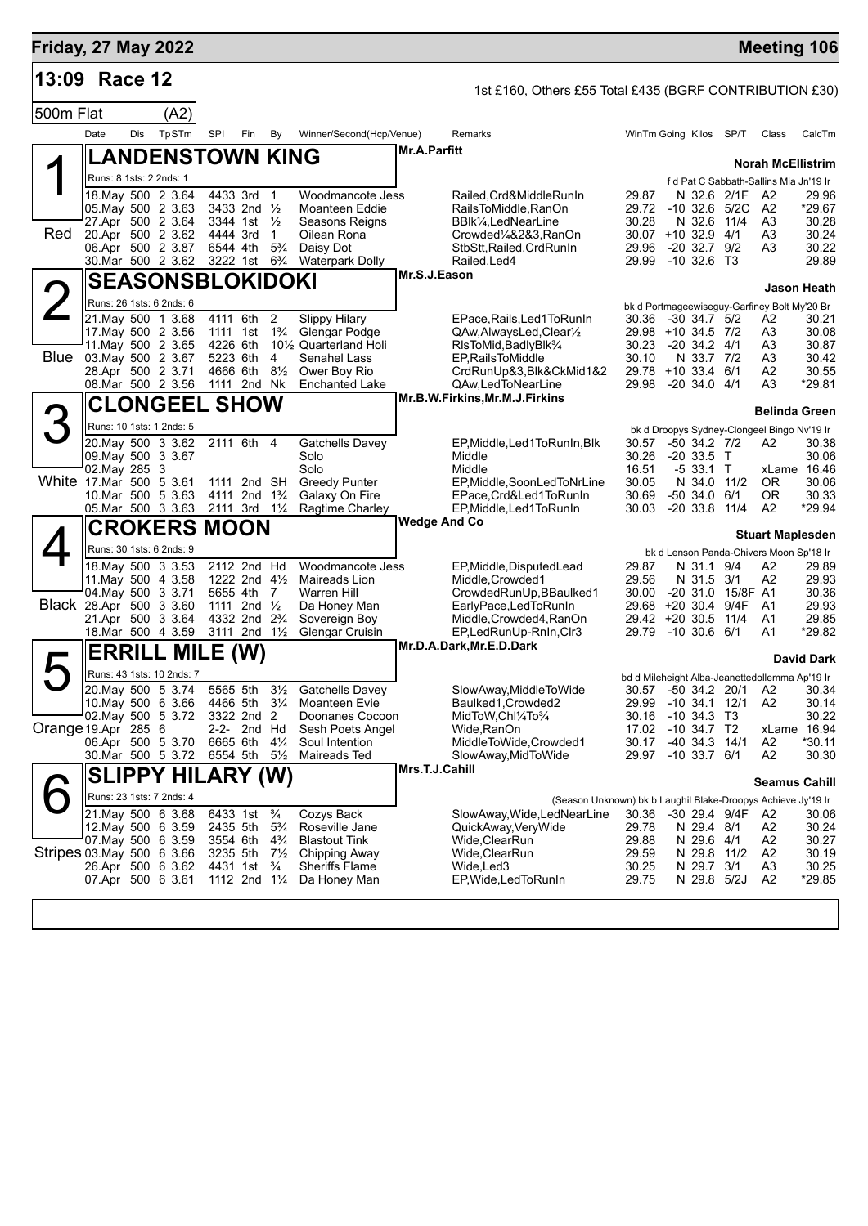| <b>Friday, 27 May 2022</b> |                         |     |                                          |                      |                                                                  |                                 |                                                 |                     |                                                                                     |                |                                                                 |      | <b>Meeting 106</b>               |                      |
|----------------------------|-------------------------|-----|------------------------------------------|----------------------|------------------------------------------------------------------|---------------------------------|-------------------------------------------------|---------------------|-------------------------------------------------------------------------------------|----------------|-----------------------------------------------------------------|------|----------------------------------|----------------------|
| 13:09                      | Race 12                 |     |                                          |                      |                                                                  |                                 |                                                 |                     | 1st £160, Others £55 Total £435 (BGRF CONTRIBUTION £30)                             |                |                                                                 |      |                                  |                      |
| 500m Flat                  |                         |     | (A2)                                     |                      |                                                                  |                                 |                                                 |                     |                                                                                     |                |                                                                 |      |                                  |                      |
|                            | Date                    | Dis | TpSTm                                    | SPI                  | Fin                                                              | By                              | Winner/Second(Hcp/Venue)                        |                     | Remarks                                                                             |                | WinTm Going Kilos SP/T                                          |      | Class                            | CalcTm               |
|                            |                         |     | <b>LANDENSTOWN KING</b>                  |                      |                                                                  |                                 |                                                 | <b>Mr.A.Parfitt</b> |                                                                                     |                |                                                                 |      | <b>Norah McEllistrim</b>         |                      |
|                            | Runs: 8 1sts: 2 2nds: 1 |     |                                          |                      |                                                                  |                                 |                                                 |                     |                                                                                     |                | f d Pat C Sabbath-Sallins Mia Jn'19 Ir                          |      |                                  |                      |
|                            | 05. May 500 2 3.63      |     | 18. May 500 2 3.64                       |                      | 4433 3rd 1<br>3433 2nd 1/2                                       |                                 | Woodmancote Jess<br><b>Moanteen Eddie</b>       |                     | Railed, Crd&MiddleRunIn<br>RailsToMiddle, RanOn                                     | 29.87<br>29.72 | N 32.6 2/1F<br>$-10$ 32.6 5/2C                                  |      | A <sub>2</sub><br>A <sub>2</sub> | 29.96<br>*29.67      |
|                            |                         |     | 27.Apr 500 2 3.64                        |                      | 3344 1st $\frac{1}{2}$                                           |                                 | Seasons Reigns                                  |                     | BBlk1/ <sub>4</sub> , LedNearLine                                                   | 30.28          | N 32.6                                                          | 11/4 | A3                               | 30.28                |
| Red                        |                         |     | 20.Apr 500 2 3.62<br>06.Apr 500 2 3.87   | 4444 3rd<br>6544 4th |                                                                  | $\mathbf{1}$<br>$5\frac{3}{4}$  | Oilean Rona<br>Daisy Dot                        |                     | Crowded%&2&3,RanOn<br>StbStt, Railed, CrdRunIn                                      | 29.96          | 30.07 +10 32.9 4/1<br>$-20$ 32.7 $9/2$                          |      | A3<br>A3                         | 30.24<br>30.22       |
|                            |                         |     | 30.Mar 500 2 3.62                        |                      | 3222 1st 6 <sup>3</sup> / <sub>4</sub>                           |                                 | <b>Waterpark Dolly</b>                          |                     | Railed, Led4                                                                        |                | 29.99 -10 32.6 T3                                               |      |                                  | 29.89                |
|                            |                         |     | <b>SEASONSBLOKIDOKI</b>                  |                      |                                                                  |                                 |                                                 | Mr.S.J.Eason        |                                                                                     |                |                                                                 |      |                                  | Jason Heath          |
| $\overline{2}$             |                         |     | Runs: 26 1sts: 6 2nds: 6                 |                      |                                                                  |                                 |                                                 |                     |                                                                                     |                | bk d Portmageewiseguy-Garfiney Bolt My'20 Br                    |      |                                  |                      |
|                            |                         |     | 21. May 500 1 3.68<br>17 May 500 2 3.56  | 4111 6th             |                                                                  | 2                               | <b>Slippy Hilary</b><br>Glengar Podge           |                     | EPace, Rails, Led 1 To Run In<br>QAw, Always Led, Clear <sup>1</sup> / <sub>2</sub> | 30.36          | $-30$ 34.7 $5/2$<br>29.98 +10 34.5 7/2                          |      | A2                               | 30.21<br>30.08       |
|                            |                         |     | 11. May 500 2 3.65                       | 1111 1st<br>4226 6th |                                                                  | $1\frac{3}{4}$                  | 10 <sup>1</sup> / <sub>2</sub> Quarterland Holi |                     | RIsToMid, BadlyBlk <sup>3</sup> /4                                                  | 30.23          | $-20, 34.2, 4/1$                                                |      | A3<br>A3                         | 30.87                |
| Blue                       |                         |     | 03 May 500 2 3.67                        | 5223 6th             |                                                                  | 4                               | Senahel Lass                                    |                     | <b>EP.RailsToMiddle</b>                                                             | 30.10          | N 33.7 7/2                                                      |      | A3                               | 30.42                |
|                            | 28.Apr 500 2 3.71       |     | 08. Mar 500 2 3.56                       | 4666 6th             | 1111 2nd Nk                                                      | $8\frac{1}{2}$                  | Ower Boy Rio<br><b>Enchanted Lake</b>           |                     | CrdRunUp&3,Blk&CkMid1&2<br>QAw,LedToNearLine                                        | 29.98          | 29.78 +10 33.4 6/1<br>$-20, 34.0, 4/1$                          |      | Α2<br>A3                         | 30.55<br>*29.81      |
|                            |                         |     | <b>CLONGEEL SHOW</b>                     |                      |                                                                  |                                 |                                                 |                     | Mr.B.W.Firkins, Mr.M.J.Firkins                                                      |                |                                                                 |      |                                  |                      |
| 3                          |                         |     | Runs: 10 1sts: 1 2nds: 5                 |                      |                                                                  |                                 |                                                 |                     |                                                                                     |                |                                                                 |      | <b>Belinda Green</b>             |                      |
|                            |                         |     | 20. May 500 3 3.62                       |                      | 2111 6th 4                                                       |                                 | <b>Gatchells Davey</b>                          |                     | EP, Middle, Led 1 To Run In, Blk                                                    | 30.57          | bk d Droopys Sydney-Clongeel Bingo Nv'19 Ir<br>$-50$ 34.2 $7/2$ |      | A2                               | 30.38                |
|                            | 09. May 500 3 3.67      |     |                                          |                      |                                                                  |                                 | Solo                                            |                     | Middle                                                                              | 30.26          | $-20, 33.5$ T                                                   |      |                                  | 30.06                |
| White 17 Mar 500 5 3.61    | 02. May 285 3           |     |                                          |                      | 1111 2nd SH                                                      |                                 | Solo<br><b>Greedy Punter</b>                    |                     | Middle<br>EP, Middle, SoonLedToNrLine                                               | 16.51<br>30.05 | $-533.1$ T<br>N 34.0                                            | 11/2 | OR.                              | xLame 16.46<br>30.06 |
|                            |                         |     | 10.Mar 500 5 3.63                        |                      | 4111 2nd 1 <sup>3</sup> / <sub>4</sub>                           |                                 | Galaxy On Fire                                  |                     | EPace, Crd&Led1ToRunIn                                                              | 30.69          | $-50, 34.0, 6/1$                                                |      | 0R                               | 30.33                |
|                            |                         |     | 05.Mar 500 3 3.63                        | 2111 3rd 11/4        |                                                                  |                                 | Ragtime Charley                                 | Wedge And Co        | EP, Middle, Led 1 To Run In                                                         | 30.03          | $-20$ 33.8 $11/4$                                               |      | A2                               | *29.94               |
|                            |                         |     | <b>CROKERS MOON</b>                      |                      |                                                                  |                                 |                                                 |                     |                                                                                     |                |                                                                 |      | <b>Stuart Maplesden</b>          |                      |
|                            |                         |     | Runs: 30 1sts: 6 2nds: 9                 |                      |                                                                  |                                 |                                                 |                     |                                                                                     |                | bk d Lenson Panda-Chivers Moon Sp'18 Ir                         |      |                                  |                      |
|                            |                         |     | 18. May 500 3 3.53<br>11. May 500 4 3.58 |                      | 2112 2nd Hd<br>1222 2nd $4\frac{1}{2}$                           |                                 | Woodmancote Jess<br>Maireads Lion               |                     | EP, Middle, DisputedLead<br>Middle, Crowded1                                        | 29.87<br>29.56 | N 31.1 9/4<br>N 31.5 3/1                                        |      | A2<br>A2                         | 29.89<br>29.93       |
|                            | 04. May 500 3 3.71      |     |                                          |                      | 5655 4th 7                                                       |                                 | Warren Hill                                     |                     | CrowdedRunUp, BBaulked1                                                             | 30.00          | -20 31.0 15/8F A1                                               |      |                                  | 30.36                |
| Black 28.Apr 500 3 3.60    |                         |     |                                          |                      | 1111 2nd $\frac{1}{2}$<br>4332 2nd 2 <sup>3</sup> / <sub>4</sub> |                                 | Da Honey Man                                    |                     | EarlyPace,LedToRunIn                                                                | 29.68          | +20 30.4 9/4F                                                   |      | - A1                             | 29.93                |
|                            |                         |     | 21.Apr 500 3 3.64<br>18.Mar 500 4 3.59   |                      | 3111 2nd 11/2                                                    |                                 | Sovereign Boy<br><b>Glengar Cruisin</b>         |                     | Middle, Crowded4, RanOn<br>EP,LedRunUp-RnIn,Clr3                                    | 29.79          | 29.42 +20 30.5 11/4<br>$-10,30.6,6/1$                           |      | A <sub>1</sub><br>A1             | 29.85<br>*29.82      |
|                            | <b>ERRILL</b>           |     | <b>MILE</b>                              |                      | (W)                                                              |                                 |                                                 |                     | Mr.D.A.Dark, Mr.E.D.Dark                                                            |                |                                                                 |      |                                  |                      |
|                            |                         |     | Runs: 43 1sts: 10 2nds: 7                |                      |                                                                  |                                 |                                                 |                     |                                                                                     |                | bd d Mileheight Alba-Jeanettedollemma Ap'19 Ir                  |      |                                  | <b>David Dark</b>    |
|                            |                         |     | 20. May 500 5 3.74                       | 5565 5th             |                                                                  | $3\frac{1}{2}$                  | <b>Gatchells Davey</b>                          |                     | SlowAway,MiddleToWide                                                               |                | 30.57 -50 34.2 20/1 A2                                          |      |                                  | 30.34                |
|                            |                         |     | 10. May 500 6 3.66                       |                      | 4466 5th 31/4                                                    |                                 | Moanteen Evie                                   |                     | Baulked1, Crowded2                                                                  | 29.99          | -10 34.1 12/1                                                   |      | A2                               | 30.14                |
| Orange 19 Apr 285 6        |                         |     | 02. May 500 5 3.72                       |                      | 3322 2nd 2<br>2-2- 2nd Hd                                        |                                 | Doonanes Cocoon<br>Sesh Poets Angel             |                     | MidToW,ChI¼To¼<br>Wide,RanOn                                                        | 30.16<br>17.02 | -10 34.3 T3<br>$-10, 34.7, T2$                                  |      | xLame 16.94                      | 30.22                |
|                            |                         |     | 06.Apr 500 5 3.70                        | 6665 6th             |                                                                  | $4\frac{1}{4}$                  | Soul Intention                                  |                     | MiddleToWide,Crowded1                                                               | 30.17          | -40 34.3 14/1                                                   |      | A2                               | $*30.11$             |
|                            |                         |     | 30.Mar 500 5 3.72                        | 6554 5th             |                                                                  | $5\frac{1}{2}$                  | Maireads Ted                                    | Mrs.T.J.Cahill      | SlowAway, MidToWide                                                                 | 29.97          | $-10$ 33.7 $6/1$                                                |      | A2                               | 30.30                |
|                            |                         |     | <b>SLIPPY HILARY (W)</b>                 |                      |                                                                  |                                 |                                                 |                     |                                                                                     |                |                                                                 |      | <b>Seamus Cahill</b>             |                      |
|                            |                         |     | Runs: 23 1sts: 7 2nds: 4                 |                      |                                                                  |                                 |                                                 |                     | (Season Unknown) bk b Laughil Blake-Droopys Achieve Jy'19 Ir                        |                |                                                                 |      |                                  |                      |
|                            |                         |     | 21. May 500 6 3.68<br>12. May 500 6 3.59 | 2435 5th             | 6433 1st                                                         | $\frac{3}{4}$<br>$5\frac{3}{4}$ | Cozys Back<br>Roseville Jane                    |                     | SlowAway, Wide, LedNearLine<br>QuickAway, Very Wide                                 | 30.36<br>29.78 | -30 29.4 9/4F<br>N 29.4 8/1                                     |      | A2<br>A2                         | 30.06<br>30.24       |
|                            |                         |     | 07. May 500 6 3.59                       | 3554 6th             |                                                                  | $4\frac{3}{4}$                  | <b>Blastout Tink</b>                            |                     | Wide,ClearRun                                                                       | 29.88          | N 29.6 4/1                                                      |      | A <sub>2</sub>                   | 30.27                |
| Stripes 03 May 500 6 3.66  |                         |     | 26.Apr 500 6 3.62                        | 3235 5th             | 4431 1st                                                         | $7\frac{1}{2}$<br>$\frac{3}{4}$ | Chipping Away<br><b>Sheriffs Flame</b>          |                     | Wide,ClearRun<br>Wide, Led 3                                                        | 29.59<br>30.25 | N 29.8 11/2<br>N 29.7 3/1                                       |      | A2<br>A <sub>3</sub>             | 30.19<br>30.25       |
|                            | 07.Apr 500 6 3.61       |     |                                          |                      | 1112 2nd 11/4                                                    |                                 | Da Honey Man                                    |                     | EP, Wide, Led To Run In                                                             | 29.75          | N 29.8 5/2J                                                     |      | A <sub>2</sub>                   | *29.85               |
|                            |                         |     |                                          |                      |                                                                  |                                 |                                                 |                     |                                                                                     |                |                                                                 |      |                                  |                      |
|                            |                         |     |                                          |                      |                                                                  |                                 |                                                 |                     |                                                                                     |                |                                                                 |      |                                  |                      |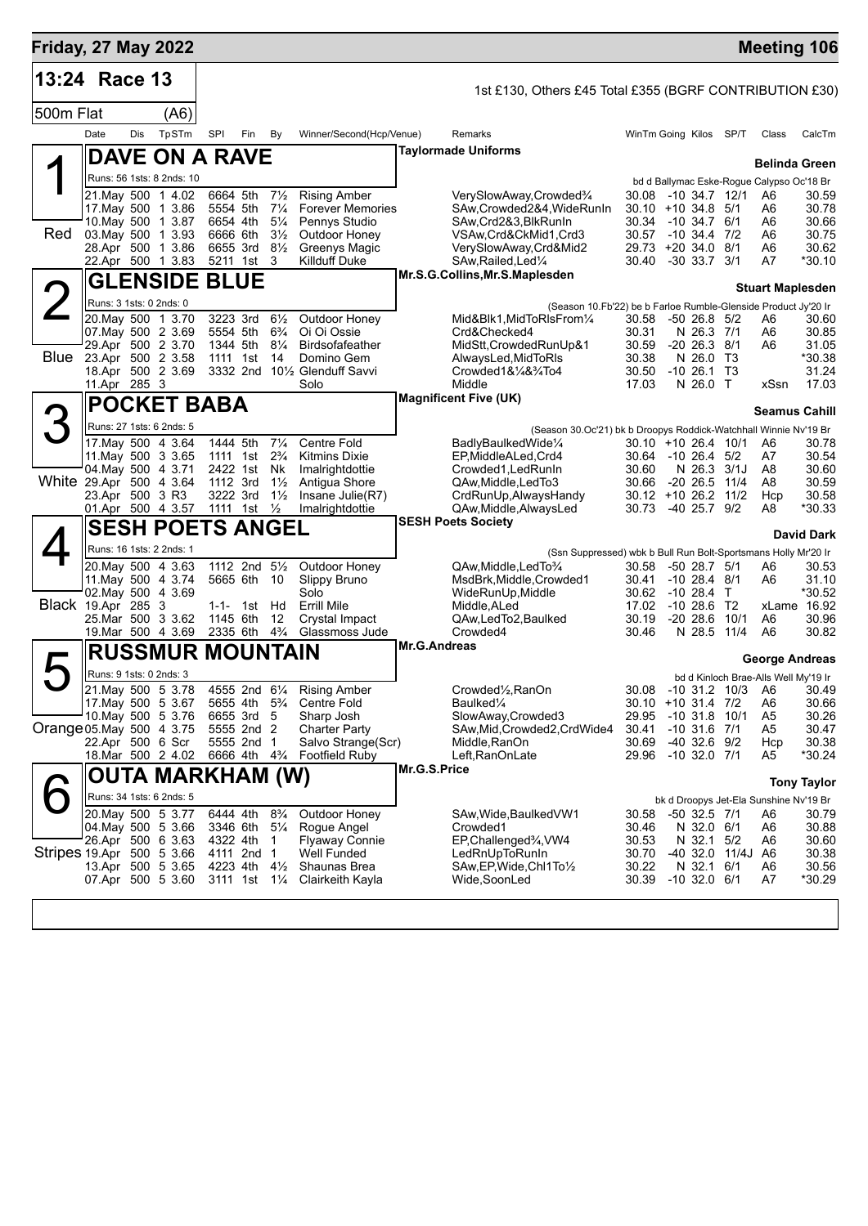| <b>Friday, 27 May 2022</b> |                         |     |                                          |                      |                                                                                  |                                  |                                       |                                       |                                                                  |                |                                            |  |                   | <b>Meeting 106</b>                              |                       |  |  |
|----------------------------|-------------------------|-----|------------------------------------------|----------------------|----------------------------------------------------------------------------------|----------------------------------|---------------------------------------|---------------------------------------|------------------------------------------------------------------|----------------|--------------------------------------------|--|-------------------|-------------------------------------------------|-----------------------|--|--|
| 13:24 Race 13              |                         |     |                                          |                      |                                                                                  |                                  |                                       |                                       | 1st £130, Others £45 Total £355 (BGRF CONTRIBUTION £30)          |                |                                            |  |                   |                                                 |                       |  |  |
| 500m Flat                  |                         |     | (A6)                                     |                      |                                                                                  |                                  |                                       |                                       |                                                                  |                |                                            |  |                   |                                                 |                       |  |  |
|                            | Date                    | Dis | TpSTm                                    | SPI                  | Fin                                                                              | By                               | Winner/Second(Hcp/Venue)              |                                       | Remarks                                                          |                | WinTm Going Kilos SP/T                     |  |                   | Class                                           | CalcTm                |  |  |
|                            |                         |     | <b>DAVE ON A RAVE</b>                    |                      |                                                                                  |                                  |                                       |                                       | <b>Taylormade Uniforms</b>                                       |                |                                            |  |                   |                                                 |                       |  |  |
|                            |                         |     | Runs: 56 1sts: 8 2nds: 10                |                      |                                                                                  |                                  |                                       |                                       |                                                                  |                |                                            |  |                   | <b>Belinda Green</b>                            |                       |  |  |
|                            |                         |     | 21. May 500 1 4.02                       | 6664 5th             |                                                                                  | $7\frac{1}{2}$                   | <b>Rising Amber</b>                   |                                       | VerySlowAway,Crowded <sup>3</sup> /4                             | 30.08          | -10 34.7 12/1                              |  |                   | bd d Ballymac Eske-Rogue Calypso Oc'18 Br<br>A6 | 30.59                 |  |  |
|                            |                         |     | 17 May 500 1 3.86                        | 5554 5th             |                                                                                  | $7\frac{1}{4}$                   | <b>Forever Memories</b>               |                                       | SAw, Crowded 2&4, Wide RunIn                                     |                | $30.10 + 10.34.8$ 5/1                      |  |                   | A6                                              | 30.78                 |  |  |
| Red                        | 03. May 500 1 3.93      |     | 10. May 500 1 3.87                       | 6654 4th<br>6666 6th |                                                                                  | $5\frac{1}{4}$<br>$3\frac{1}{2}$ | Pennys Studio<br>Outdoor Honey        |                                       | SAw, Crd2&3, BlkRunIn<br>VSAw, Crd&CkMid1, Crd3                  | 30.34          | $-10, 34.7, 6/1$<br>30.57 -10 34.4 7/2     |  |                   | A6<br>A6                                        | 30.66<br>30.75        |  |  |
|                            |                         |     | 28.Apr 500 1 3.86                        |                      | 6655 3rd                                                                         | $8\frac{1}{2}$                   | Greenys Magic                         |                                       | VerySlowAway,Crd&Mid2                                            |                | 29.73 +20 34.0 8/1                         |  |                   | A6                                              | 30.62                 |  |  |
|                            |                         |     | 22.Apr 500 1 3.83                        | 5211 1st             |                                                                                  | -3                               | <b>Killduff Duke</b>                  |                                       | SAw, Railed, Led <sup>1/4</sup>                                  | 30.40          | $-30$ 33.7 $3/1$                           |  |                   | A7                                              | $*30.10$              |  |  |
|                            |                         |     | <b>GLENSIDE BLUE</b>                     |                      |                                                                                  |                                  |                                       |                                       | Mr.S.G.Collins, Mr.S.Maplesden                                   |                |                                            |  |                   | <b>Stuart Maplesden</b>                         |                       |  |  |
|                            | Runs: 3 1sts: 0 2nds: 0 |     |                                          |                      |                                                                                  |                                  |                                       |                                       | (Season 10.Fb'22) be b Farloe Rumble-Glenside Product Jy'20 Ir   |                |                                            |  |                   |                                                 |                       |  |  |
|                            |                         |     | 20. May 500 1 3.70                       |                      | 3223 3rd                                                                         | $6\frac{1}{2}$                   | Outdoor Honey                         |                                       | Mid&Blk1, MidToRIsFrom1/4                                        | 30.58          | $-5026.85/2$                               |  |                   | A6                                              | 30.60                 |  |  |
|                            |                         |     | 07. May 500 2 3.69<br>29.Apr 500 2 3.70  |                      | 5554 5th<br>1344 5th                                                             | $6\frac{3}{4}$<br>$8\frac{1}{4}$ | Oi Oi Ossie<br><b>Birdsofafeather</b> |                                       | Crd&Checked4<br>MidStt, Crowded RunUp&1                          | 30.31<br>30.59 | $-20$ 26.3 $8/1$                           |  | N 26.3 7/1        | A6<br>A6                                        | 30.85<br>31.05        |  |  |
| Blue                       | 23.Apr 500 2 3.58       |     |                                          |                      | 1111 1st                                                                         | 14                               | Domino Gem                            |                                       | AlwaysLed, MidToRIs                                              | 30.38          | N 26.0                                     |  | T3                |                                                 | *30.38                |  |  |
|                            |                         |     | 18.Apr 500 2 3.69                        |                      |                                                                                  |                                  | 3332 2nd 101/2 Glenduff Savvi         |                                       | Crowded $18\frac{1}{4}8\frac{3}{4}$ To 4                         | 30.50          | $-10, 26.1, 13$                            |  |                   |                                                 | 31.24                 |  |  |
|                            | 11.Apr 285 3            |     |                                          |                      |                                                                                  |                                  | Solo                                  |                                       | Middle<br><b>Magnificent Five (UK)</b>                           | 17.03          | N 26.0 T                                   |  |                   | xSsn                                            | 17.03                 |  |  |
|                            |                         |     | <b>POCKET BABA</b>                       |                      |                                                                                  |                                  |                                       | <b>Seamus Cahill</b>                  |                                                                  |                |                                            |  |                   |                                                 |                       |  |  |
|                            |                         |     | Runs: 27 1sts: 6 2nds: 5                 |                      |                                                                                  |                                  |                                       |                                       | (Season 30.Oc'21) bk b Droopys Roddick-Watchhall Winnie Nv'19 Br |                |                                            |  |                   |                                                 |                       |  |  |
|                            |                         |     | 17. May 500 4 3.64<br>11. May 500 3 3.65 | 1444 5th<br>1111 1st |                                                                                  | $7\frac{1}{4}$<br>$2\frac{3}{4}$ | Centre Fold<br><b>Kitmins Dixie</b>   |                                       | BadlyBaulkedWide1/4<br>EP, MiddleALed, Crd4                      |                | $30.10 + 1026.410/1$<br>30.64 -10 26.4 5/2 |  |                   | A6<br>A7                                        | 30.78<br>30.54        |  |  |
|                            |                         |     | 04. May 500 4 3.71                       | 2422 1st             |                                                                                  | Nk                               | Imalrightdottie                       |                                       | Crowded1, Led Run In                                             | 30.60          |                                            |  | N 26.3 3/1J       | A8                                              | 30.60                 |  |  |
| White 29.Apr 500 4 3.64    |                         |     |                                          | 1112 3rd             |                                                                                  | $1\frac{1}{2}$                   | Antigua Shore                         |                                       | QAw, Middle, Led To 3<br>CrdRunUp, Always Handy                  | 30.66          | $-20$ 26.5 11/4                            |  |                   | A8                                              | 30.59                 |  |  |
|                            | 23.Apr 500 3 R3         |     | 01.Apr 500 4 3.57                        |                      | 3222 3rd<br>1111 1st                                                             | $1\frac{1}{2}$<br>$\frac{1}{2}$  | Insane Julie(R7)<br>Imalrightdottie   |                                       | QAw, Middle, Always Led                                          | 30.73          | $30.12 + 1026.211/2$<br>$-40$ 25.7 $9/2$   |  |                   | Hcp<br>A8                                       | 30.58<br>$*30.33$     |  |  |
|                            |                         |     | <b>SESH POETS ANGEL</b>                  |                      |                                                                                  |                                  |                                       |                                       | <b>SESH Poets Society</b>                                        |                |                                            |  |                   |                                                 |                       |  |  |
|                            |                         |     | Runs: 16 1sts: 2 2nds: 1                 |                      |                                                                                  |                                  |                                       |                                       | (Ssn Suppressed) wbk b Bull Run Bolt-Sportsmans Holly Mr'20 Ir   |                |                                            |  |                   |                                                 | <b>David Dark</b>     |  |  |
|                            |                         |     | 20. May 500 4 3.63                       |                      | 1112 2nd 51/2                                                                    |                                  | Outdoor Honey                         |                                       | QAw, Middle, Led To 3/4                                          | 30.58          | -50 28.7 5/1                               |  |                   | A6                                              | 30.53                 |  |  |
|                            | 11. May 500 4 3.74      |     |                                          | 5665 6th             |                                                                                  | 10                               | Slippy Bruno                          |                                       | MsdBrk, Middle, Crowded 1                                        | 30.41          | $-10$ 28.4 $8/1$                           |  |                   | A6                                              | 31.10                 |  |  |
| <b>Black 19.Apr 285 3</b>  | 02. May 500 4 3.69      |     |                                          |                      | 1-1- 1st                                                                         | Hd                               | Solo<br><b>Errill Mile</b>            |                                       | WideRunUp, Middle<br>Middle, ALed                                | 30.62<br>17.02 | $-1028.4$ T<br>$-1028.6$                   |  | T2                |                                                 | *30.52<br>xLame 16.92 |  |  |
|                            | 25.Mar 500 3 3.62       |     |                                          | 1145 6th             |                                                                                  | 12                               | Crystal Impact                        |                                       | QAw,LedTo2,Baulked                                               | 30.19          | $-20$ 28.6                                 |  | 10/1              | A6                                              | 30.96                 |  |  |
|                            |                         |     | 19. Mar 500 4 3.69                       | 2335 6th             |                                                                                  | $4\frac{3}{4}$                   | Glassmoss Jude                        |                                       | Crowded4                                                         | 30.46          | N 28.5                                     |  | 11/4              | A6                                              | 30.82                 |  |  |
|                            |                         |     | <b>RUSSMUR MOUNTAIN</b>                  |                      |                                                                                  |                                  |                                       | Mr.G.Andreas<br><b>George Andreas</b> |                                                                  |                |                                            |  |                   |                                                 |                       |  |  |
|                            | Runs: 9 1sts: 0 2nds: 3 |     |                                          |                      |                                                                                  |                                  |                                       |                                       |                                                                  |                |                                            |  |                   | bd d Kinloch Brae-Alls Well My'19 Ir            |                       |  |  |
|                            |                         |     | 21. May 500 5 3.78                       |                      |                                                                                  |                                  | 4555 2nd 61/4 Rising Amber            |                                       | Crowded1/2, RanOn                                                |                |                                            |  |                   | 30.08 -10 31.2 10/3 A6 30.49                    |                       |  |  |
|                            |                         |     | 17 May 500 5 3.67<br>10. May 500 5 3.76  |                      | 5655 4th 5 <sup>3</sup> / <sub>4</sub><br>6655 3rd 5                             |                                  | Centre Fold<br>Sharp Josh             |                                       | Baulked¼<br>SlowAway,Crowded3                                    | 29.95          | 30.10 +10 31.4 7/2<br>-10 31.8 10/1        |  |                   | A6<br>A5                                        | 30.66<br>30.26        |  |  |
| Orange 05. May 500 4 3.75  |                         |     |                                          |                      | 5555 2nd 2                                                                       |                                  | <b>Charter Party</b>                  |                                       | SAw, Mid, Crowded 2, CrdWide4                                    | 30.41          | $-10$ 31.6 $7/1$                           |  |                   | A5                                              | 30.47                 |  |  |
|                            | 22.Apr 500 6 Scr        |     |                                          |                      | 5555 2nd 1                                                                       |                                  | Salvo Strange(Scr)                    |                                       | Middle, RanOn                                                    | 30.69          | -40 32.6 9/2                               |  |                   | Hcp                                             | 30.38                 |  |  |
|                            |                         |     | 18.Mar 500 2 4.02                        |                      | 6666 4th 4 <sup>3</sup> / <sub>4</sub>                                           |                                  | <b>Footfield Ruby</b>                 | Mr.G.S.Price                          | Left, RanOn Late                                                 |                | 29.96 -10 32.0 7/1                         |  |                   | A5                                              | *30.24                |  |  |
|                            |                         |     | OUTA MARKHAM (W)                         |                      |                                                                                  |                                  |                                       |                                       |                                                                  |                |                                            |  |                   |                                                 | <b>Tony Taylor</b>    |  |  |
|                            |                         |     | Runs: 34 1sts: 6 2nds: 5                 |                      |                                                                                  |                                  |                                       |                                       |                                                                  |                |                                            |  |                   | bk d Droopys Jet-Ela Sunshine Nv'19 Br          |                       |  |  |
|                            |                         |     | 20. May 500 5 3.77<br>04. May 500 5 3.66 |                      | 6444 4th 8 <sup>3</sup> / <sub>4</sub><br>3346 6th 5 <sup>1</sup> / <sub>4</sub> |                                  | Outdoor Honey<br>Rogue Angel          |                                       | SAw, Wide, Baulked VW1<br>Crowded1                               | 30.58<br>30.46 | -50 32.5 7/1<br>N 32.0 6/1                 |  |                   | A6<br>A6                                        | 30.79<br>30.88        |  |  |
|                            |                         |     | 26.Apr 500 6 3.63                        | 4322 4th             |                                                                                  | $\overline{1}$                   | <b>Flyaway Connie</b>                 |                                       | EP, Challenged%, VW4                                             | 30.53          |                                            |  | N 32.1 5/2        | A6                                              | 30.60                 |  |  |
| Stripes 19.Apr 500 5 3.66  |                         |     |                                          |                      | 4111 2nd 1                                                                       |                                  | <b>Well Funded</b>                    |                                       | LedRnUpToRunIn                                                   | 30.70          |                                            |  | -40 32.0 11/4J A6 |                                                 | 30.38                 |  |  |
|                            |                         |     | 13.Apr 500 5 3.65<br>07.Apr 500 5 3.60   |                      | 4223 4th 4½<br>3111 1st 11/ <sub>4</sub>                                         |                                  | Shaunas Brea<br>Clairkeith Kayla      |                                       | SAw, EP, Wide, Chl1To 1/2<br>Wide,SoonLed                        | 30.22<br>30.39 | N 32.1 6/1<br>$-10$ 32.0 6/1               |  |                   | A6<br>A7                                        | 30.56<br>*30.29       |  |  |
|                            |                         |     |                                          |                      |                                                                                  |                                  |                                       |                                       |                                                                  |                |                                            |  |                   |                                                 |                       |  |  |
|                            |                         |     |                                          |                      |                                                                                  |                                  |                                       |                                       |                                                                  |                |                                            |  |                   |                                                 |                       |  |  |
|                            |                         |     |                                          |                      |                                                                                  |                                  |                                       |                                       |                                                                  |                |                                            |  |                   |                                                 |                       |  |  |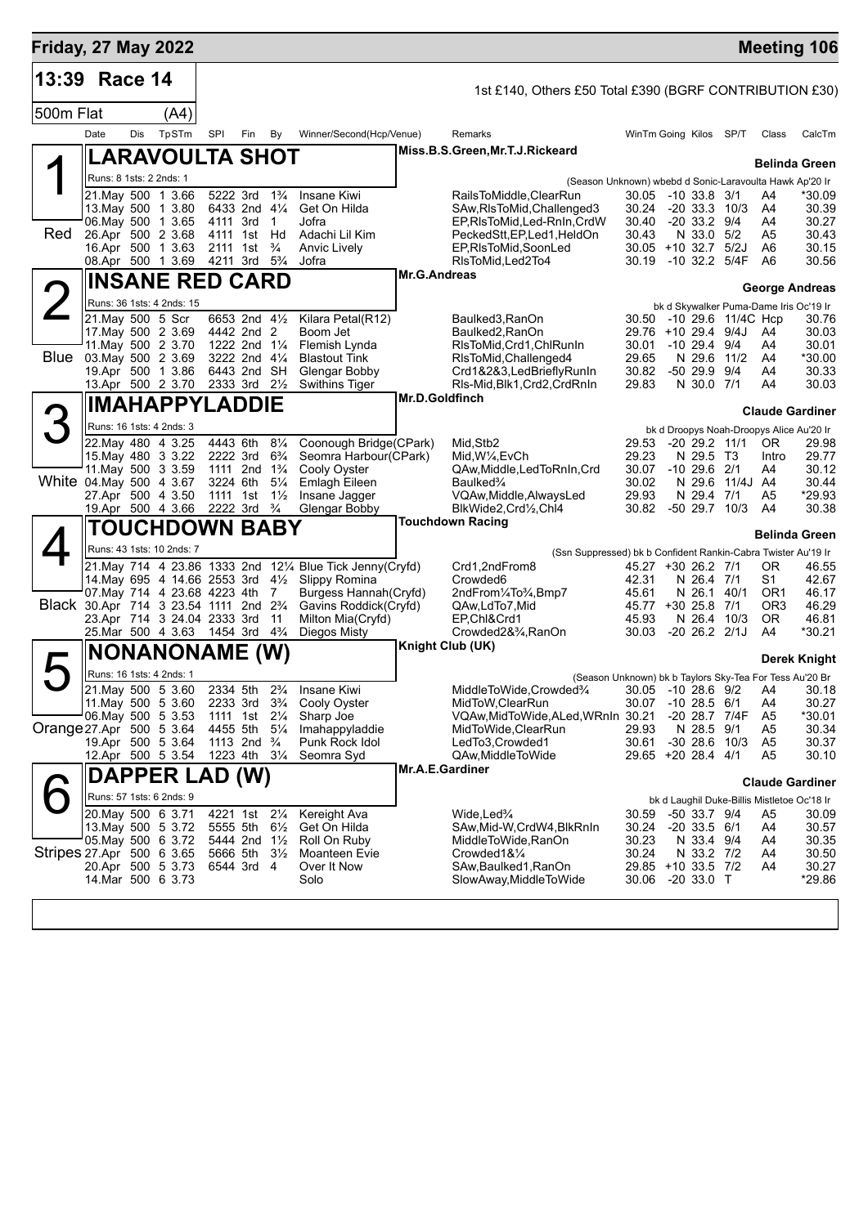| <b>Friday, 27 May 2022</b>             |                         |     |                                                            |     |                                                    |                                  |                                                                             |                        |                                                               |                                                 |  |                                       |                   |                      | <b>Meeting 106</b>                          |
|----------------------------------------|-------------------------|-----|------------------------------------------------------------|-----|----------------------------------------------------|----------------------------------|-----------------------------------------------------------------------------|------------------------|---------------------------------------------------------------|-------------------------------------------------|--|---------------------------------------|-------------------|----------------------|---------------------------------------------|
| 13:39                                  | Race 14                 |     |                                                            |     |                                                    |                                  |                                                                             |                        | 1st £140, Others £50 Total £390 (BGRF CONTRIBUTION £30)       |                                                 |  |                                       |                   |                      |                                             |
|                                        |                         |     |                                                            |     |                                                    |                                  |                                                                             |                        |                                                               |                                                 |  |                                       |                   |                      |                                             |
| 500m Flat                              |                         |     | (A4)                                                       |     |                                                    |                                  |                                                                             |                        |                                                               |                                                 |  |                                       |                   |                      |                                             |
|                                        | Date                    | Dis | TpSTm                                                      | SPI | Fin                                                | By                               | Winner/Second(Hcp/Venue)                                                    |                        | Remarks<br>Miss.B.S.Green, Mr.T.J.Rickeard                    | WinTm Going Kilos SP/T                          |  |                                       |                   | Class                | CalcTm                                      |
|                                        |                         |     | LARAVOULTA SHOT                                            |     |                                                    |                                  |                                                                             |                        |                                                               |                                                 |  |                                       |                   |                      | <b>Belinda Green</b>                        |
|                                        | Runs: 8 1sts: 2 2nds: 1 |     |                                                            |     |                                                    |                                  |                                                                             |                        | (Season Unknown) wbebd d Sonic-Laravoulta Hawk Ap'20 Ir       |                                                 |  |                                       |                   |                      |                                             |
|                                        |                         |     | 21. May 500 1 3.66                                         |     | 5222 3rd                                           | $1\frac{3}{4}$                   | Insane Kiwi                                                                 |                        | RailsToMiddle, ClearRun                                       | 30.05 -10 33.8 3/1                              |  |                                       |                   | A4                   | *30.09                                      |
|                                        |                         |     | 13. May 500 1 3.80<br>06. May 500 1 3.65                   |     | 6433 2nd 41/4<br>4111 3rd                          | $\overline{1}$                   | Get On Hilda<br>Jofra                                                       |                        | SAw, RIsToMid, Challenged 3<br>EP, RIsToMid, Led-RnIn, CrdW   | 30.24<br>30.40                                  |  | $-20$ 33.3 $10/3$<br>$-20$ 33.2 $9/4$ |                   | A4<br>A4             | 30.39<br>30.27                              |
| Red                                    |                         |     | 26.Apr 500 2 3.68                                          |     | 4111 1st                                           | Hd                               | Adachi Lil Kim                                                              |                        | PeckedStt,EP,Led1,HeldOn                                      | 30.43                                           |  | N 33.0                                | 5/2               | A5                   | 30.43                                       |
|                                        |                         |     | 16.Apr 500 1 3.63                                          |     | 2111 1st<br>4211 3rd                               | $\frac{3}{4}$<br>$5\frac{3}{4}$  | Anvic Lively                                                                |                        | EP, RIsToMid, SoonLed                                         | $30.05 + 10.32.7$                               |  | -10 32.2 5/4F                         | 5/2J              | A6<br>A6             | 30.15<br>30.56                              |
|                                        |                         |     | 08.Apr 500 1 3.69                                          |     |                                                    |                                  | Jofra                                                                       | Mr.G.Andreas           | RIsToMid, Led2To4                                             | 30.19                                           |  |                                       |                   |                      |                                             |
|                                        |                         |     | <b>INSANE RED CARD</b>                                     |     |                                                    |                                  |                                                                             |                        |                                                               |                                                 |  |                                       |                   |                      | <b>George Andreas</b>                       |
|                                        |                         |     | Runs: 36 1sts: 4 2nds: 15                                  |     |                                                    |                                  |                                                                             |                        |                                                               |                                                 |  |                                       |                   |                      | bk d Skywalker Puma-Dame Iris Oc'19 Ir      |
|                                        | 21. May 500 5 Scr       |     | 17 May 500 2 3.69                                          |     | 6653 2nd 41/2<br>4442 2nd 2                        |                                  | Kilara Petal(R12)<br>Boom Jet                                               |                        | Baulked3, RanOn<br>Baulked2, RanOn                            | 30.50 -10 29.6 11/4C Hcp<br>29.76 +10 29.4 9/4J |  |                                       |                   | A4                   | 30.76<br>30.03                              |
|                                        |                         |     | 11. May 500 2 3.70                                         |     | 1222 2nd 11/4                                      |                                  | Flemish Lynda                                                               |                        | RIsToMid, Crd1, ChlRunIn                                      | 30.01                                           |  | -10 29.4 9/4                          |                   | A4                   | 30.01                                       |
| Blue                                   |                         |     | 03. May 500 2 3.69                                         |     | 3222 2nd 41/4                                      |                                  | <b>Blastout Tink</b>                                                        |                        | RIsToMid, Challenged4                                         | 29.65                                           |  | N 29.6 11/2                           |                   | A4                   | *30.00                                      |
|                                        |                         |     | 19.Apr 500 1 3.86<br>13.Apr 500 2 3.70                     |     | 6443 2nd SH<br>2333 3rd 21/2                       |                                  | Glengar Bobby<br><b>Swithins Tiger</b>                                      |                        | Crd1&2&3,LedBrieflyRunIn<br>RIs-Mid, Blk1, Crd2, CrdRnIn      | 30.82<br>29.83                                  |  | -50 29.9 9/4<br>N 30.0 7/1            |                   | A4<br>A4             | 30.33<br>30.03                              |
|                                        |                         |     |                                                            |     |                                                    |                                  |                                                                             | Mr.D.Goldfinch         |                                                               |                                                 |  |                                       |                   |                      |                                             |
|                                        |                         |     | <b>IMAHAPPYLADDIE</b>                                      |     |                                                    |                                  |                                                                             | <b>Claude Gardiner</b> |                                                               |                                                 |  |                                       |                   |                      |                                             |
|                                        |                         |     | Runs: 16 1sts: 4 2nds: 3                                   |     |                                                    |                                  |                                                                             |                        |                                                               |                                                 |  |                                       |                   |                      | bk d Droopys Noah-Droopys Alice Au'20 Ir    |
|                                        |                         |     | 22. May 480 4 3.25<br>15. May 480 3 3.22                   |     | 4443 6th<br>2222 3rd                               | $8\frac{1}{4}$<br>$6\frac{3}{4}$ | Coonough Bridge(CPark)<br>Seomra Harbour(CPark)                             |                        | Mid, Stb2<br>Mid, W <sup>1</sup> / <sub>4</sub> , EvCh        | 29.53<br>29.23                                  |  | N 29.5 T3                             | $-20$ 29.2 11/1   | OR.<br>Intro         | 29.98<br>29.77                              |
|                                        |                         |     | 11 May 500 3 3.59                                          |     | 1111 2nd 1 <sup>3</sup> / <sub>4</sub>             |                                  | Cooly Oyster                                                                |                        | QAw, Middle, Led To RnIn, Crd                                 | 30.07                                           |  | $-10$ 29.6 2/1                        |                   | A4                   | 30.12                                       |
| White 04 May 500 4 3.67                |                         |     |                                                            |     | 3224 6th                                           | $5\frac{1}{4}$                   | Emlagh Eileen                                                               |                        | Baulked <sup>3</sup> / <sub>4</sub>                           | 30.02                                           |  |                                       | N 29.6 11/4J A4   |                      | 30.44                                       |
|                                        |                         |     | 27.Apr 500 4 3.50<br>19.Apr 500 4 3.66                     |     | 1111 1st<br>2222 3rd <sup>3</sup> / <sub>4</sub>   | $1\frac{1}{2}$                   | Insane Jagger<br>Glengar Bobby                                              |                        | VQAw, Middle, AlwaysLed<br>BlkWide2,Crd1/2,Chl4               | 29.93<br>30.82                                  |  | N 29.4 7/1                            | -50 29.7 10/3     | A5<br>A4             | *29.93<br>30.38                             |
|                                        |                         |     |                                                            |     |                                                    |                                  |                                                                             |                        | <b>Touchdown Racing</b>                                       |                                                 |  |                                       |                   |                      |                                             |
|                                        |                         |     | <b>TOUCHDOWN BABY</b>                                      |     |                                                    |                                  |                                                                             |                        |                                                               |                                                 |  |                                       |                   | <b>Belinda Green</b> |                                             |
|                                        |                         |     | Runs: 43 1sts: 10 2nds: 7                                  |     |                                                    |                                  |                                                                             |                        | (Ssn Suppressed) bk b Confident Rankin-Cabra Twister Au'19 Ir |                                                 |  |                                       |                   |                      |                                             |
|                                        |                         |     | 14. May 695 4 14.66 2553 3rd $4\frac{1}{2}$                |     |                                                    |                                  | 21. May 714 4 23.86 1333 2nd 121/4 Blue Tick Jenny (Cryfd)<br>Slippy Romina |                        | Crd1,2ndFrom8<br>Crowded <sub>6</sub>                         | 45.27 +30 26.2 7/1<br>42.31                     |  | N 26.4 7/1                            |                   | 0R<br>S <sub>1</sub> | 46.55<br>42.67                              |
|                                        |                         |     | 07. May 714 4 23.68 4223 4th                               |     |                                                    | 7                                | Burgess Hannah (Cryfd)                                                      |                        | 2ndFrom1/4To3/4,Bmp7                                          | 45.61                                           |  | N 26.1                                | 40/1              | OR <sub>1</sub>      | 46.17                                       |
| Black 30.Apr 714 3 23.54 1111 2nd 23/4 |                         |     |                                                            |     |                                                    |                                  | Gavins Roddick(Cryfd)                                                       |                        | QAw,LdTo7,Mid                                                 | 45.77 +30 25.8 7/1                              |  |                                       |                   | OR <sub>3</sub>      | 46.29                                       |
|                                        |                         |     | 23.Apr 714 3 24.04 2333 3rd<br>25. Mar 500 4 3.63 1454 3rd |     |                                                    | 11<br>$4\frac{3}{4}$             | Milton Mia(Cryfd)<br>Diegos Misty                                           |                        | EP.Chl&Crd1<br>Crowded2&3⁄4, RanOn                            | 45.93<br>30.03 -20 26.2 2/1J                    |  | N 26.4 10/3                           |                   | OR.<br>A4            | 46.81<br>*30.21                             |
|                                        |                         |     |                                                            |     |                                                    |                                  |                                                                             |                        | <b>Knight Club (UK)</b>                                       |                                                 |  |                                       |                   |                      |                                             |
|                                        |                         |     | <b>NONANONAME (W)</b>                                      |     |                                                    |                                  |                                                                             |                        |                                                               |                                                 |  |                                       |                   |                      | Derek Knight                                |
|                                        |                         |     | Runs: 16 1sts: 4 2nds: 1                                   |     |                                                    |                                  |                                                                             |                        | (Season Unknown) bk b Taylors Sky-Tea For Tess Au'20 Br       |                                                 |  |                                       |                   |                      |                                             |
|                                        |                         |     | 21. May 500 5 3.60<br>11 May 500 5 3.60                    |     | 2334 5th<br>2233 3rd 3 <sup>3</sup> / <sub>4</sub> | $2\frac{3}{4}$                   | <b>Insane Kiwi</b><br>Cooly Oyster                                          |                        | MiddleToWide,Crowded%<br>MidToW,ClearRun                      | 30.05<br>30.07                                  |  | $-1028.69/2$<br>$-10$ 28.5 $6/1$      |                   | A4<br>A4             | 30.18<br>30.27                              |
|                                        |                         |     | 06. May 500 5 3.53                                         |     | 1111 1st 21/4                                      |                                  | Sharp Joe                                                                   |                        | VQAw, MidToWide, ALed, WRnIn 30.21                            |                                                 |  | -20 28.7 7/4F                         |                   | A <sub>5</sub>       | *30.01                                      |
| Orange 27.Apr 500 5 3.64               |                         |     |                                                            |     | 4455 5th                                           | $5\frac{1}{4}$                   | Imahappyladdie                                                              |                        | MidToWide, ClearRun                                           | 29.93                                           |  | N 28.5 9/1                            |                   | A5                   | 30.34                                       |
|                                        |                         |     | 19.Apr 500 5 3.64<br>12.Apr 500 5 3.54                     |     | 1113 2nd $\frac{3}{4}$<br>1223 4th 31/4            |                                  | Punk Rock Idol<br>Seomra Syd                                                |                        | LedTo3,Crowded1<br>QAw, Middle To Wide                        | 30.61<br>29.65 +20 28.4 4/1                     |  |                                       | $-30$ 28.6 $10/3$ | A5<br>A <sub>5</sub> | 30.37<br>30.10                              |
|                                        |                         |     |                                                            |     |                                                    |                                  |                                                                             | Mr.A.E.Gardiner        |                                                               |                                                 |  |                                       |                   |                      |                                             |
|                                        |                         |     | DAPPER LAD                                                 |     | (W)                                                |                                  |                                                                             |                        |                                                               |                                                 |  |                                       |                   |                      | <b>Claude Gardiner</b>                      |
|                                        |                         |     | Runs: 57 1sts: 6 2nds: 9                                   |     |                                                    |                                  |                                                                             |                        |                                                               |                                                 |  |                                       |                   |                      | bk d Laughil Duke-Billis Mistletoe Oc'18 Ir |
|                                        |                         |     | 20. May 500 6 3.71<br>13 May 500 5 3.72                    |     | 4221 1st 21/4<br>5555 5th                          | $6\frac{1}{2}$                   | Kereight Ava<br>Get On Hilda                                                |                        | Wide,Led <sup>3</sup> /4<br>SAw, Mid-W, CrdW4, BlkRnIn        | 30.59<br>30.24                                  |  | $-50$ 33.7 $9/4$<br>$-20$ 33.5 $6/1$  |                   | A5<br>A4             | 30.09<br>30.57                              |
|                                        |                         |     | 05. May 500 6 3.72                                         |     | 5444 2nd 11/2                                      |                                  | Roll On Ruby                                                                |                        | MiddleToWide, RanOn                                           | 30.23                                           |  | N 33.4 9/4                            |                   | A4                   | 30.35                                       |
| Stripes 27 Apr 500 6 3.65              |                         |     |                                                            |     | 5666 5th 31/2                                      |                                  | Moanteen Evie                                                               |                        | Crowded1&1/4                                                  | 30.24                                           |  | N 33.2 7/2                            |                   | A4                   | 30.50                                       |
|                                        |                         |     | 20.Apr 500 5 3.73<br>14 Mar 500 6 3.73                     |     | 6544 3rd 4                                         |                                  | Over It Now<br>Solo                                                         |                        | SAw, Baulked 1, RanOn<br>SlowAway, MiddleToWide               | 29.85 +10 33.5 7/2<br>30.06                     |  | $-2033.0$ T                           |                   | A4                   | 30.27<br>*29.86                             |
|                                        |                         |     |                                                            |     |                                                    |                                  |                                                                             |                        |                                                               |                                                 |  |                                       |                   |                      |                                             |
|                                        |                         |     |                                                            |     |                                                    |                                  |                                                                             |                        |                                                               |                                                 |  |                                       |                   |                      |                                             |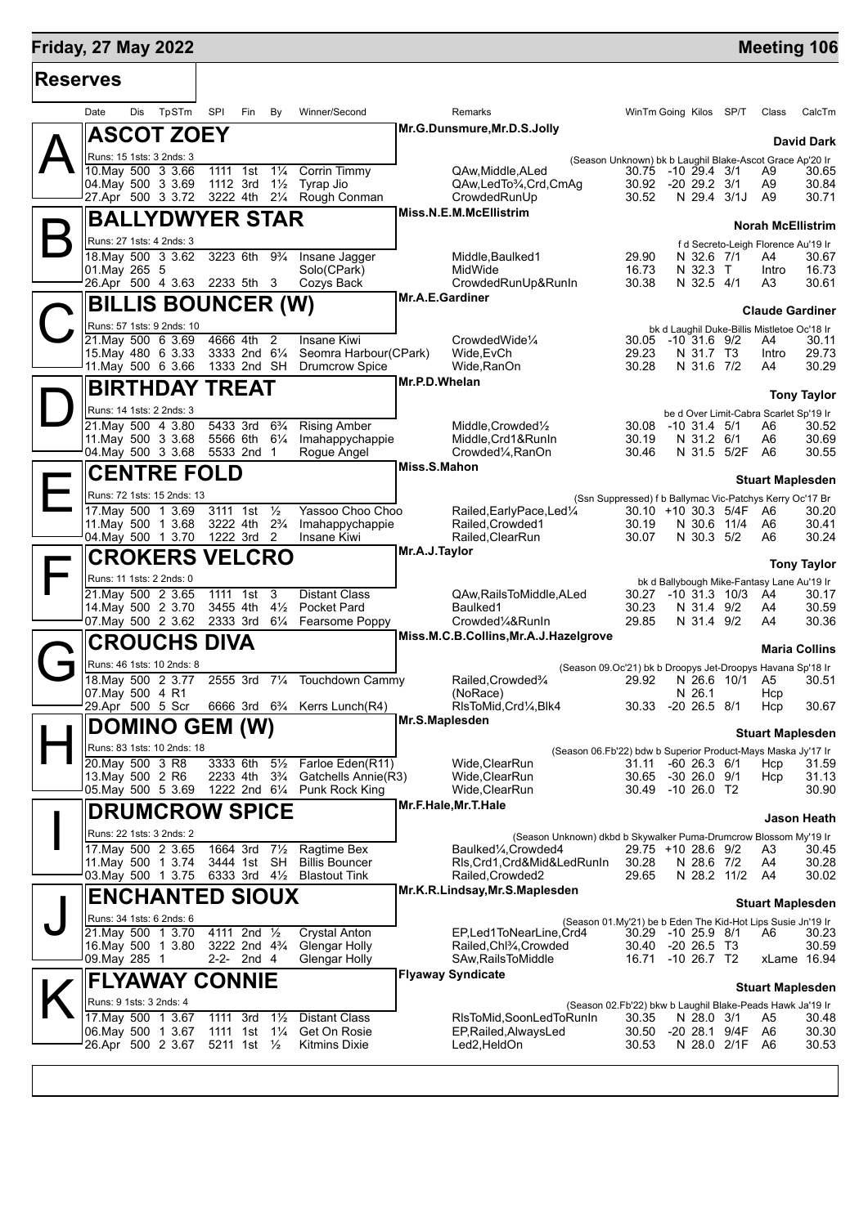## **Friday, 27 May 2022 Manual Control of the Control of the Control of Tensor Advertiser Meeting 106**

| Date<br>01. May 265 5<br><b>BILLIS BOUNCER (W)</b><br>Runs: 57 1sts: 9 2nds: 10 | Dis | TpSTm<br><b>ASCOT ZOEY</b><br>Runs: 15 1sts: 3 2nds: 3<br>10. May 500 3 3.66<br>04. May 500 3 3.69<br>27.Apr 500 3 3.72 3222 4th<br><b>BALLYDWYER STAR</b><br>Runs: 27 1sts: 4 2nds: 3<br>18. May 500 3 3.62<br>26.Apr 500 4 3.63 2233 5th 3 | SPI<br>1111 1st<br>1112 3rd<br>3223 6th | Fin                                    | By<br>$1\frac{1}{4}$<br>$1\frac{1}{2}$<br>$2\frac{1}{4}$ | Winner/Second<br>Corrin Timmy<br>Tyrap Jio<br>Rough Conman | <b>Remarks</b><br>Mr.G.Dunsmure, Mr.D.S.Jolly<br>QAw, Middle, ALed<br>QAw,LedTo3/4,Crd,CmAg<br>CrowdedRunUp | (Season Unknown) bk b Laughil Blake-Ascot Grace Ap'20 Ir<br>30.75<br>30.92 | WinTm Going Kilos SP/T<br>$-10$ 29.4 $3/1$                        | Class                    | CalcTm<br><b>David Dark</b> |
|---------------------------------------------------------------------------------|-----|----------------------------------------------------------------------------------------------------------------------------------------------------------------------------------------------------------------------------------------------|-----------------------------------------|----------------------------------------|----------------------------------------------------------|------------------------------------------------------------|-------------------------------------------------------------------------------------------------------------|----------------------------------------------------------------------------|-------------------------------------------------------------------|--------------------------|-----------------------------|
|                                                                                 |     |                                                                                                                                                                                                                                              |                                         |                                        |                                                          |                                                            |                                                                                                             |                                                                            |                                                                   |                          |                             |
|                                                                                 |     |                                                                                                                                                                                                                                              |                                         |                                        |                                                          |                                                            |                                                                                                             |                                                                            |                                                                   |                          |                             |
|                                                                                 |     |                                                                                                                                                                                                                                              |                                         |                                        |                                                          |                                                            |                                                                                                             |                                                                            |                                                                   |                          |                             |
|                                                                                 |     |                                                                                                                                                                                                                                              |                                         |                                        |                                                          |                                                            |                                                                                                             |                                                                            | $-20$ 29.2 $3/1$                                                  | A9<br>A9                 | 30.65<br>30.84              |
|                                                                                 |     |                                                                                                                                                                                                                                              |                                         |                                        |                                                          |                                                            |                                                                                                             | 30.52                                                                      | N 29.4 3/1J                                                       | A <sub>9</sub>           | 30.71                       |
|                                                                                 |     |                                                                                                                                                                                                                                              |                                         |                                        |                                                          |                                                            | Miss.N.E.M.McEllistrim                                                                                      |                                                                            |                                                                   | <b>Norah McEllistrim</b> |                             |
|                                                                                 |     |                                                                                                                                                                                                                                              |                                         |                                        |                                                          |                                                            |                                                                                                             |                                                                            | f d Secreto-Leigh Florence Au'19 Ir                               |                          |                             |
|                                                                                 |     |                                                                                                                                                                                                                                              |                                         |                                        | $9\frac{3}{4}$                                           | Insane Jagger                                              | Middle, Baulked1                                                                                            | 29.90                                                                      | N 32.6 7/1                                                        | A4                       | 30.67                       |
|                                                                                 |     |                                                                                                                                                                                                                                              |                                         |                                        |                                                          | Solo(CPark)<br>Cozys Back                                  | MidWide<br>CrowdedRunUp&RunIn                                                                               | 16.73<br>30.38                                                             | N 32.3 T<br>N 32.5 4/1                                            | Intro<br>A3              | 16.73<br>30.61              |
|                                                                                 |     |                                                                                                                                                                                                                                              |                                         |                                        |                                                          |                                                            | Mr.A.E.Gardiner                                                                                             |                                                                            |                                                                   |                          |                             |
|                                                                                 |     |                                                                                                                                                                                                                                              |                                         |                                        |                                                          |                                                            |                                                                                                             |                                                                            |                                                                   | <b>Claude Gardiner</b>   |                             |
|                                                                                 |     | 21. May 500 6 3.69                                                                                                                                                                                                                           | 4666 4th                                |                                        | 2                                                        | Insane Kiwi                                                | CrowdedWide <sup>1/4</sup>                                                                                  |                                                                            | bk d Laughil Duke-Billis Mistletoe Oc'18 Ir<br>30.05 -10 31.6 9/2 | A4                       | 30.11                       |
|                                                                                 |     | 15. May 480 6 3.33                                                                                                                                                                                                                           |                                         | 3333 2nd 61/4                          |                                                          | Seomra Harbour(CPark)                                      | Wide, EvCh                                                                                                  | 29.23                                                                      | N 31.7 T3                                                         | Intro                    | 29.73                       |
|                                                                                 |     | 11. May 500 6 3.66                                                                                                                                                                                                                           |                                         | 1333 2nd SH                            |                                                          | <b>Drumcrow Spice</b>                                      | Wide.RanOn<br>Mr.P.D.Whelan                                                                                 | 30.28                                                                      | N 31.6 7/2                                                        | A4                       | 30.29                       |
|                                                                                 |     | <b>BIRTHDAY TREAT</b>                                                                                                                                                                                                                        |                                         |                                        |                                                          |                                                            |                                                                                                             |                                                                            |                                                                   |                          | <b>Tony Taylor</b>          |
|                                                                                 |     | Runs: 14 1sts: 2 2nds: 3                                                                                                                                                                                                                     |                                         |                                        |                                                          |                                                            |                                                                                                             |                                                                            | be d Over Limit-Cabra Scarlet Sp'19 Ir                            |                          |                             |
|                                                                                 |     | 21. May 500 4 3.80<br>11 May 500 3 3.68                                                                                                                                                                                                      | 5433 3rd                                | 5566 6th 61/4                          | $6\frac{3}{4}$                                           | <b>Rising Amber</b><br>Imahappychappie                     | Middle, Crowded <sup>1</sup> / <sub>2</sub><br>Middle.Crd1&RunIn                                            | 30.19                                                                      | 30.08 -10 31.4 5/1<br>N 31.2 6/1                                  | A6<br>A6                 | 30.52<br>30.69              |
|                                                                                 |     | 04 May 500 3 3.68                                                                                                                                                                                                                            |                                         | 5533 2nd 1                             |                                                          | Roque Angel                                                | Crowded <sup>1</sup> / <sub>4</sub> , RanOn                                                                 | 30.46                                                                      | N 31.5 5/2F                                                       | A6                       | 30.55                       |
|                                                                                 |     | <b>CENTRE FOLD</b>                                                                                                                                                                                                                           |                                         |                                        |                                                          |                                                            | Miss.S.Mahon                                                                                                |                                                                            |                                                                   | <b>Stuart Maplesden</b>  |                             |
|                                                                                 |     | Runs: 72 1sts: 15 2nds: 13                                                                                                                                                                                                                   |                                         |                                        |                                                          |                                                            |                                                                                                             | (Ssn Suppressed) f b Ballymac Vic-Patchys Kerry Oc'17 Br                   |                                                                   |                          |                             |
|                                                                                 |     | 17. May 500 1 3.69                                                                                                                                                                                                                           | 3111 1st                                |                                        | $\frac{1}{2}$                                            | Yassoo Choo Choo                                           | Railed, Early Pace, Led <sup>1/4</sup>                                                                      |                                                                            | 30.10 +10 30.3 5/4F                                               | - A6                     | 30.20                       |
|                                                                                 |     | 11. May 500 1 3.68<br>04. May 500 1 3.70                                                                                                                                                                                                     | 3222 4th                                | 1222 3rd 2                             | $2\frac{3}{4}$                                           | Imahappychappie<br>Insane Kiwi                             | Railed, Crowded1<br>Railed, Clear Run                                                                       | 30.19<br>30.07                                                             | N 30.6 11/4<br>N 30.3 5/2                                         | A6<br>A6                 | 30.41<br>30.24              |
|                                                                                 |     | <b>CROKERS VELCRO</b>                                                                                                                                                                                                                        |                                         |                                        |                                                          |                                                            | Mr.A.J.Taylor                                                                                               |                                                                            |                                                                   |                          |                             |
|                                                                                 |     | Runs: 11 1sts: 2 2nds: 0                                                                                                                                                                                                                     |                                         |                                        |                                                          |                                                            |                                                                                                             |                                                                            |                                                                   |                          | <b>Tony Taylor</b>          |
|                                                                                 |     | 21. May 500 2 3.65                                                                                                                                                                                                                           | 1111 1st                                |                                        | 3                                                        | <b>Distant Class</b>                                       | QAw, Rails To Middle, ALed                                                                                  | 30.27                                                                      | bk d Ballybough Mike-Fantasy Lane Au'19 Ir<br>$-10$ 31.3 $10/3$   | A4                       | 30.17                       |
|                                                                                 |     | 14. May 500 2 3.70<br>07. May 500 2 3.62                                                                                                                                                                                                     | 3455 4th<br>2333 3rd                    |                                        | $4\frac{1}{2}$<br>$6\frac{1}{4}$                         | Pocket Pard<br>Fearsome Poppy                              | Baulked1<br>Crowded1/4&RunIn                                                                                | 30.23<br>29.85                                                             | N 31.4 9/2<br>N 31.4 9/2                                          | A4<br>A4                 | 30.59<br>30.36              |
|                                                                                 |     |                                                                                                                                                                                                                                              |                                         |                                        |                                                          |                                                            | Miss.M.C.B.Collins, Mr.A.J.Hazelgrove                                                                       |                                                                            |                                                                   |                          |                             |
|                                                                                 |     | <b>CROUCHS DIVA</b>                                                                                                                                                                                                                          |                                         |                                        |                                                          |                                                            |                                                                                                             |                                                                            |                                                                   |                          | <b>Maria Collins</b>        |
|                                                                                 |     | Runs: 46 1sts: 10 2nds: 8<br>18. May 500 2 3.77                                                                                                                                                                                              | 2555 3rd                                |                                        | $7\frac{1}{4}$                                           | Touchdown Cammy                                            | Railed, Crowded%                                                                                            | (Season 09.Oc'21) bk b Droopys Jet-Droopys Havana Sp'18 Ir<br>29.92        | N 26.6 10/1                                                       | A5                       | 30.51                       |
| 07. May 500 4 R1                                                                |     |                                                                                                                                                                                                                                              |                                         |                                        |                                                          |                                                            | (NoRace)                                                                                                    |                                                                            | N 26.1                                                            | Hcp                      |                             |
|                                                                                 |     | 29.Apr 500 5 Scr                                                                                                                                                                                                                             |                                         |                                        |                                                          | 6666 3rd 6 <sup>3</sup> / <sub>4</sub> Kerrs Lunch(R4)     | RIsToMid, Crd1/4, Blk4                                                                                      |                                                                            | 30.33 -20 26.5 8/1                                                | Hcp                      | 30.67                       |
|                                                                                 |     | <b>DOMINO GEM (W)</b>                                                                                                                                                                                                                        |                                         |                                        |                                                          |                                                            | Mr.S.Maplesden                                                                                              |                                                                            |                                                                   | <b>Stuart Maplesden</b>  |                             |
|                                                                                 |     | Runs: 83 1sts: 10 2nds: 18                                                                                                                                                                                                                   |                                         |                                        |                                                          |                                                            |                                                                                                             | (Season 06.Fb'22) bdw b Superior Product-Mays Maska Jy'17 Ir               |                                                                   |                          |                             |
| 20. May 500 3 R8<br>13. May 500 2 R6                                            |     |                                                                                                                                                                                                                                              | 3333 6th<br>2233 4th                    |                                        | $5\frac{1}{2}$<br>$3\frac{3}{4}$                         | Farloe Eden(R11)<br>Gatchells Annie(R3)                    | Wide,ClearRun<br>Wide, ClearRun                                                                             | 31.11<br>30.65                                                             | $-60$ 26.3 $6/1$<br>$-30$ 26.0 $9/1$                              | Hcp<br>Hcp               | 31.59<br>31.13              |
|                                                                                 |     | 05. May 500 5 3.69                                                                                                                                                                                                                           |                                         | 1222 2nd 61/4                          |                                                          | Punk Rock King                                             | Wide, ClearRun                                                                                              | 30.49                                                                      | $-1026.0$ T2                                                      |                          | 30.90                       |
|                                                                                 |     | <b>DRUMCROW SPICE</b>                                                                                                                                                                                                                        |                                         |                                        |                                                          |                                                            | Mr.F.Hale, Mr.T.Hale                                                                                        |                                                                            |                                                                   |                          | <b>Jason Heath</b>          |
|                                                                                 |     | Runs: 22 1sts: 3 2nds: 2                                                                                                                                                                                                                     |                                         |                                        |                                                          |                                                            | (Season Unknown) dkbd b Skywalker Puma-Drumcrow Blossom My'19 Ir                                            |                                                                            |                                                                   |                          |                             |
|                                                                                 |     | 17. May 500 2 3.65                                                                                                                                                                                                                           | 1664 3rd                                |                                        | $7\frac{1}{2}$                                           | Ragtime Bex                                                | Baulked <sup>1</sup> / <sub>4</sub> .Crowded4                                                               |                                                                            | 29.75 +10 28.6 9/2                                                | A3                       | 30.45                       |
|                                                                                 |     | 11. May 500 1 3.74<br>03. May 500 1 3.75                                                                                                                                                                                                     |                                         | 3444 1st SH<br>6333 3rd $4\frac{1}{2}$ |                                                          | <b>Billis Bouncer</b><br><b>Blastout Tink</b>              | Rls,Crd1,Crd&Mid&LedRunIn<br>Railed, Crowded 2                                                              | 30.28<br>29.65                                                             | N 28.6 7/2<br>N 28.2 11/2                                         | A4<br>A4                 | 30.28<br>30.02              |
|                                                                                 |     | <b>ENCHANTED SIOUX</b>                                                                                                                                                                                                                       |                                         |                                        |                                                          |                                                            | Mr.K.R.Lindsay, Mr.S.Maplesden                                                                              |                                                                            |                                                                   |                          |                             |
|                                                                                 |     |                                                                                                                                                                                                                                              |                                         |                                        |                                                          |                                                            |                                                                                                             |                                                                            |                                                                   | <b>Stuart Maplesden</b>  |                             |
|                                                                                 |     | Runs: 34 1sts: 6 2nds: 6<br>21. May 500 1 3.70                                                                                                                                                                                               |                                         | 4111 2nd 1/2                           |                                                          | <b>Crystal Anton</b>                                       | EP,Led1ToNearLine,Crd4                                                                                      | (Season 01.My'21) be b Eden The Kid-Hot Lips Susie Jn'19 Ir                | 30.29 -10 25.9 8/1                                                | A6                       | 30.23                       |
|                                                                                 |     | 16. May 500 1 3.80                                                                                                                                                                                                                           |                                         | 3222 2nd 4 <sup>3</sup> / <sub>4</sub> |                                                          | Glengar Holly                                              | Railed, Chl3/4, Crowded                                                                                     | 30.40                                                                      | $-20$ 26.5 T3                                                     |                          | 30.59                       |
| 09. May 285 1                                                                   |     |                                                                                                                                                                                                                                              |                                         | 2-2- 2nd 4                             |                                                          | Glengar Holly                                              | SAw, Rails To Middle<br><b>Flyaway Syndicate</b>                                                            | 16.71                                                                      | $-10$ 26.7 T2                                                     |                          | xLame 16.94                 |
|                                                                                 |     | <b>FLYAWAY CONNIE</b>                                                                                                                                                                                                                        |                                         |                                        |                                                          |                                                            |                                                                                                             |                                                                            |                                                                   | <b>Stuart Maplesden</b>  |                             |
| Runs: 9 1sts: 3 2nds: 4                                                         |     |                                                                                                                                                                                                                                              |                                         |                                        |                                                          |                                                            |                                                                                                             | (Season 02.Fb'22) bkw b Laughil Blake-Peads Hawk Ja'19 Ir                  |                                                                   |                          |                             |
|                                                                                 |     | 17 May 500 1 3.67<br>06 May 500 1 3.67                                                                                                                                                                                                       | 1111<br>1111                            | 3rd<br>1st                             | $1\frac{1}{2}$<br>$1\frac{1}{4}$                         | <b>Distant Class</b><br>Get On Rosie                       | RIsToMid, SoonLedToRunIn<br>EP, Railed, Always Led                                                          | 30.35<br>30.50                                                             | N 28.0 3/1<br>-20 28.1 9/4F                                       | A5<br>A6                 | 30.48<br>30.30              |
|                                                                                 |     | 26.Apr 500 2 3.67                                                                                                                                                                                                                            |                                         | 5211 1st 1/2                           |                                                          | <b>Kitmins Dixie</b>                                       | Led2, HeldOn                                                                                                | 30.53                                                                      | N 28.0 2/1F A6                                                    |                          | 30.53                       |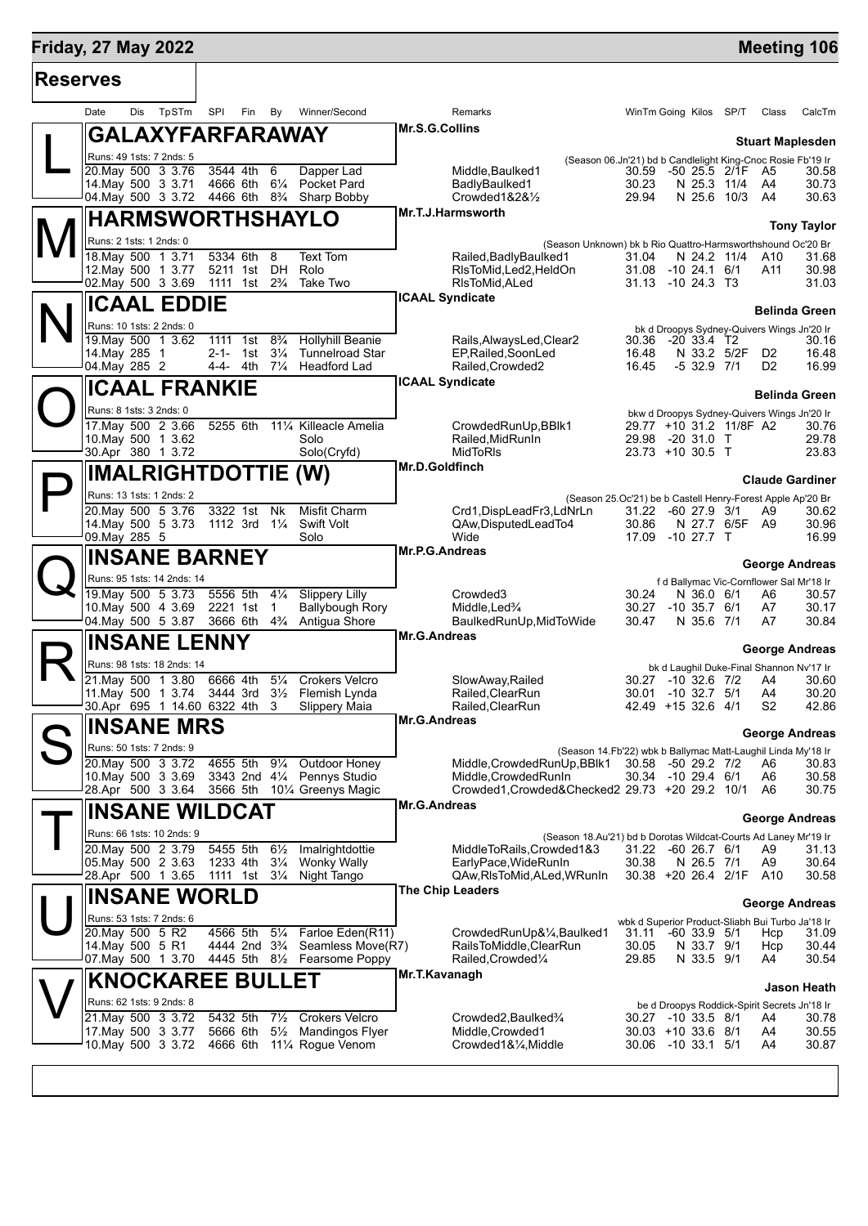## **Friday, 27 May 2022 Manual Control of Control of Control of Control of Control of Control of Control of Control of Control of Control of Control of Control of Control of Control of Control of Control of Control of Contr**

| <b>Reserves</b> |                                                  |                      |     |                                        |                |                                                                                  |                     |                                                                                              |                                          |                          |                         |                                                  |                                                     |
|-----------------|--------------------------------------------------|----------------------|-----|----------------------------------------|----------------|----------------------------------------------------------------------------------|---------------------|----------------------------------------------------------------------------------------------|------------------------------------------|--------------------------|-------------------------|--------------------------------------------------|-----------------------------------------------------|
|                 | Dis<br>Date                                      | TpSTm                | SPI | Fin                                    | By             | Winner/Second                                                                    |                     | Remarks                                                                                      | WinTm Going Kilos SP/T                   |                          |                         | Class                                            | CalcTm                                              |
|                 | <b>GALAXYFARFARAWAY</b>                          |                      |     |                                        |                |                                                                                  | Mr.S.G.Collins      |                                                                                              |                                          |                          |                         |                                                  |                                                     |
|                 | Runs: 49 1sts: 7 2nds: 5                         |                      |     |                                        |                |                                                                                  |                     | (Season 06.Jn'21) bd b Candlelight King-Cnoc Rosie Fb'19 Ir                                  |                                          |                          |                         |                                                  | <b>Stuart Maplesden</b>                             |
|                 | 20. May 500 3 3.76                               |                      |     | 3544 4th                               | 6              | Dapper Lad                                                                       |                     | Middle, Baulked1                                                                             | 30.59                                    |                          | -50 25.5 2/1F           | - A5                                             | 30.58                                               |
|                 | 14. May 500 3 3.71                               |                      |     | 4666 6th                               |                | 61/ <sub>4</sub> Pocket Pard                                                     |                     | BadlyBaulked1                                                                                | 30.23                                    |                          | N 25.3 11/4             | A4                                               | 30.73                                               |
|                 |                                                  |                      |     |                                        |                | 04. May 500 3 3.72 4466 6th 83/4 Sharp Bobby                                     |                     | Crowded $1828\frac{1}{2}$<br>Mr.T.J.Harmsworth                                               | 29.94                                    |                          | N 25.6 10/3             | A4                                               | 30.63                                               |
|                 |                                                  | HARMSWORTHSHAYLO     |     |                                        |                |                                                                                  |                     |                                                                                              |                                          |                          |                         |                                                  | <b>Tony Taylor</b>                                  |
|                 | Runs: 2 1sts: 1 2nds: 0                          |                      |     |                                        |                |                                                                                  |                     | (Season Unknown) bk b Rio Quattro-Harmsworthshound Oc'20 Br                                  |                                          |                          |                         |                                                  |                                                     |
|                 | 18. May 500 1 3.71<br>12. May 500 1 3.77         |                      |     | 5334 6th                               | 8              | Text Tom<br>5211 1st DH Rolo                                                     |                     | Railed, Badly Baulked1<br>RIsToMid, Led2, HeldOn                                             | 31.04<br>31.08 -10 24.1 6/1              |                          | N 24.2 11/4             | A10<br>A11                                       | 31.68<br>30.98                                      |
|                 | 02. May 500 3 3.69                               |                      |     | 1111 1st                               |                | 2 <sup>3</sup> / <sub>4</sub> Take Two                                           |                     | RIsToMid, ALed                                                                               | 31.13 -10 24.3 T3                        |                          |                         |                                                  | 31.03                                               |
|                 | <b>ICAAL EDDIE</b>                               |                      |     |                                        |                |                                                                                  |                     | <b>ICAAL Syndicate</b>                                                                       |                                          |                          |                         |                                                  |                                                     |
|                 |                                                  |                      |     |                                        |                |                                                                                  |                     |                                                                                              |                                          |                          |                         |                                                  | <b>Belinda Green</b>                                |
|                 | Runs: 10 1sts: 2 2nds: 0<br>19. May 500 1 3.62   |                      |     | $\overline{1111}$ 1st                  | $8\frac{3}{4}$ | <b>Hollyhill Beanie</b>                                                          |                     | Rails, Always Led, Clear 2                                                                   | 30.36 -20 33.4 T2                        |                          |                         |                                                  | bk d Droopys Sydney-Quivers Wings Jn'20 Ir<br>30.16 |
|                 | 14. May 285 1                                    |                      |     | 2-1- 1st                               | $3\frac{1}{4}$ | <b>Tunnelroad Star</b>                                                           |                     | EP, Railed, SoonLed                                                                          | 16.48                                    |                          | N 33.2 5/2F             | D <sub>2</sub>                                   | 16.48                                               |
|                 | 04. May 285 2                                    |                      |     | 4-4- 4th                               | $7\frac{1}{4}$ | <b>Headford Lad</b>                                                              |                     | Railed, Crowded 2                                                                            | 16.45                                    | $-5$ 32.9 $7/1$          |                         | D <sub>2</sub>                                   | 16.99                                               |
|                 |                                                  | <b>ICAAL FRANKIE</b> |     |                                        |                |                                                                                  |                     | <b>ICAAL Syndicate</b>                                                                       |                                          |                          |                         |                                                  | <b>Belinda Green</b>                                |
|                 | Runs: 8 1sts: 3 2nds: 0                          |                      |     |                                        |                |                                                                                  |                     |                                                                                              |                                          |                          |                         |                                                  | bkw d Droopys Sydney-Quivers Wings Jn'20 Ir         |
|                 | 17. May 500 2 3.66                               |                      |     | 5255 6th                               |                | 111⁄4 Killeacle Amelia                                                           |                     | CrowdedRunUp, BBlk1                                                                          |                                          |                          | 29.77 +10 31.2 11/8F A2 |                                                  | 30.76                                               |
|                 | 10. May 500 1 3.62                               |                      |     |                                        |                | Solo                                                                             |                     | Railed.MidRunIn                                                                              | 29.98 -20 31.0 T                         |                          |                         |                                                  | 29.78                                               |
|                 | 30.Apr 380 1 3.72                                |                      |     |                                        |                | Solo(Cryfd)                                                                      | Mr.D.Goldfinch      | <b>MidToRIs</b>                                                                              | 23.73 +10 30.5 T                         |                          |                         |                                                  | 23.83                                               |
|                 | <b>IMALRIGHTDOTTIE (W)</b>                       |                      |     |                                        |                |                                                                                  |                     |                                                                                              |                                          |                          |                         |                                                  | <b>Claude Gardiner</b>                              |
|                 | Runs: 13 1sts: 1 2nds: 2                         |                      |     |                                        |                |                                                                                  |                     | (Season 25.Oc'21) be b Castell Henry-Forest Apple Ap'20 Br                                   |                                          |                          |                         |                                                  |                                                     |
|                 | 20. May 500 5 3.76                               |                      |     | 3322 1st Nk                            |                | Misfit Charm                                                                     |                     | Crd1, DispLeadFr3, LdNrLn                                                                    | 31.22 -60 27.9 3/1                       |                          |                         | A9                                               | 30.62                                               |
|                 | 14 May 500 5 3.73<br>09. May 285 5               |                      |     |                                        |                | 1112 3rd 11/4 Swift Volt<br>Solo                                                 |                     | QAw, Disputed Lead To4<br>Wide                                                               | 30.86<br>17.09 -10 27.7 T                |                          | N 27.7 6/5F A9          |                                                  | 30.96<br>16.99                                      |
|                 |                                                  | <b>INSANE BARNEY</b> |     |                                        |                |                                                                                  | Mr.P.G.Andreas      |                                                                                              |                                          |                          |                         |                                                  |                                                     |
|                 |                                                  |                      |     |                                        |                |                                                                                  |                     |                                                                                              |                                          |                          |                         |                                                  | <b>George Andreas</b>                               |
|                 | Runs: 95 1sts: 14 2nds: 14<br>19. May 500 5 3.73 |                      |     | 5556 5th                               | $4\frac{1}{4}$ | <b>Slippery Lilly</b>                                                            |                     | Crowded <sub>3</sub>                                                                         | 30.24                                    | N 36.0 6/1               |                         | A6                                               | f d Ballymac Vic-Cornflower Sal Mr'18 Ir<br>30.57   |
|                 | 10. May 500 4 3.69                               |                      |     | 2221 1st                               | $\mathbf{1}$   | Ballybough Rory                                                                  |                     | Middle, Led <sup>3</sup> /4                                                                  | 30.27                                    | $-10$ 35.7 $6/1$         |                         | A7                                               | 30.17                                               |
|                 | 04 May 500 5 3.87                                |                      |     | 3666 6th                               | $4\frac{3}{4}$ | Antigua Shore                                                                    |                     | BaulkedRunUp, MidToWide                                                                      | 30.47                                    | N 35.6 7/1               |                         | A7                                               | 30.84                                               |
|                 | <b>INSANE LENNY</b>                              |                      |     |                                        |                |                                                                                  | Mr.G.Andreas        |                                                                                              |                                          |                          |                         |                                                  | <b>George Andreas</b>                               |
|                 | Runs: 98 1sts: 18 2nds: 14                       |                      |     |                                        |                |                                                                                  |                     |                                                                                              |                                          |                          |                         |                                                  | bk d Laughil Duke-Final Shannon Nv'17 Ir            |
|                 | 21. May 500 1 3.80                               |                      |     | 6666 4th                               | $5\frac{1}{4}$ | <b>Crokers Velcro</b>                                                            |                     | SlowAway, Railed                                                                             | 30.27 -10 32.6 7/2                       |                          |                         | A4                                               | 30.60                                               |
|                 | 11. May 500 1 3.74                               |                      |     | 3444 3rd                               |                | 31/ <sub>2</sub> Flemish Lynda                                                   |                     | Railed, Clear Run                                                                            | 30.01 -10 32.7 5/1                       |                          |                         | A4<br>S <sub>2</sub>                             | 30.20                                               |
|                 | 30.Apr 695 1 14.60 6322 4th                      |                      |     |                                        | 3              | <b>Slippery Maia</b>                                                             | Mr.G.Andreas        | Railed,ClearRun                                                                              | 42.49 +15 32.6 4/1                       |                          |                         |                                                  | 42.86                                               |
|                 | <b>INSANE MRS</b>                                |                      |     |                                        |                |                                                                                  |                     |                                                                                              |                                          |                          |                         |                                                  | <b>George Andreas</b>                               |
|                 | Runs: 50 1sts: 7 2nds: 9                         |                      |     |                                        |                |                                                                                  |                     | (Season 14.Fb'22) wbk b Ballymac Matt-Laughil Linda My'18 Ir                                 |                                          |                          |                         |                                                  |                                                     |
|                 | 20. May 500 3 3.72<br>10. May 500 3 3.69         |                      |     | 4655 5th                               |                | 91⁄4 Outdoor Honey<br>3343 2nd 41/4 Pennys Studio                                |                     | Middle, Crowded RunUp, BBlk1<br>Middle, Crowded RunIn                                        | 30.58 -50 29.2 7/2<br>30.34 -10 29.4 6/1 |                          |                         | A6<br>A6                                         | 30.83<br>30.58                                      |
|                 | 28.Apr 500 3 3.64                                |                      |     |                                        |                | 3566 5th 101/4 Greenys Magic                                                     |                     | Crowded1,Crowded&Checked2 29.73 +20 29.2 10/1                                                |                                          |                          |                         | A6                                               | 30.75                                               |
|                 | <b>INSANE WILDCAT</b>                            |                      |     |                                        |                |                                                                                  | <b>Mr.G.Andreas</b> |                                                                                              |                                          |                          |                         |                                                  |                                                     |
|                 | Runs: 66 1sts: 10 2nds: 9                        |                      |     |                                        |                |                                                                                  |                     |                                                                                              |                                          |                          |                         |                                                  | <b>George Andreas</b>                               |
|                 | 20. May 500 2 3.79                               |                      |     | 5455 5th                               | $6\frac{1}{2}$ | Imalrightdottie                                                                  |                     | (Season 18.Au'21) bd b Dorotas Wildcat-Courts Ad Laney Mr'19 Ir<br>MiddleToRails, Crowded1&3 | 31.22 -60 26.7 6/1                       |                          |                         | A9                                               | 31.13                                               |
|                 | 05. May 500 2 3.63                               |                      |     | 1233 4th                               | $3\frac{1}{4}$ | <b>Wonky Wally</b>                                                               |                     | EarlyPace, WideRunIn                                                                         | 30.38                                    | N 26.5 7/1               |                         | A9                                               | 30.64                                               |
|                 | 28.Apr 500 1 3.65                                |                      |     | 1111 1st                               | $3\frac{1}{4}$ | Night Tango                                                                      |                     | QAw, RIsToMid, ALed, WRunIn                                                                  | 30.38 +20 26.4 2/1F A10                  |                          |                         |                                                  | 30.58                                               |
|                 | <b>INSANE WORLD</b>                              |                      |     |                                        |                |                                                                                  |                     | The Chip Leaders                                                                             |                                          |                          |                         |                                                  | <b>George Andreas</b>                               |
|                 | Runs: 53 1sts: 7 2nds: 6                         |                      |     |                                        |                |                                                                                  |                     |                                                                                              |                                          |                          |                         | wbk d Superior Product-Sliabh Bui Turbo Ja'18 Ir |                                                     |
|                 | 20. May 500 5 R2                                 |                      |     | 4566 5th                               | $5\frac{1}{4}$ | Farloe Eden(R11)                                                                 |                     | CrowdedRunUp&¼,Baulked1                                                                      | 31.11                                    | $-60$ 33.9 $5/1$         |                         | Hcp                                              | 31.09                                               |
|                 | 14. May 500 5 R1<br>07.May 500 1 3.70            |                      |     | 4444 2nd 3 <sup>3</sup> / <sub>4</sub> |                | Seamless Move(R7)<br>4445 5th 81/2 Fearsome Poppy                                |                     | RailsToMiddle, ClearRun<br>Railed, Crowded <sup>1/4</sup>                                    | 30.05<br>29.85                           | N 33.7 9/1<br>N 33.5 9/1 |                         | Hcp<br>A4                                        | 30.44<br>30.54                                      |
|                 |                                                  |                      |     |                                        |                |                                                                                  | Mr.T.Kavanagh       |                                                                                              |                                          |                          |                         |                                                  |                                                     |
|                 | <b>KNOCKAREE BULLET</b>                          |                      |     |                                        |                |                                                                                  |                     |                                                                                              |                                          |                          |                         |                                                  | Jason Heath                                         |
|                 | Runs: 62 1sts: 9 2nds: 8                         |                      |     |                                        |                |                                                                                  |                     |                                                                                              |                                          |                          |                         |                                                  | be d Droopys Roddick-Spirit Secrets Jn'18 Ir        |
|                 | 21. May 500 3 3.72<br>17. May 500 3 3.77         |                      |     | 5432 5th<br>5666 6th                   |                | 71/ <sub>2</sub> Crokers Velcro<br>5 <sup>1</sup> / <sub>2</sub> Mandingos Flyer |                     | Crowded2, Baulked <sup>3</sup> / <sub>4</sub><br>Middle, Crowded1                            | 30.27 -10 33.5 8/1<br>30.03 +10 33.6 8/1 |                          |                         | A4<br>A4                                         | 30.78<br>30.55                                      |
|                 | 10.May 500 3 3.72                                |                      |     |                                        |                | 4666 6th 111/4 Rogue Venom                                                       |                     | Crowded1&1/4, Middle                                                                         | 30.06 -10 33.1 5/1                       |                          |                         | A4                                               | 30.87                                               |
|                 |                                                  |                      |     |                                        |                |                                                                                  |                     |                                                                                              |                                          |                          |                         |                                                  |                                                     |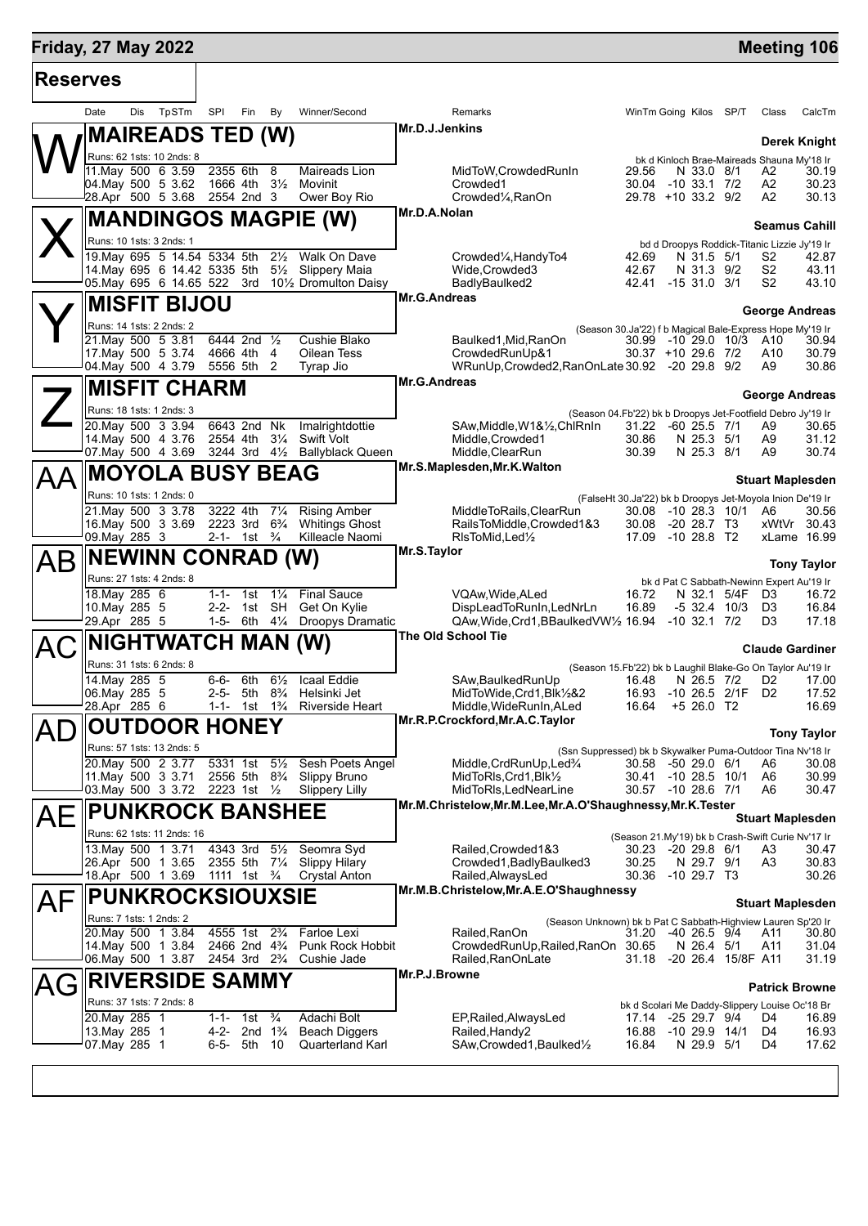| <b>Friday, 27 May 2022</b> |                                                                                        |     |                                                         |                        |                                                    |                    |                                               |                         |                                                                                             |                             |  |                                |                    | <b>Meeting 106</b>                                                   |                     |  |
|----------------------------|----------------------------------------------------------------------------------------|-----|---------------------------------------------------------|------------------------|----------------------------------------------------|--------------------|-----------------------------------------------|-------------------------|---------------------------------------------------------------------------------------------|-----------------------------|--|--------------------------------|--------------------|----------------------------------------------------------------------|---------------------|--|
| <b>Reserves</b>            |                                                                                        |     |                                                         |                        |                                                    |                    |                                               |                         |                                                                                             |                             |  |                                |                    |                                                                      |                     |  |
|                            | Date                                                                                   | Dis | TpSTm                                                   | SPI                    | Fin                                                | By                 | Winner/Second                                 |                         | Remarks                                                                                     | WinTm Going Kilos SP/T      |  |                                |                    | Class                                                                | CalcTm              |  |
|                            |                                                                                        |     | <b>MAIREADS TED (W)</b>                                 |                        |                                                    |                    |                                               | Mr.D.J.Jenkins          |                                                                                             |                             |  |                                |                    |                                                                      | <b>Derek Knight</b> |  |
|                            |                                                                                        |     | Runs: 62 1sts: 10 2nds: 8                               |                        |                                                    |                    |                                               |                         |                                                                                             |                             |  |                                |                    | bk d Kinloch Brae-Maireads Shauna My'18 Ir                           |                     |  |
|                            |                                                                                        |     | 11. May 500 6 3.59                                      | 2355 6th               |                                                    | 8                  | Maireads Lion                                 |                         | MidToW, Crowded RunIn                                                                       | 29.56                       |  | N 33.0 8/1                     |                    | A2                                                                   | 30.19               |  |
|                            |                                                                                        |     | 04. May 500 5 3.62<br>28.Apr 500 5 3.68                 |                        | 1666 4th 31/ <sub>2</sub><br>2554 2nd 3            |                    | Movinit<br>Ower Boy Rio                       |                         | Crowded1<br>Crowded <sup>1</sup> / <sub>4</sub> , RanOn                                     | 30.04<br>29.78 +10 33.2 9/2 |  | $-10$ 33.1 $7/2$               |                    | A2<br>A2                                                             | 30.23<br>30.13      |  |
|                            |                                                                                        |     |                                                         |                        |                                                    |                    | <b>MANDINGOS MAGPIE (W)</b>                   | Mr.D.A.Nolan            |                                                                                             |                             |  |                                |                    |                                                                      |                     |  |
|                            |                                                                                        |     | Runs: 10 1sts: 3 2nds: 1                                |                        |                                                    |                    |                                               |                         |                                                                                             |                             |  |                                |                    | <b>Seamus Cahill</b><br>bd d Droopys Roddick-Titanic Lizzie Jy'19 Ir |                     |  |
|                            |                                                                                        |     | 19. May 695 5 14.54 5334 5th                            |                        |                                                    | $2\frac{1}{2}$     | Walk On Dave                                  |                         | Crowded1⁄4, HandyTo4                                                                        | 42.69                       |  | N 31.5 5/1                     |                    | S2                                                                   | 42.87               |  |
|                            |                                                                                        |     | 14. May 695 6 14.42 5335 5th<br>05. May 695 6 14.65 522 |                        | 3rd                                                | $5\frac{1}{2}$     | <b>Slippery Maia</b><br>101/2 Dromulton Daisy |                         | Wide, Crowded 3<br>BadlyBaulked2                                                            | 42.67<br>42.41 -15 31.0 3/1 |  | N 31.3 9/2                     |                    | S <sub>2</sub><br>S <sub>2</sub>                                     | 43.11<br>43.10      |  |
|                            |                                                                                        |     | <b>MISFIT BIJOU</b>                                     |                        |                                                    |                    |                                               | Mr.G.Andreas            |                                                                                             |                             |  |                                |                    |                                                                      |                     |  |
|                            |                                                                                        |     | Runs: 14 1sts: 2 2nds: 2                                |                        |                                                    |                    |                                               |                         |                                                                                             |                             |  |                                |                    | George Andreas                                                       |                     |  |
|                            |                                                                                        |     | 21. May 500 5 3.81                                      |                        | 6444 2nd 1/2                                       |                    | Cushie Blako                                  |                         | (Season 30.Ja'22) f b Magical Bale-Express Hope My'19 Ir<br>Baulked1, Mid, RanOn            | 30.99 -10 29.0 10/3 A10     |  |                                |                    |                                                                      | 30.94               |  |
|                            |                                                                                        |     | 17 May 500 5 3.74<br>04. May 500 4 3.79                 | 4666 4th               | 5556 5th 2                                         | -4                 | Oilean Tess<br>Tyrap Jio                      |                         | CrowdedRunUp&1<br>WRunUp, Crowded 2, RanOnLate 30.92 - 20 29.8 9/2                          | 30.37 +10 29.6 7/2          |  |                                |                    | A10<br>A9                                                            | 30.79<br>30.86      |  |
|                            |                                                                                        |     | <b>MISFIT CHARM</b>                                     |                        |                                                    |                    |                                               | <b>Mr.G.Andreas</b>     |                                                                                             |                             |  |                                |                    |                                                                      |                     |  |
|                            |                                                                                        |     | Runs: 18 1sts: 1 2nds: 3                                |                        |                                                    |                    |                                               |                         |                                                                                             |                             |  |                                |                    | <b>George Andreas</b>                                                |                     |  |
|                            |                                                                                        |     | 20. May 500 3 3.94                                      |                        | 6643 2nd                                           | Nk                 | Imalrightdottie                               |                         | (Season 04.Fb'22) bk b Droopys Jet-Footfield Debro Jy'19 Ir<br>SAw, Middle, W1&1/2, ChlRnIn | 31.22                       |  | $-60$ 25.5 $7/1$               |                    | A9                                                                   | 30.65               |  |
|                            |                                                                                        |     | 14 May 500 4 3.76<br>07. May 500 4 3.69                 | 2554 4th               | 3244 3rd                                           | $3\frac{1}{4}$     | <b>Swift Volt</b>                             |                         | Middle, Crowded1                                                                            | 30.86                       |  | N 25.3 5/1<br>N 25.3 8/1       |                    | A9                                                                   | 31.12<br>30.74      |  |
|                            |                                                                                        |     |                                                         |                        |                                                    | $4\frac{1}{2}$     | <b>Ballyblack Queen</b>                       |                         | Middle, ClearRun<br>Mr.S.Maplesden, Mr.K. Walton                                            | 30.39                       |  |                                |                    | A9                                                                   |                     |  |
| ΑΑ                         |                                                                                        |     | <b>MOYOLA BUSY BEAG</b>                                 |                        |                                                    |                    |                                               | <b>Stuart Maplesden</b> |                                                                                             |                             |  |                                |                    |                                                                      |                     |  |
|                            |                                                                                        |     | Runs: 10 1sts: 1 2nds: 0<br>21. May 500 3 3.78          | 3222 4th               |                                                    | $7\frac{1}{4}$     | <b>Rising Amber</b>                           |                         | MiddleToRails, ClearRun                                                                     | 30.08                       |  |                                | -10 28.3 10/1      | (FalseHt 30.Ja'22) bk b Droopys Jet-Moyola Inion De'19 Ir<br>A6      | 30.56               |  |
|                            |                                                                                        |     | 16. May 500 3 3.69                                      |                        | 2223 3rd                                           | $6\frac{3}{4}$     | <b>Whitings Ghost</b>                         |                         | RailsToMiddle, Crowded1&3                                                                   | 30.08                       |  | $-20$ 28.7 T3                  |                    | xWtVr 30.43                                                          |                     |  |
|                            | 09. May 285 3                                                                          |     |                                                         |                        | 2-1- 1st $\frac{3}{4}$                             |                    | Killeacle Naomi                               | Mr.S.Taylor             | RIsToMid, Led <sup>1</sup> / <sub>2</sub>                                                   | 17.09                       |  | $-1028.8$ T2                   |                    | xLame 16.99                                                          |                     |  |
| AB                         |                                                                                        |     | <b>NEWINN CONRAD (W)</b>                                |                        |                                                    |                    |                                               | <b>Tony Taylor</b>      |                                                                                             |                             |  |                                |                    |                                                                      |                     |  |
|                            | 18. May 285 6                                                                          |     | Runs: 27 1sts: 4 2nds: 8                                | $1 - 1 -$              | 1st                                                | $1\frac{1}{4}$     | <b>Final Sauce</b>                            |                         | VQAw, Wide, ALed                                                                            | 16.72                       |  | N 32.1                         | 5/4F               | bk d Pat C Sabbath-Newinn Expert Au'19 Ir<br>D <sub>3</sub>          | 16.72               |  |
|                            | 10. May 285 5                                                                          |     |                                                         | $2 - 2 -$              |                                                    | 1st SH             | Get On Kylie                                  |                         | DispLeadToRunIn, LedNrLn                                                                    | 16.89                       |  | $-5$ 32.4 10/3                 |                    | D3                                                                   | 16.84               |  |
|                            | 29.Apr 285 5                                                                           |     |                                                         |                        | 1-5- 6th $4\frac{1}{4}$                            |                    | <b>Droopys Dramatic</b>                       |                         | QAw, Wide, Crd1, BBaulked VW1/2 16.94<br><b>The Old School Tie</b>                          |                             |  | $-10$ 32.1 $7/2$               |                    | D <sub>3</sub>                                                       | 17.18               |  |
| AC                         |                                                                                        |     | NIGHTWATCH MAN (W)                                      |                        |                                                    |                    |                                               | <b>Claude Gardiner</b>  |                                                                                             |                             |  |                                |                    |                                                                      |                     |  |
|                            | Runs: 31 1sts: 6 2nds: 8<br>14. May 285 5<br>$6-6-6th$ 6 <sup>1/2</sup><br>Icaal Eddie |     |                                                         |                        |                                                    |                    |                                               |                         | (Season 15.Fb'22) bk b Laughil Blake-Go On Taylor Au'19 Ir<br>SAw, Baulked Run Up           | 16.48                       |  | N 26.5 7/2                     |                    | D <sub>2</sub>                                                       | 17.00               |  |
|                            | 06. May 285 5                                                                          |     |                                                         | 2-5-                   | 5th                                                | $8\frac{3}{4}$     | Helsinki Jet                                  |                         | MidToWide, Crd1, Blk1/2&2                                                                   | 16.93                       |  |                                | -10 26.5 2/1F D2   |                                                                      | 17.52               |  |
|                            | 28.Apr 285 6                                                                           |     |                                                         |                        | 1-1- 1st                                           | $1\frac{3}{4}$     | <b>Riverside Heart</b>                        |                         | Middle, WideRunIn, ALed<br>Mr.R.P.Crockford, Mr.A.C. Taylor                                 | 16.64                       |  | $+526.0$ T2                    |                    |                                                                      | 16.69               |  |
|                            |                                                                                        |     | <b>OUTDOOR HONEY</b>                                    |                        |                                                    |                    |                                               |                         |                                                                                             |                             |  |                                |                    |                                                                      | <b>Tony Taylor</b>  |  |
|                            |                                                                                        |     | Runs: 57 1sts: 13 2nds: 5<br>20. May 500 2 3.77         |                        | 5331 1st 51/ <sub>2</sub>                          |                    | Sesh Poets Angel                              |                         | (Ssn Suppressed) bk b Skywalker Puma-Outdoor Tina Nv'18 Ir                                  | 30.58                       |  | -50 29.0 6/1                   |                    | A6                                                                   | 30.08               |  |
|                            |                                                                                        |     | 11. May 500 3 3.71                                      |                        | 2556 5th 8 <sup>3</sup> / <sub>4</sub>             |                    | Slippy Bruno                                  |                         | Middle,CrdRunUp,Led%<br>MidToRIs, Crd1, Blk1/2                                              | 30.41 -10 28.5 10/1         |  |                                |                    | A6                                                                   | 30.99               |  |
|                            |                                                                                        |     | 03. May 500 3 3.72 2223 1st 1/2                         |                        |                                                    |                    | <b>Slippery Lilly</b>                         |                         | MidToRIs, LedNearLine<br>Mr.M.Christelow, Mr.M.Lee, Mr.A.O'Shaughnessy, Mr.K. Tester        | 30.57 -10 28.6 7/1          |  |                                |                    | A6                                                                   | 30.47               |  |
| AE                         |                                                                                        |     | <b>PUNKROCK BANSHEE</b>                                 |                        |                                                    |                    |                                               |                         |                                                                                             |                             |  |                                |                    | <b>Stuart Maplesden</b>                                              |                     |  |
|                            |                                                                                        |     | Runs: 62 1sts: 11 2nds: 16                              |                        |                                                    |                    |                                               |                         |                                                                                             |                             |  |                                |                    | (Season 21.My'19) bk b Crash-Swift Curie Ny'17 Ir                    |                     |  |
|                            |                                                                                        |     | 13. May 500 1 3.71<br>26.Apr 500 1 3.65                 | 4343 3rd 51/2          | 2355 5th 71/4                                      |                    | Seomra Syd<br><b>Slippy Hilary</b>            |                         | Railed, Crowded 1&3<br>Crowded1, BadlyBaulked3                                              | 30.23<br>30.25              |  | $-20$ 29.8 $6/1$<br>N 29.7 9/1 |                    | A3<br>A3                                                             | 30.47<br>30.83      |  |
|                            |                                                                                        |     | 18.Apr 500 1 3.69                                       | 1111 1st $\frac{3}{4}$ |                                                    |                    | <b>Crystal Anton</b>                          |                         | Railed, AlwaysLed                                                                           | 30.36                       |  | $-1029.7$ T3                   |                    |                                                                      | 30.26               |  |
| AF                         |                                                                                        |     | <b>PUNKROCKSIOUXSIE</b>                                 |                        |                                                    |                    |                                               |                         | Mr.M.B.Christelow, Mr.A.E.O'Shaughnessy                                                     |                             |  |                                |                    | <b>Stuart Maplesden</b>                                              |                     |  |
|                            | Runs: 7 1sts: 1 2nds: 2                                                                |     |                                                         |                        |                                                    |                    |                                               |                         | (Season Unknown) bk b Pat C Sabbath-Highview Lauren Sp'20 Ir                                |                             |  |                                |                    |                                                                      |                     |  |
|                            |                                                                                        |     | 20. May 500 1 3.84<br>14. May 500 1 3.84                |                        | 4555 1st<br>2466 2nd 4 <sup>3</sup> / <sub>4</sub> | $2\frac{3}{4}$     | Farloe Lexi<br><b>Punk Rock Hobbit</b>        |                         | Railed,RanOn<br>CrowdedRunUp, Railed, RanOn 30.65                                           | 31.20                       |  | -40 26.5 9/4<br>N 26.4 5/1     |                    | A11<br>A11                                                           | 30.80<br>31.04      |  |
|                            |                                                                                        |     | 06. May 500 1 3.87                                      |                        | 2454 3rd 2 <sup>3</sup> / <sub>4</sub>             |                    | Cushie Jade                                   |                         | Railed,RanOnLate                                                                            | 31.18                       |  |                                | -20 26.4 15/8F A11 |                                                                      | 31.19               |  |
| AG                         |                                                                                        |     | <b>RIVERSIDE SAMMY</b>                                  |                        |                                                    |                    |                                               | Mr.P.J.Browne           |                                                                                             |                             |  |                                |                    | <b>Patrick Browne</b>                                                |                     |  |
|                            |                                                                                        |     | Runs: 37 1sts: 7 2nds: 8                                |                        |                                                    |                    |                                               |                         |                                                                                             |                             |  |                                |                    | bk d Scolari Me Daddy-Slippery Louise Oc'18 Br                       |                     |  |
|                            | 20. May 285 1<br>13. May 285 1                                                         |     |                                                         | 4-2-                   | 1-1- 1st $\frac{3}{4}$                             | 2nd $1\frac{3}{4}$ | Adachi Bolt<br><b>Beach Diggers</b>           |                         | EP, Railed, Always Led<br>Railed, Handy2                                                    | 17.14<br>16.88              |  | -25 29.7 9/4<br>$-1029.914/1$  |                    | D4                                                                   | 16.89<br>16.93      |  |
|                            | 07. May 285 1                                                                          |     |                                                         |                        | 6-5- 5th 10                                        |                    | <b>Quarterland Karl</b>                       |                         | SAw, Crowded 1, Baulked 1/2                                                                 | 16.84                       |  | N 29.9 5/1                     |                    | D4<br>D4                                                             | 17.62               |  |